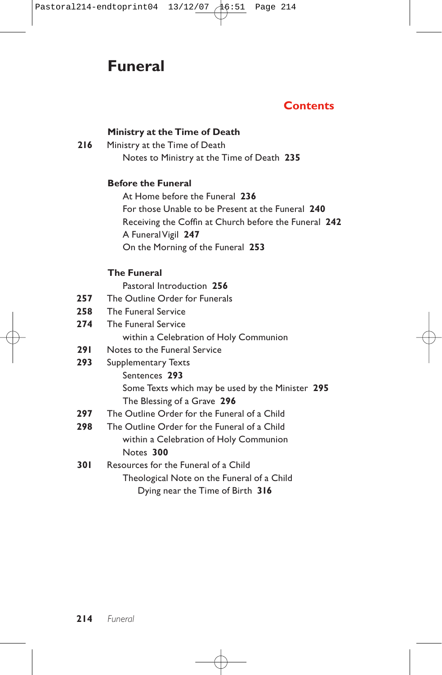# **Funeral**

## **Contents**

## **Ministry at the Time of Death**

**216** Ministry at the Time of Death Notes to Ministry at the Time of Death **235**

## **Before the Funeral**

At Home before the Funeral **236** For those Unable to be Present at the Funeral **240** Receiving the Coffin at Church before the Funeral **242** A Funeral Vigil **247** On the Morning of the Funeral **253**

### **The Funeral**

Pastoral Introduction **256**

- 257 The Outline Order for Funerals
- **258** The Funeral Service
- **274** The Funeral Service within a Celebration of Holy Communion
- **291** Notes to the Funeral Service
- **293** Supplementary Texts Sentences **293** Some Texts which may be used by the Minister **295** The Blessing of a Grave **296**
- **297** The Outline Order for the Funeral of a Child
- **298** The Outline Order for the Funeral of a Child within a Celebration of Holy Communion Notes **300**
- **301** Resources for the Funeral of a Child Theological Note on the Funeral of a Child Dying near the Time of Birth **316**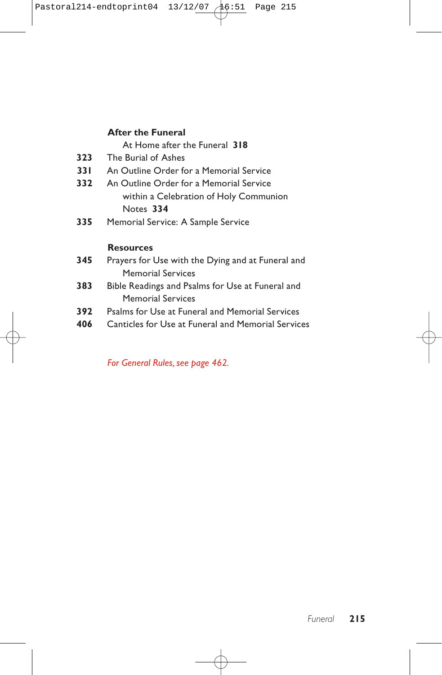## **After the Funeral**

At Home after the Funeral **318**

- **323** The Burial of Ashes
- **331** An Outline Order for a Memorial Service
- **332** An Outline Order for a Memorial Service within a Celebration of Holy Communion Notes **334**
- **335** Memorial Service: A Sample Service

### **Resources**

- **345** Prayers for Use with the Dying and at Funeral and Memorial Services
- **383** Bible Readings and Psalms for Use at Funeral and Memorial Services
- **392** Psalms for Use at Funeral and Memorial Services
- **406** Canticles for Use at Funeral and Memorial Services

*For General Rules, see page 462.*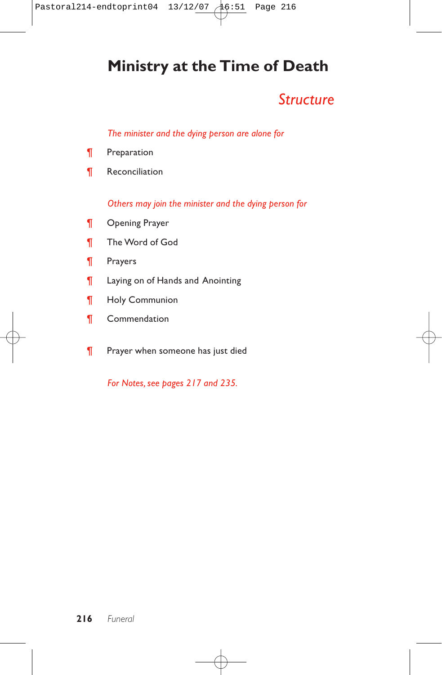# **Ministry at the Time of Death**

# *Structure*

*The minister and the dying person are alone for*

- ¶ Preparation
- ¶ Reconciliation

*Others may join the minister and the dying person for*

- ¶ Opening Prayer
- ¶ The Word of God
- ¶ Prayers
- **T** Laying on of Hands and Anointing
- ¶ Holy Communion
- ¶ Commendation
- ¶ Prayer when someone has just died

*For Notes, see pages 217 and 235.*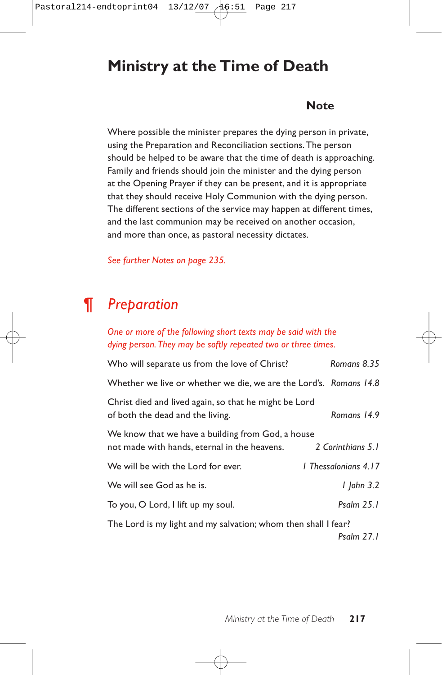## **Ministry at the Time of Death**

## **Note**

Where possible the minister prepares the dying person in private, using the Preparation and Reconciliation sections. The person should be helped to be aware that the time of death is approaching. Family and friends should join the minister and the dying person at the Opening Prayer if they can be present, and it is appropriate that they should receive Holy Communion with the dying person. The different sections of the service may happen at different times, and the last communion may be received on another occasion, and more than once, as pastoral necessity dictates.

*See further Notes on page 235.*

# *¶ Preparation*

### *One or more of the following short texts may be said with the dying person. They may be softly repeated two or three times.*

| Who will separate us from the love of Christ?                                                     | Romans 8.35          |  |
|---------------------------------------------------------------------------------------------------|----------------------|--|
| Whether we live or whether we die, we are the Lord's. Romans 14.8                                 |                      |  |
| Christ died and lived again, so that he might be Lord<br>of both the dead and the living.         | Romans 14.9          |  |
| We know that we have a building from God, a house<br>not made with hands, eternal in the heavens. | 2 Corinthians 5.1    |  |
| We will be with the Lord for ever.                                                                | I Thessalonians 4.17 |  |
| We will see God as he is.                                                                         | $l$ John 3.2         |  |
| To you, O Lord, I lift up my soul.                                                                | Psalm 25.1           |  |
| The Lord is my light and my salvation; whom then shall I fear?                                    |                      |  |
|                                                                                                   | Psalm 27.1           |  |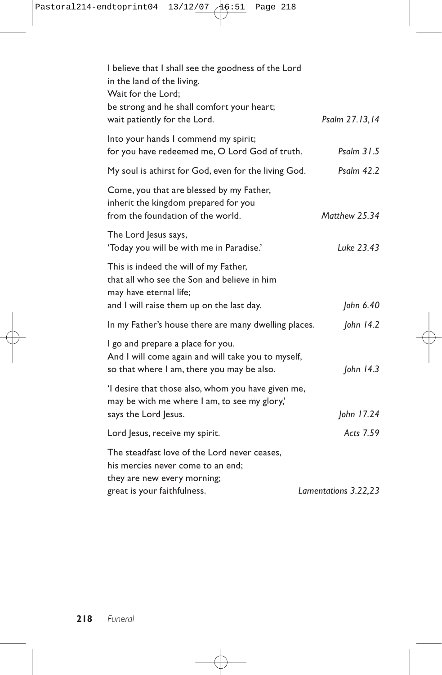| I believe that I shall see the goodness of the Lord<br>in the land of the living.<br>Wait for the Lord:                               |                      |
|---------------------------------------------------------------------------------------------------------------------------------------|----------------------|
| be strong and he shall comfort your heart;<br>wait patiently for the Lord.                                                            | Psalm 27.13,14       |
| Into your hands I commend my spirit;<br>for you have redeemed me, O Lord God of truth.                                                | Psalm $31.5$         |
| My soul is athirst for God, even for the living God.                                                                                  | Psalm 42.2           |
| Come, you that are blessed by my Father,<br>inherit the kingdom prepared for you<br>from the foundation of the world.                 | Matthew 25.34        |
| The Lord Jesus says,<br>'Today you will be with me in Paradise.'                                                                      | Luke 23.43           |
| This is indeed the will of my Father,<br>that all who see the Son and believe in him<br>may have eternal life;                        |                      |
| and I will raise them up on the last day.                                                                                             | John 6.40            |
| In my Father's house there are many dwelling places.                                                                                  | John $14.2$          |
| I go and prepare a place for you.<br>And I will come again and will take you to myself,<br>so that where I am, there you may be also. | John 14.3            |
| 'I desire that those also, whom you have given me,<br>may be with me where I am, to see my glory,'                                    |                      |
| says the Lord Jesus.                                                                                                                  | John 17.24           |
| Lord Jesus, receive my spirit.                                                                                                        | Acts 7.59            |
| The steadfast love of the Lord never ceases,<br>his mercies never come to an end;<br>they are new every morning;                      |                      |
| great is your faithfulness.                                                                                                           | Lamentations 3.22,23 |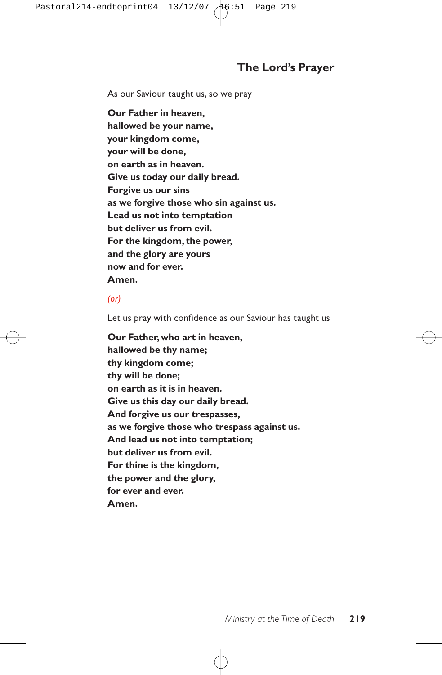As our Saviour taught us, so we pray

**Our Father in heaven, hallowed be your name, your kingdom come, your will be done, on earth as in heaven. Give us today our daily bread. Forgive us our sins as we forgive those who sin against us. Lead us not into temptation but deliver us from evil. For the kingdom, the power, and the glory are yours now and for ever. Amen.**

### *(or)*

Let us pray with confidence as our Saviour has taught us

**Our Father,who art in heaven, hallowed be thy name; thy kingdom come; thy will be done; on earth as it is in heaven. Give us this day our daily bread. And forgive us our trespasses, as we forgive those who trespass against us. And lead us not into temptation; but deliver us from evil. For thine is the kingdom, the power and the glory, for ever and ever. Amen.**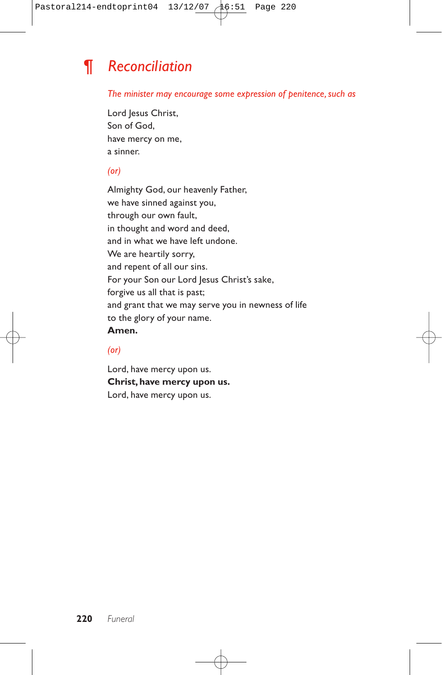# *¶ Reconciliation*

### *The minister may encourage some expression of penitence, such as*

Lord Jesus Christ, Son of God, have mercy on me, a sinner.

## *(or)*

Almighty God, our heavenly Father, we have sinned against you, through our own fault, in thought and word and deed, and in what we have left undone. We are heartily sorry, and repent of all our sins. For your Son our Lord Jesus Christ's sake, forgive us all that is past; and grant that we may serve you in newness of life to the glory of your name. **Amen.**

## *(or)*

Lord, have mercy upon us. **Christ, have mercy upon us.** Lord, have mercy upon us.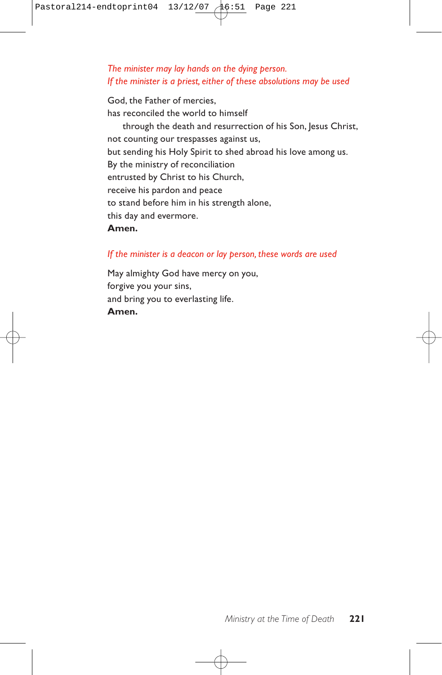## *The minister may lay hands on the dying person. If the minister is a priest, either of these absolutions may be used*

God, the Father of mercies, has reconciled the world to himself through the death and resurrection of his Son, Jesus Christ, not counting our trespasses against us, but sending his Holy Spirit to shed abroad his love among us. By the ministry of reconciliation entrusted by Christ to his Church, receive his pardon and peace to stand before him in his strength alone, this day and evermore. **Amen.**

#### *If the minister is a deacon or lay person, these words are used*

May almighty God have mercy on you, forgive you your sins, and bring you to everlasting life. **Amen.**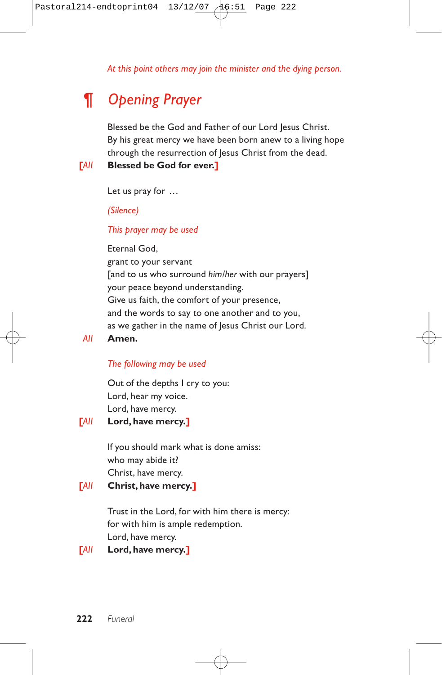*At this point others may join the minister and the dying person.*

# *¶ Opening Prayer*

Blessed be the God and Father of our Lord Jesus Christ. By his great mercy we have been born anew to a living hope through the resurrection of Jesus Christ from the dead.

**[***All* **Blessed be God for ever.]**

Let us pray for *…*

*(Silence)*

*This prayer may be used*

Eternal God, grant to your servant [and to us who surround *him/her* with our prayers] your peace beyond understanding. Give us faith, the comfort of your presence, and the words to say to one another and to you, as we gather in the name of Jesus Christ our Lord.

#### *All* **Amen.**

## *The following may be used*

Out of the depths I cry to you: Lord, hear my voice. Lord, have mercy.

## **[***All* **Lord, have mercy.]**

If you should mark what is done amiss: who may abide it? Christ, have mercy.

## **[***All* **Christ, have mercy.]**

Trust in the Lord, for with him there is mercy: for with him is ample redemption. Lord, have mercy.

## **[***All* **Lord, have mercy.]**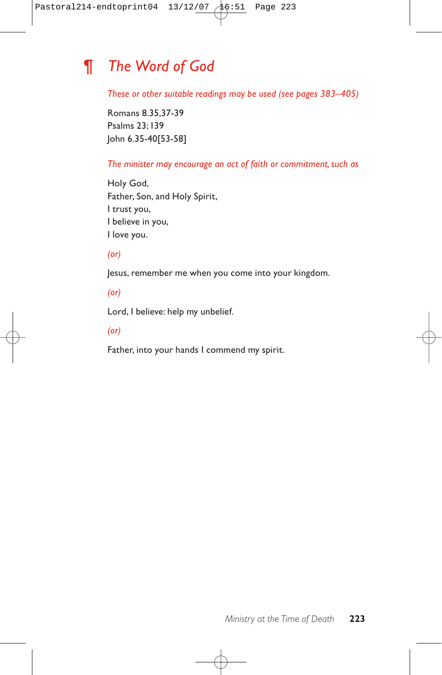# *¶ The Word of God*

### *These or other suitable readings may be used (see pages 383–405)*

Romans 8.35,37-39 Psalms 23;139 John 6.35-40[53-58]

#### *The minister may encourage an act of faith or commitment, such as*

Holy God, Father, Son, and Holy Spirit, I trust you, I believe in you, I love you.

*(or)*

Jesus, remember me when you come into your kingdom.

#### *(or)*

Lord, I believe: help my unbelief.

#### *(or)*

Father, into your hands I commend my spirit.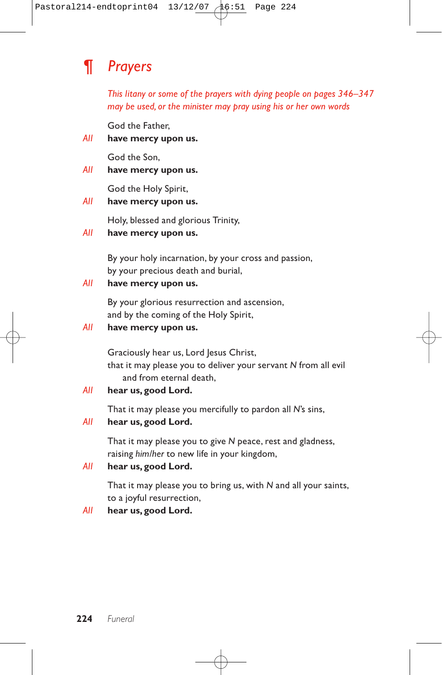# *¶ Prayers*

*This litany or some of the prayers with dying people on pages 346–347 may be used, or the minister may pray using his or her own words*

God the Father,

*All* **have mercy upon us.**

God the Son,

*All* **have mercy upon us.**

God the Holy Spirit,

### *All* **have mercy upon us.**

Holy, blessed and glorious Trinity,

*All* **have mercy upon us.**

By your holy incarnation, by your cross and passion, by your precious death and burial,

### *All* **have mercy upon us.**

By your glorious resurrection and ascension, and by the coming of the Holy Spirit,

### *All* **have mercy upon us.**

Graciously hear us, Lord Jesus Christ,

that it may please you to deliver your servant *N* from all evil and from eternal death,

*All* **hear us, good Lord.**

That it may please you mercifully to pardon all *N*'s sins,

## *All* **hear us, good Lord.**

That it may please you to give *N* peace, rest and gladness, raising *him/her* to new life in your kingdom,

*All* **hear us, good Lord.**

That it may please you to bring us, with *N* and all your saints, to a joyful resurrection,

## *All* **hear us, good Lord.**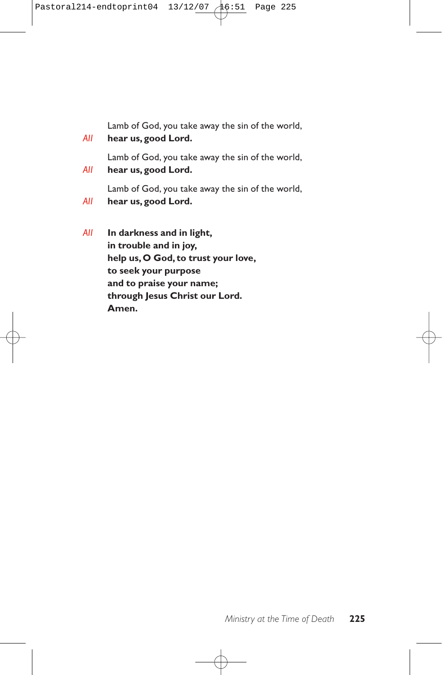Lamb of God, you take away the sin of the world,

*All* **hear us, good Lord.**

Lamb of God, you take away the sin of the world,

*All* **hear us, good Lord.**

Lamb of God, you take away the sin of the world,

- *All* **hear us, good Lord.**
- *All* **In darkness and in light, in trouble and in joy, help us, O God, to trust your love, to seek your purpose and to praise your name; through Jesus Christ our Lord. Amen.**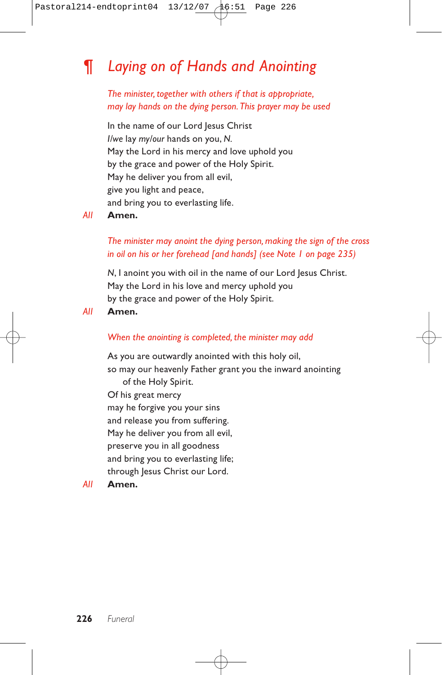# *¶ Laying on of Hands and Anointing*

*The minister, together with others if that is appropriate, may lay hands on the dying person. This prayer may be used*

In the name of our Lord Jesus Christ *I/we* lay *my/our* hands on you, *N.* May the Lord in his mercy and love uphold you by the grace and power of the Holy Spirit. May he deliver you from all evil, give you light and peace, and bring you to everlasting life.

#### *All* **Amen.**

## *The minister may anoint the dying person, making the sign of the cross in oil on his or her forehead [and hands] (see Note 1 on page 235)*

*N*, I anoint you with oil in the name of our Lord Jesus Christ. May the Lord in his love and mercy uphold you by the grace and power of the Holy Spirit.

*All* **Amen.**

#### *When the anointing is completed, the minister may add*

As you are outwardly anointed with this holy oil, so may our heavenly Father grant you the inward anointing of the Holy Spirit. Of his great mercy may he forgive you your sins and release you from suffering. May he deliver you from all evil, preserve you in all goodness and bring you to everlasting life; through Jesus Christ our Lord.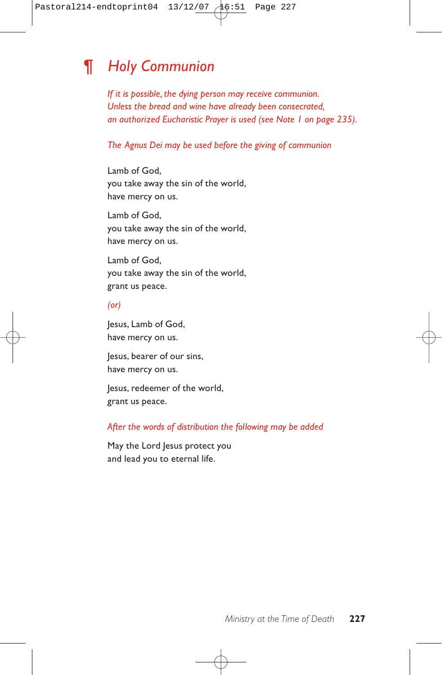# *¶ Holy Communion*

*If it is possible, the dying person may receive communion. Unless the bread and wine have already been consecrated, an authorized Eucharistic Prayer is used (see Note 1 on page 235).*

#### *The Agnus Dei may be used before the giving of communion*

Lamb of God, you take away the sin of the world, have mercy on us.

Lamb of God, you take away the sin of the world, have mercy on us.

Lamb of God, you take away the sin of the world, grant us peace.

#### *(or)*

Jesus, Lamb of God, have mercy on us.

Jesus, bearer of our sins, have mercy on us.

Jesus, redeemer of the world, grant us peace.

#### *After the words of distribution the following may be added*

May the Lord Jesus protect you and lead you to eternal life.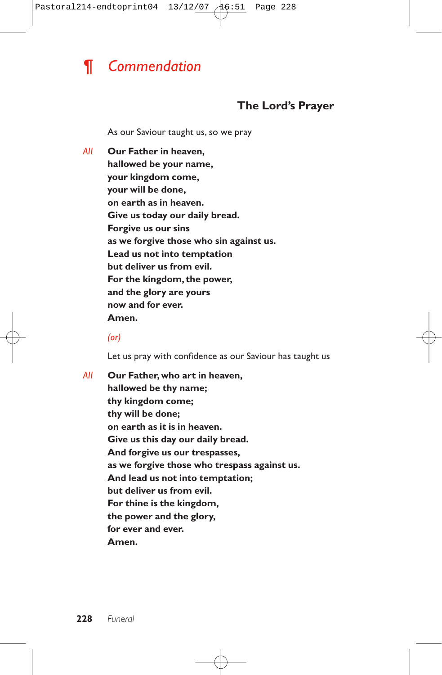# *¶ Commendation*

## **The Lord's Prayer**

As our Saviour taught us, so we pray

*All* **Our Father in heaven, hallowed be your name, your kingdom come, your will be done, on earth as in heaven. Give us today our daily bread. Forgive us our sins as we forgive those who sin against us. Lead us not into temptation but deliver us from evil. For the kingdom, the power, and the glory are yours now and for ever. Amen.**

*(or)*

Let us pray with confidence as our Saviour has taught us

*All* **Our Father, who art in heaven, hallowed be thy name; thy kingdom come; thy will be done; on earth as it is in heaven. Give us this day our daily bread. And forgive us our trespasses, as we forgive those who trespass against us. And lead us not into temptation; but deliver us from evil. For thine is the kingdom, the power and the glory, for ever and ever. Amen.**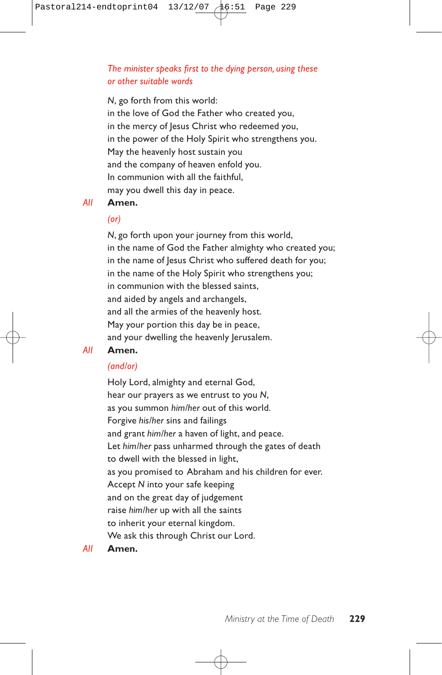## *The minister speaks first to the dying person, using these or other suitable words*

*N*, go forth from this world: in the love of God the Father who created you, in the mercy of Jesus Christ who redeemed you, in the power of the Holy Spirit who strengthens you. May the heavenly host sustain you and the company of heaven enfold you. In communion with all the faithful, may you dwell this day in peace.

#### *All* **Amen.**

#### *(or)*

*N*, go forth upon your journey from this world, in the name of God the Father almighty who created you; in the name of Jesus Christ who suffered death for you; in the name of the Holy Spirit who strengthens you; in communion with the blessed saints, and aided by angels and archangels, and all the armies of the heavenly host. May your portion this day be in peace, and your dwelling the heavenly Jerusalem.

#### *All* **Amen.**

#### *(and/or)*

Holy Lord, almighty and eternal God, hear our prayers as we entrust to you *N*, as you summon *him/her* out of this world. Forgive *his/her* sins and failings and grant *him/her* a haven of light, and peace. Let *him/her* pass unharmed through the gates of death to dwell with the blessed in light, as you promised to Abraham and his children for ever. Accept *N* into your safe keeping and on the great day of judgement raise *him/her* up with all the saints to inherit your eternal kingdom. We ask this through Christ our Lord.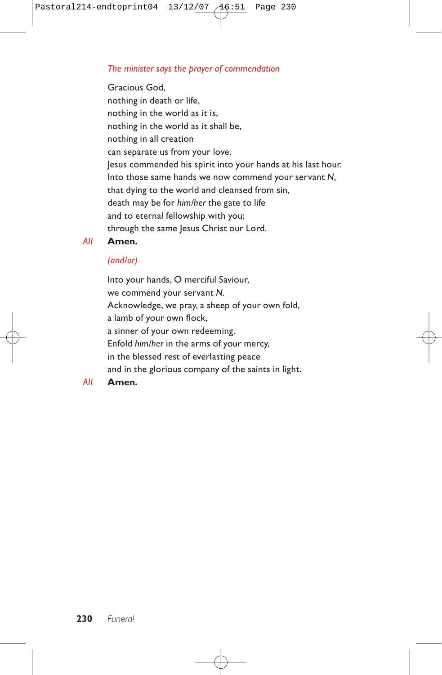## *The minister says the prayer of commendation*

Gracious God, nothing in death or life, nothing in the world as it is, nothing in the world as it shall be, nothing in all creation can separate us from your love. Jesus commended his spirit into your hands at his last hour. Into those same hands we now commend your servant *N*, that dying to the world and cleansed from sin, death may be for *him/her* the gate to life and to eternal fellowship with you; through the same Jesus Christ our Lord.

### *All* **Amen.**

## *(and/or)*

Into your hands, O merciful Saviour, we commend your servant *N.* Acknowledge, we pray, a sheep of your own fold, a lamb of your own flock, a sinner of your own redeeming. Enfold *him/her* in the arms of your mercy, in the blessed rest of everlasting peace and in the glorious company of the saints in light.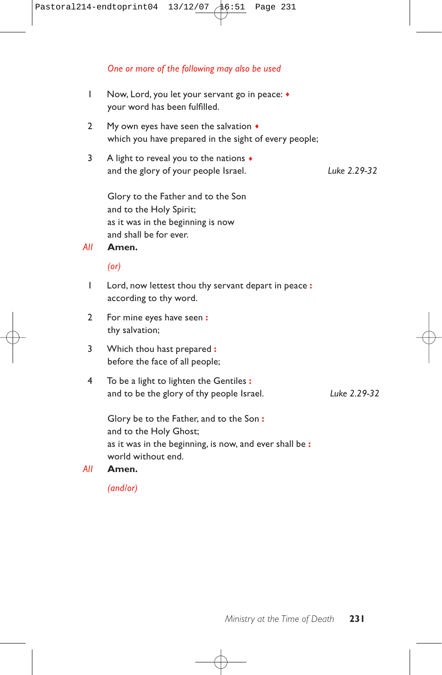#### *One or more of the following may also be used*

- 1 Now, Lord, you let your servant go in peace:  $\triangleleft$ your word has been fulfilled.
- 2 My own eyes have seen the salvation  $\triangle$ which you have prepared in the sight of every people;
- 3 A light to reveal you to the nations ♦ and the glory of your people Israel. *Luke 2.29-32*

Glory to the Father and to the Son and to the Holy Spirit; as it was in the beginning is now and shall be for ever.

#### *All* **Amen.**

*(or)*

- 1 Lord, now lettest thou thy servant depart in peace **:** according to thy word.
- 2 For mine eyes have seen **:** thy salvation;
- 3 Which thou hast prepared **:** before the face of all people;
- 4 To be a light to lighten the Gentiles **:** and to be the glory of thy people Israel. *Luke 2.29-32*

Glory be to the Father, and to the Son **:** and to the Holy Ghost; as it was in the beginning, is now, and ever shall be **:** world without end.

*All* **Amen.**

*(and/or)*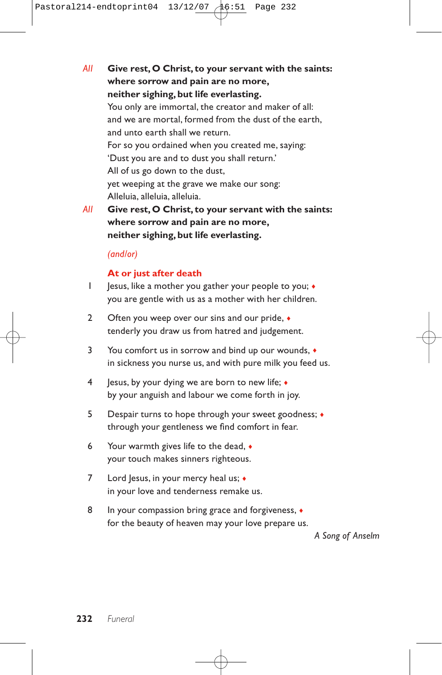## *All* **Give rest, O Christ, to your servant with the saints: where sorrow and pain are no more, neither sighing, but life everlasting.** You only are immortal, the creator and maker of all: and we are mortal, formed from the dust of the earth,

and unto earth shall we return.

For so you ordained when you created me, saying:

'Dust you are and to dust you shall return.'

All of us go down to the dust,

yet weeping at the grave we make our song:

Alleluia, alleluia, alleluia.

*All* **Give rest, O Christ, to your servant with the saints: where sorrow and pain are no more, neither sighing, but life everlasting.**

*(and/or)* 

## **At or just after death**

- 1 Jesus, like a mother you gather your people to you; ♦ you are gentle with us as a mother with her children.
- 2 Often you weep over our sins and our pride,  $\bullet$ tenderly you draw us from hatred and judgement.
- 3 You comfort us in sorrow and bind up our wounds, ♦ in sickness you nurse us, and with pure milk you feed us.
- 4 Jesus, by your dying we are born to new life; ♦ by your anguish and labour we come forth in joy.
- 5 Despair turns to hope through your sweet goodness; ♦ through your gentleness we find comfort in fear.
- 6 Your warmth gives life to the dead, ♦ your touch makes sinners righteous.
- 7 Lord Jesus, in your mercy heal us;  $\bullet$ in your love and tenderness remake us.
- 8 In your compassion bring grace and forgiveness,  $\bullet$ for the beauty of heaven may your love prepare us.

*A Song of Anselm*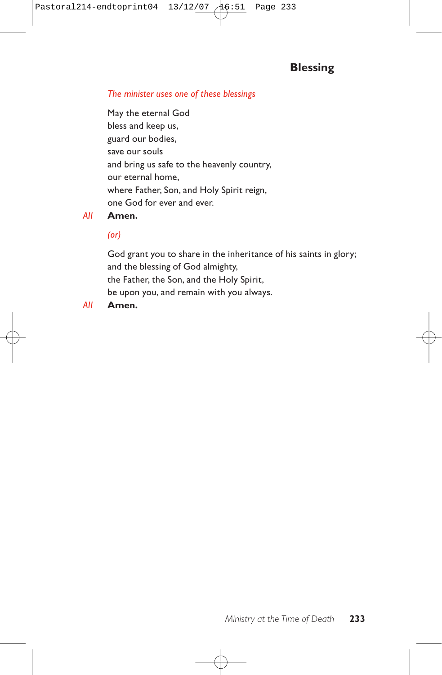## **Blessing**

### *The minister uses one of these blessings*

May the eternal God bless and keep us, guard our bodies, save our souls and bring us safe to the heavenly country, our eternal home, where Father, Son, and Holy Spirit reign, one God for ever and ever.

## *All* **Amen.**

### *(or)*

God grant you to share in the inheritance of his saints in glory; and the blessing of God almighty, the Father, the Son, and the Holy Spirit, be upon you, and remain with you always.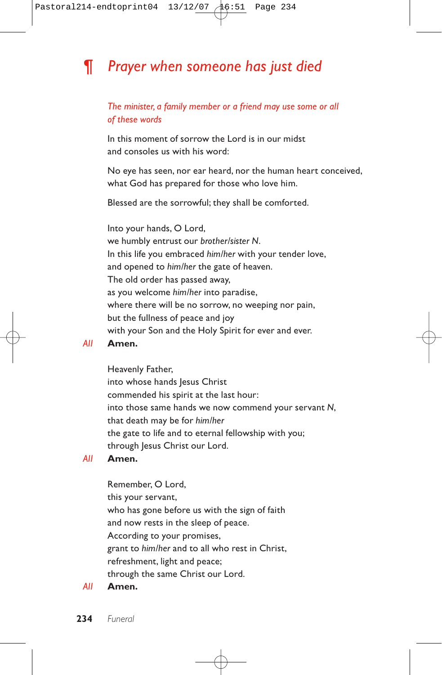# *¶ Prayer when someone has just died*

## *The minister, a family member or a friend may use some or all of these words*

In this moment of sorrow the Lord is in our midst and consoles us with his word:

No eye has seen, nor ear heard, nor the human heart conceived, what God has prepared for those who love him.

Blessed are the sorrowful; they shall be comforted.

Into your hands, O Lord, we humbly entrust our *brother/sister N*. In this life you embraced *him/her* with your tender love, and opened to *him/her* the gate of heaven. The old order has passed away, as you welcome *him/her* into paradise, where there will be no sorrow, no weeping nor pain, but the fullness of peace and joy with your Son and the Holy Spirit for ever and ever.

#### *All* **Amen.**

Heavenly Father, into whose hands Jesus Christ commended his spirit at the last hour: into those same hands we now commend your servant *N*, that death may be for *him/her* the gate to life and to eternal fellowship with you; through Jesus Christ our Lord.

#### *All* **Amen.**

Remember, O Lord, this your servant, who has gone before us with the sign of faith and now rests in the sleep of peace. According to your promises, grant to *him/her* and to all who rest in Christ, refreshment, light and peace; through the same Christ our Lord.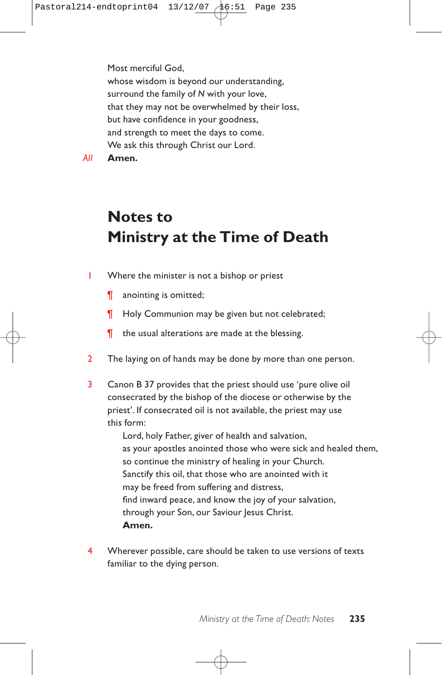Most merciful God, whose wisdom is beyond our understanding, surround the family of *N* with your love, that they may not be overwhelmed by their loss, but have confidence in your goodness, and strength to meet the days to come. We ask this through Christ our Lord.

*All* **Amen.**

# **Notes to Ministry at the Time of Death**

- 1 Where the minister is not a bishop or priest
	- **T** anointing is omitted;
	- **T** Holy Communion may be given but not celebrated;
	- ¶ the usual alterations are made at the blessing.
- 2 The laying on of hands may be done by more than one person.
- 3 Canon B 37 provides that the priest should use 'pure olive oil consecrated by the bishop of the diocese or otherwise by the priest'. If consecrated oil is not available, the priest may use this form:

Lord, holy Father, giver of health and salvation, as your apostles anointed those who were sick and healed them, so continue the ministry of healing in your Church. Sanctify this oil, that those who are anointed with it may be freed from suffering and distress, find inward peace, and know the joy of your salvation, through your Son, our Saviour Jesus Christ. **Amen.**

4 Wherever possible, care should be taken to use versions of texts familiar to the dying person.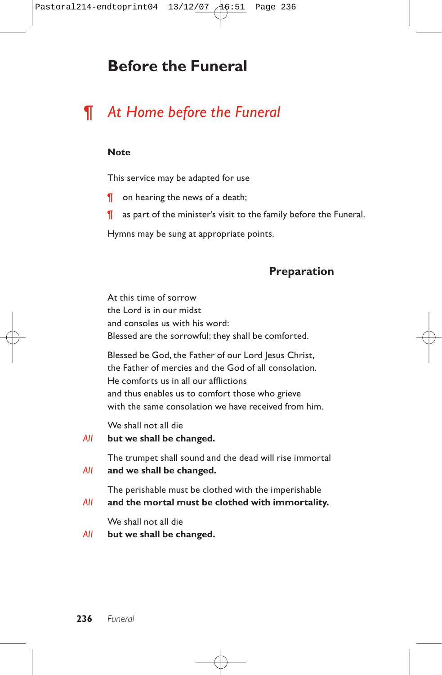## **Before the Funeral**

# *¶ At Home before the Funeral*

#### **Note**

This service may be adapted for use

¶ on hearing the news of a death;

¶ as part of the minister's visit to the family before the Funeral.

Hymns may be sung at appropriate points.

## **Preparation**

At this time of sorrow the Lord is in our midst and consoles us with his word: Blessed are the sorrowful; they shall be comforted.

Blessed be God, the Father of our Lord Jesus Christ, the Father of mercies and the God of all consolation. He comforts us in all our afflictions and thus enables us to comfort those who grieve with the same consolation we have received from him.

We shall not all die

*All* **but we shall be changed.**

The trumpet shall sound and the dead will rise immortal *All* **and we shall be changed.**

The perishable must be clothed with the imperishable

*All* **and the mortal must be clothed with immortality.**

We shall not all die

*All* **but we shall be changed.**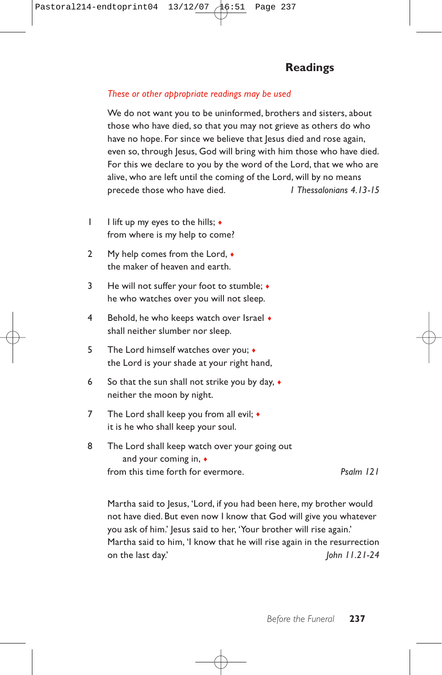### *These or other appropriate readings may be used*

We do not want you to be uninformed, brothers and sisters, about those who have died, so that you may not grieve as others do who have no hope. For since we believe that lesus died and rose again, even so, through Jesus, God will bring with him those who have died. For this we declare to you by the word of the Lord, that we who are alive, who are left until the coming of the Lord, will by no means precede those who have died. *1 Thessalonians 4.13-15*

- 1 I lift up my eyes to the hills; ♦ from where is my help to come?
- 2 My help comes from the Lord,  $\bullet$ the maker of heaven and earth.
- 3 He will not suffer your foot to stumble; ♦ he who watches over you will not sleep.
- 4 Behold, he who keeps watch over Israel  $\bullet$ shall neither slumber nor sleep.
- 5 The Lord himself watches over you; ♦ the Lord is your shade at your right hand,
- 6 So that the sun shall not strike you by day,  $\bullet$ neither the moon by night.
- 7 The Lord shall keep you from all evil;  $\bullet$ it is he who shall keep your soul.
- 8 The Lord shall keep watch over your going out and your coming in, ♦ from this time forth for evermore. *Psalm 121*

Martha said to Jesus, 'Lord, if you had been here, my brother would not have died. But even now I know that God will give you whatever you ask of him.' Jesus said to her, 'Your brother will rise again.' Martha said to him, 'I know that he will rise again in the resurrection on the last day.' *John 11.21-24*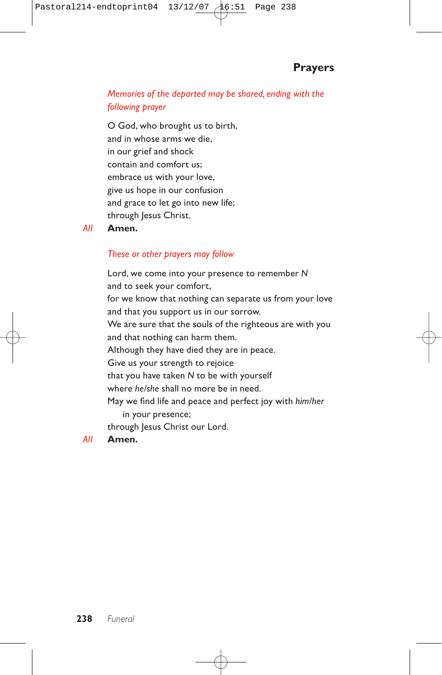*Memories of the departed may be shared, ending with the following prayer*

O God, who brought us to birth, and in whose arms we die, in our grief and shock contain and comfort us; embrace us with your love, give us hope in our confusion and grace to let go into new life; through lesus Christ.

#### *All* **Amen.**

#### *These or other prayers may follow*

Lord, we come into your presence to remember *N* and to seek your comfort, for we know that nothing can separate us from your love and that you support us in our sorrow. We are sure that the souls of the righteous are with you and that nothing can harm them. Although they have died they are in peace. Give us your strength to rejoice that you have taken *N* to be with yourself where *he/she* shall no more be in need. May we find life and peace and perfect joy with *him/her* in your presence; through Jesus Christ our Lord.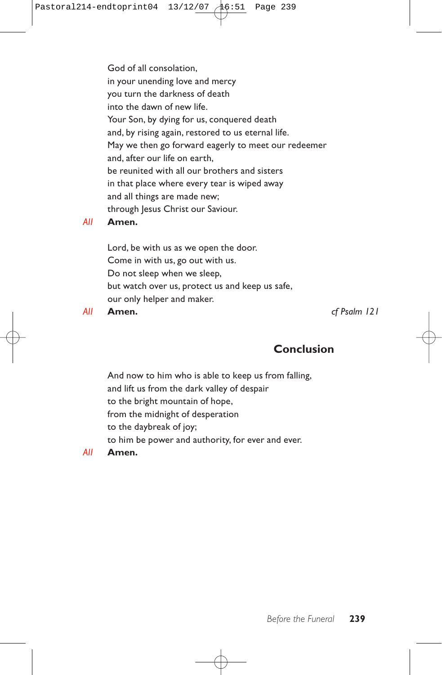God of all consolation, in your unending love and mercy you turn the darkness of death into the dawn of new life. Your Son, by dying for us, conquered death and, by rising again, restored to us eternal life. May we then go forward eagerly to meet our redeemer and, after our life on earth, be reunited with all our brothers and sisters in that place where every tear is wiped away and all things are made new; through Jesus Christ our Saviour.

#### *All* **Amen.**

Lord, be with us as we open the door. Come in with us, go out with us. Do not sleep when we sleep, but watch over us, protect us and keep us safe, our only helper and maker.

*All* **Amen.** *cf Psalm 121*

## **Conclusion**

And now to him who is able to keep us from falling, and lift us from the dark valley of despair to the bright mountain of hope, from the midnight of desperation to the daybreak of joy; to him be power and authority, for ever and ever.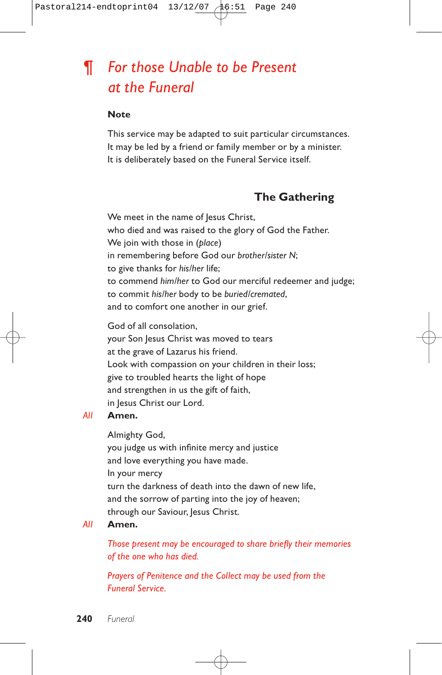# *¶ For those Unable to be Present at the Funeral*

#### **Note**

This service may be adapted to suit particular circumstances. It may be led by a friend or family member or by a minister. It is deliberately based on the Funeral Service itself.

## **The Gathering**

We meet in the name of lesus Christ, who died and was raised to the glory of God the Father. We join with those in (*place*) in remembering before God our *brother/sister N*; to give thanks for *his/her* life; to commend *him/her* to God our merciful redeemer and judge; to commit *his/her* body to be *buried/cremated*, and to comfort one another in our grief.

God of all consolation, your Son Jesus Christ was moved to tears at the grave of Lazarus his friend. Look with compassion on your children in their loss; give to troubled hearts the light of hope and strengthen in us the gift of faith, in Jesus Christ our Lord.

### *All* **Amen.**

Almighty God,

you judge us with infinite mercy and justice and love everything you have made. In your mercy turn the darkness of death into the dawn of new life, and the sorrow of parting into the joy of heaven; through our Saviour, Jesus Christ.

#### *All* **Amen.**

*Those present may be encouraged to share briefly their memories of the one who has died.*

*Prayers of Penitence and the Collect may be used from the Funeral Service.*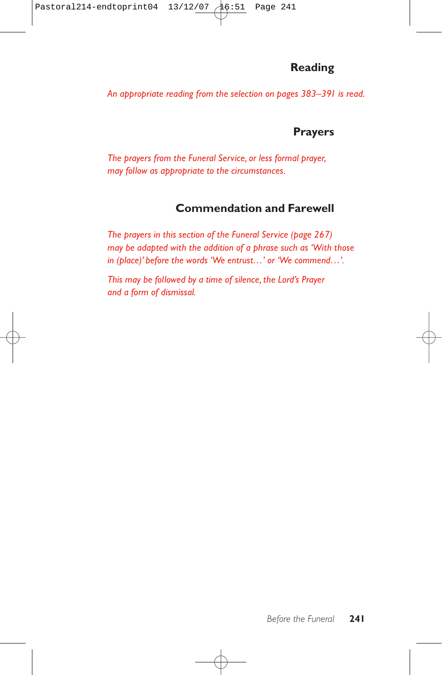## **Reading**

*An appropriate reading from the selection on pages 383–391 is read.*

## **Prayers**

*The prayers from the Funeral Service, or less formal prayer, may follow as appropriate to the circumstances.*

## **Commendation and Farewell**

*The prayers in this section of the Funeral Service (page 267) may be adapted with the addition of a phrase such as 'With those in (place)' before the words 'We entrust…' or 'We commend…'.*

*This may be followed by a time of silence, the Lord's Prayer and a form of dismissal.*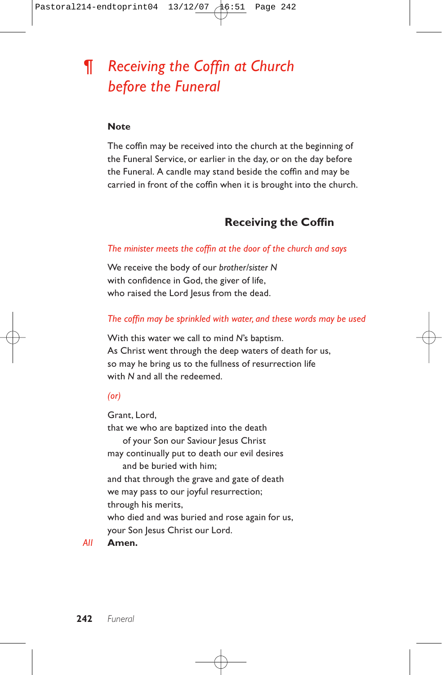# *¶ Receiving the Coffin at Church before the Funeral*

#### **Note**

The coffin may be received into the church at the beginning of the Funeral Service, or earlier in the day, or on the day before the Funeral. A candle may stand beside the coffin and may be carried in front of the coffin when it is brought into the church.

## **Receiving the Coffin**

## *The minister meets the coffin at the door of the church and says*

We receive the body of our *brother/sister N* with confidence in God, the giver of life, who raised the Lord Jesus from the dead.

## *The coffin may be sprinkled with water, and these words may be used*

With this water we call to mind *N*'s baptism. As Christ went through the deep waters of death for us, so may he bring us to the fullness of resurrection life with *N* and all the redeemed.

## *(or)*

Grant, Lord, that we who are baptized into the death of your Son our Saviour Jesus Christ may continually put to death our evil desires and be buried with him; and that through the grave and gate of death we may pass to our joyful resurrection; through his merits, who died and was buried and rose again for us, your Son Jesus Christ our Lord.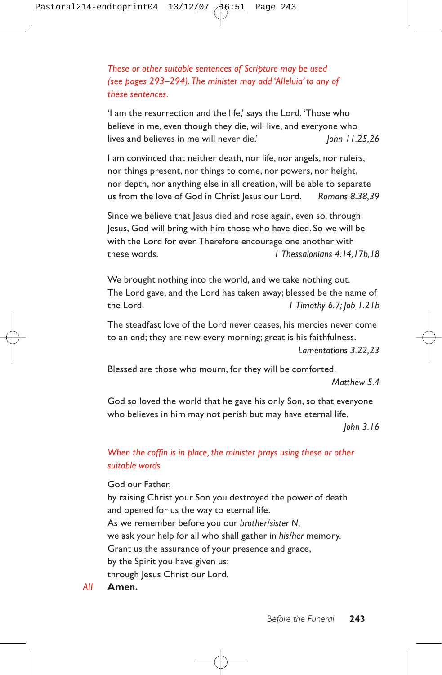*These or other suitable sentences of Scripture may be used (see pages 293–294). The minister may add 'Alleluia' to any of these sentences.*

'I am the resurrection and the life,' says the Lord. 'Those who believe in me, even though they die, will live, and everyone who lives and believes in me will never die.' *John 11.25.26* 

I am convinced that neither death, nor life, nor angels, nor rulers, nor things present, nor things to come, nor powers, nor height, nor depth, nor anything else in all creation, will be able to separate us from the love of God in Christ Jesus our Lord. *Romans 8.38,39*

Since we believe that Jesus died and rose again, even so, through Jesus, God will bring with him those who have died. So we will be with the Lord for ever. Therefore encourage one another with these words. *1 Thessalonians 4.14,17b,18*

We brought nothing into the world, and we take nothing out. The Lord gave, and the Lord has taken away; blessed be the name of the Lord. *1 Timothy 6.7; Job 1.21b*

The steadfast love of the Lord never ceases, his mercies never come to an end; they are new every morning; great is his faithfulness.

*Lamentations 3.22,23*

Blessed are those who mourn, for they will be comforted.

*Matthew 5.4*

God so loved the world that he gave his only Son, so that everyone who believes in him may not perish but may have eternal life.

*John 3.16*

## *When the coffin is in place, the minister prays using these or other suitable words*

God our Father,

by raising Christ your Son you destroyed the power of death and opened for us the way to eternal life. As we remember before you our *brother/sister N*, we ask your help for all who shall gather in *his/her* memory. Grant us the assurance of your presence and grace, by the Spirit you have given us; through Jesus Christ our Lord.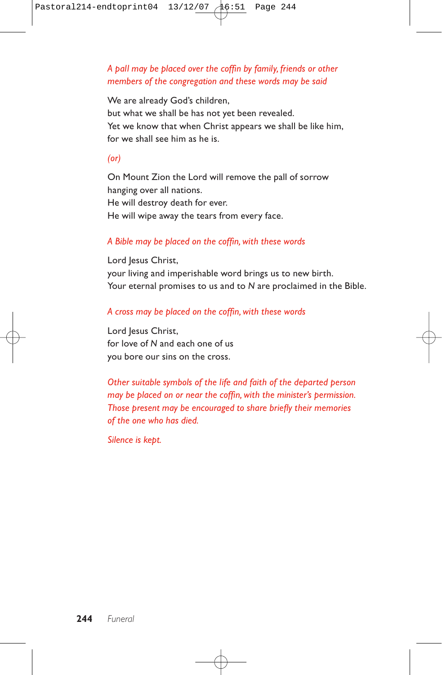## *A pall may be placed over the coffin by family, friends or other members of the congregation and these words may be said*

We are already God's children, but what we shall be has not yet been revealed. Yet we know that when Christ appears we shall be like him, for we shall see him as he is.

#### *(or)*

On Mount Zion the Lord will remove the pall of sorrow hanging over all nations. He will destroy death for ever. He will wipe away the tears from every face.

### *A Bible may be placed on the coffin, with these words*

Lord Jesus Christ, your living and imperishable word brings us to new birth. Your eternal promises to us and to *N* are proclaimed in the Bible.

### *A cross may be placed on the coffin, with these words*

Lord Jesus Christ, for love of *N* and each one of us you bore our sins on the cross.

*Other suitable symbols of the life and faith of the departed person may be placed on or near the coffin, with the minister's permission. Those present may be encouraged to share briefly their memories of the one who has died.*

*Silence is kept.*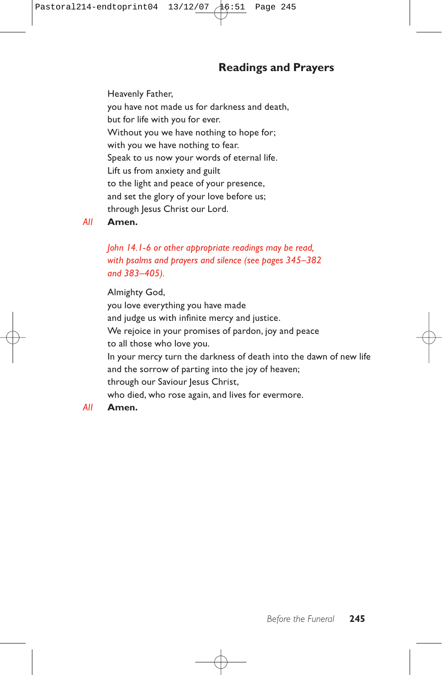## **Readings and Prayers**

Heavenly Father, you have not made us for darkness and death, but for life with you for ever. Without you we have nothing to hope for; with you we have nothing to fear. Speak to us now your words of eternal life. Lift us from anxiety and guilt to the light and peace of your presence, and set the glory of your love before us; through Jesus Christ our Lord.

#### *All* **Amen.**

*John 14.1-6 or other appropriate readings may be read, with psalms and prayers and silence (see pages 345–382 and 383–405).*

Almighty God, you love everything you have made and judge us with infinite mercy and justice. We rejoice in your promises of pardon, joy and peace to all those who love you. In your mercy turn the darkness of death into the dawn of new life and the sorrow of parting into the joy of heaven; through our Saviour Jesus Christ, who died, who rose again, and lives for evermore.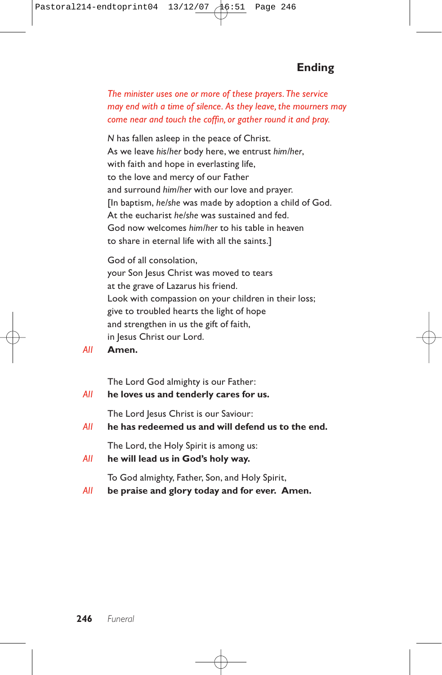## **Ending**

*The minister uses one or more of these prayers. The service may end with a time of silence. As they leave, the mourners may come near and touch the coffin, or gather round it and pray.*

*N* has fallen asleep in the peace of Christ. As we leave *his/her* body here, we entrust *him/her*, with faith and hope in everlasting life, to the love and mercy of our Father and surround *him/her* with our love and prayer. [In baptism, *he/she* was made by adoption a child of God. At the eucharist *he/she* was sustained and fed. God now welcomes *him/her* to his table in heaven to share in eternal life with all the saints.]

God of all consolation, your Son Jesus Christ was moved to tears at the grave of Lazarus his friend. Look with compassion on your children in their loss; give to troubled hearts the light of hope and strengthen in us the gift of faith, in Jesus Christ our Lord.

*All* **Amen.**

The Lord God almighty is our Father:

*All* **he loves us and tenderly cares for us.**

The Lord Jesus Christ is our Saviour:

*All* **he has redeemed us and will defend us to the end.**

The Lord, the Holy Spirit is among us:

*All* **he will lead us in God's holy way.**

To God almighty, Father, Son, and Holy Spirit,

*All* **be praise and glory today and for ever. Amen.**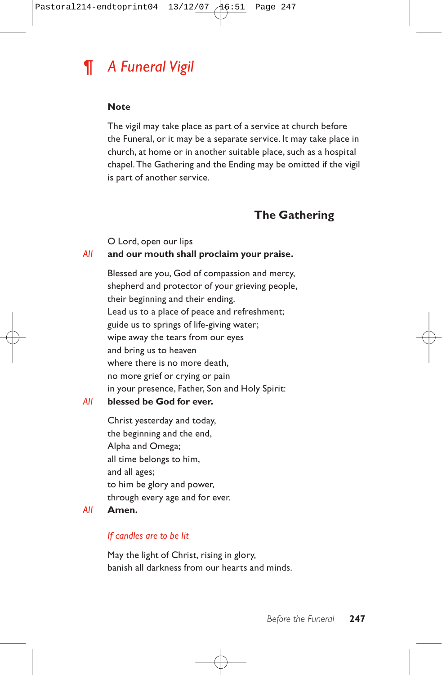# *¶ A Funeral Vigil*

#### **Note**

The vigil may take place as part of a service at church before the Funeral, or it may be a separate service. It may take place in church, at home or in another suitable place, such as a hospital chapel. The Gathering and the Ending may be omitted if the vigil is part of another service.

## **The Gathering**

O Lord, open our lips

## *All* **and our mouth shall proclaim your praise.**

Blessed are you, God of compassion and mercy, shepherd and protector of your grieving people, their beginning and their ending. Lead us to a place of peace and refreshment; guide us to springs of life-giving water; wipe away the tears from our eyes and bring us to heaven where there is no more death, no more grief or crying or pain in your presence, Father, Son and Holy Spirit:

#### *All* **blessed be God for ever.**

Christ yesterday and today, the beginning and the end, Alpha and Omega; all time belongs to him, and all ages; to him be glory and power, through every age and for ever.

*All* **Amen.**

#### *If candles are to be lit*

May the light of Christ, rising in glory, banish all darkness from our hearts and minds.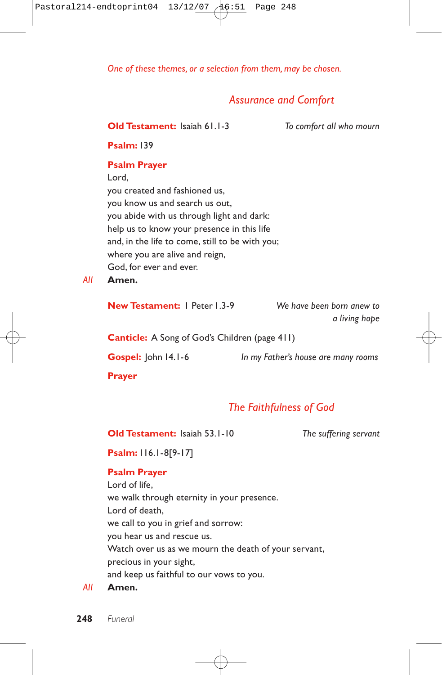*One of these themes, or a selection from them, may be chosen.*

## *Assurance and Comfort*

#### **Old Testament:** Isaiah 61.1-3 *To comfort all who mourn*

**Psalm:** 139

#### **Psalm Prayer**

Lord,

you created and fashioned us, you know us and search us out, you abide with us through light and dark: help us to know your presence in this life and, in the life to come, still to be with you; where you are alive and reign, God, for ever and ever.

*All* **Amen.**

|  | <b>New Testament:</b>   Peter 1.3-9 | We have been born anew to |
|--|-------------------------------------|---------------------------|
|  |                                     |                           |

*a living hope*

**Canticle:** A Song of God's Children (page 411)

**Gospel:** John 14.1-6 *In my Father's house are many rooms*

**Prayer**

## *The Faithfulness of God*

**Old Testament:** Isaiah 53.1-10 *The suffering servant*

**Psalm:** 116.1-8[9-17]

## **Psalm Prayer**

Lord of life, we walk through eternity in your presence. Lord of death, we call to you in grief and sorrow: you hear us and rescue us. Watch over us as we mourn the death of your servant, precious in your sight, and keep us faithful to our vows to you.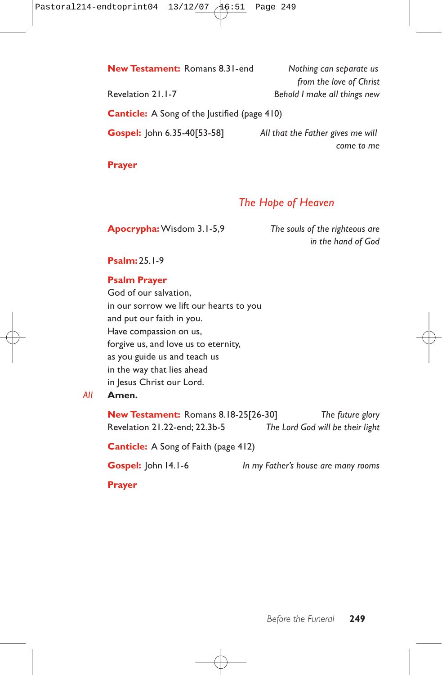**New Testament:** Romans 8.31-end *Nothing can separate us from the love of Christ* Revelation 21.1-7 *Behold I make all things new* **Canticle:** A Song of the Justified (page 410) **Gospel:** John 6.35-40[53-58] *All that the Father gives me will come to me*

**Prayer**

## *The Hope of Heaven*

|  | Apocrypha: Wisdom 3.1-5,9 |  |
|--|---------------------------|--|
|--|---------------------------|--|

The souls of the righteous are *in the hand of God*

**Psalm:** 25.1-9

## **Psalm Prayer**

God of our salvation, in our sorrow we lift our hearts to you and put our faith in you. Have compassion on us, forgive us, and love us to eternity, as you guide us and teach us in the way that lies ahead in Jesus Christ our Lord.

## *All* **Amen.**

**New Testament:** Romans 8.18-25[26-30] *The future glory* Revelation 21.22-end; 22.3b-5 *The Lord God will be their light*

**Canticle:** A Song of Faith (page 412)

**Gospel:** John 14.1-6 *In my Father's house are many rooms*

**Prayer**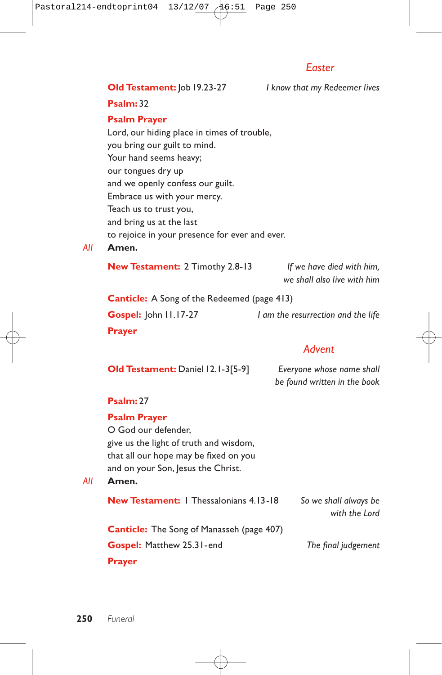#### *Easter*

**Old Testament:** Job 19.23-27 *I know that my Redeemer lives*

#### **Psalm:** 32

#### **Psalm Prayer**

Lord, our hiding place in times of trouble, you bring our guilt to mind. Your hand seems heavy; our tongues dry up and we openly confess our guilt. Embrace us with your mercy. Teach us to trust you, and bring us at the last to rejoice in your presence for ever and ever.

#### *All* **Amen.**

**New Testament:** 2 Timothy 2.8-13 *If we have died with him, we shall also live with him*

**Canticle:** A Song of the Redeemed (page 413)

**Gospel:** John 11.17-27 *I am the resurrection and the life* **Prayer**

#### *Advent*

| <b>Old Testament:</b> Daniel 12.1-3[5-9] | Everyone whose name shall    |
|------------------------------------------|------------------------------|
|                                          | be found written in the book |

#### **Psalm:** 27

#### **Psalm Prayer**

O God our defender, give us the light of truth and wisdom, that all our hope may be fixed on you and on your Son, Jesus the Christ.

*All* **Amen.**

| <b>New Testament:</b> 1 Thessalonians 4.13-18    | So we shall always be |
|--------------------------------------------------|-----------------------|
|                                                  | with the Lord         |
| <b>Canticle:</b> The Song of Manasseh (page 407) |                       |
| <b>Gospel:</b> Matthew 25.31-end                 | The final judgement   |
| <b>Prayer</b>                                    |                       |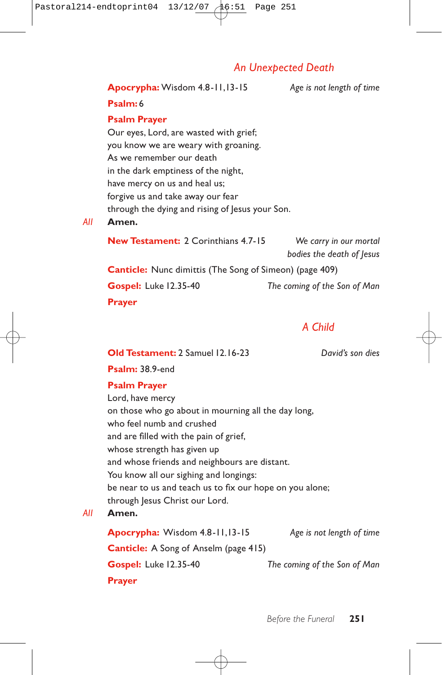### *An Unexpected Death*

**Apocrypha:** Wisdom 4.8-11,13-15 *Age is not length of time* **Psalm:** 6 **Psalm Prayer** Our eyes, Lord, are wasted with grief; you know we are weary with groaning. As we remember our death in the dark emptiness of the night, have mercy on us and heal us; forgive us and take away our fear through the dying and rising of lesus your Son. *All* **Amen. New Testament:** 2 Corinthians 4.7-15 *We carry in our mortal bodies the death of Jesus* **Canticle:** Nunc dimittis (The Song of Simeon) (page 409) **Gospel:** Luke 12.35-40 *The coming of the Son of Man* **Prayer**

*A Child*

#### **Old Testament:** 2 Samuel 12.16-23 *David's son dies*

**Psalm:** 38.9-end

#### **Psalm Prayer**

Lord, have mercy on those who go about in mourning all the day long, who feel numb and crushed and are filled with the pain of grief, whose strength has given up and whose friends and neighbours are distant. You know all our sighing and longings: be near to us and teach us to fix our hope on you alone; through Jesus Christ our Lord.

#### *All* **Amen.**

**Apocrypha:** Wisdom 4.8-11,13-15 *Age is not length of time* **Canticle:** A Song of Anselm (page 415) **Gospel:** Luke 12.35-40 *The coming of the Son of Man* **Prayer**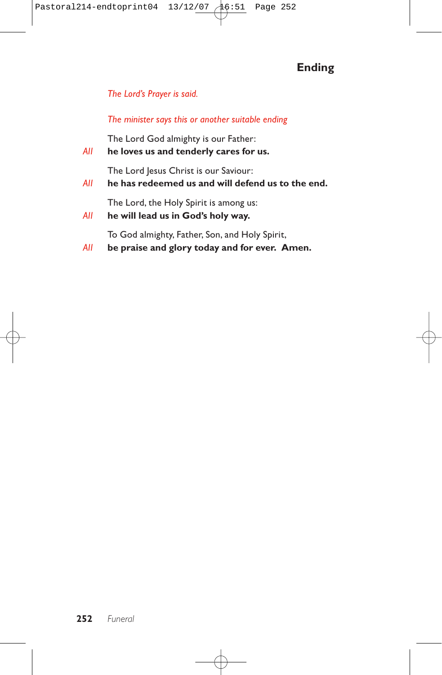## **Ending**

#### *The Lord's Prayer is said.*

#### *The minister says this or another suitable ending*

The Lord God almighty is our Father:

### *All* **he loves us and tenderly cares for us.**

The Lord Jesus Christ is our Saviour:

*All* **he has redeemed us and will defend us to the end.**

The Lord, the Holy Spirit is among us:

*All* **he will lead us in God's holy way.**

To God almighty, Father, Son, and Holy Spirit,

*All* **be praise and glory today and for ever. Amen.**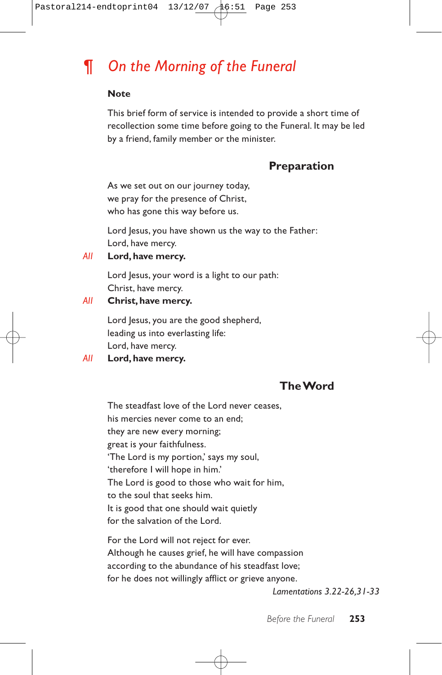# *¶ On the Morning of the Funeral*

#### **Note**

This brief form of service is intended to provide a short time of recollection some time before going to the Funeral. It may be led by a friend, family member or the minister.

## **Preparation**

As we set out on our journey today, we pray for the presence of Christ, who has gone this way before us.

Lord Jesus, you have shown us the way to the Father: Lord, have mercy.

#### *All* **Lord, have mercy.**

Lord Jesus, your word is a light to our path: Christ, have mercy.

#### *All* **Christ, have mercy.**

Lord Jesus, you are the good shepherd, leading us into everlasting life: Lord, have mercy.

*All* **Lord, have mercy.**

## **The Word**

The steadfast love of the Lord never ceases, his mercies never come to an end; they are new every morning; great is your faithfulness. 'The Lord is my portion,' says my soul, 'therefore I will hope in him.' The Lord is good to those who wait for him, to the soul that seeks him. It is good that one should wait quietly for the salvation of the Lord.

For the Lord will not reject for ever. Although he causes grief, he will have compassion according to the abundance of his steadfast love; for he does not willingly afflict or grieve anyone.

*Lamentations 3.22-26,31-33*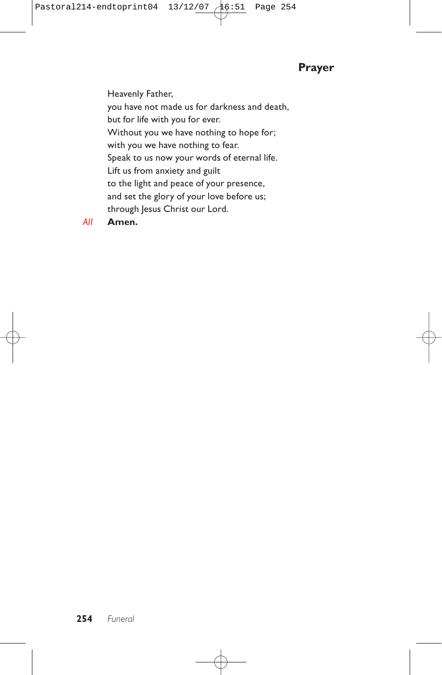Heavenly Father, you have not made us for darkness and death, but for life with you for ever. Without you we have nothing to hope for; with you we have nothing to fear. Speak to us now your words of eternal life. Lift us from anxiety and guilt to the light and peace of your presence, and set the glory of your love before us; through Jesus Christ our Lord.

*All* **Amen.**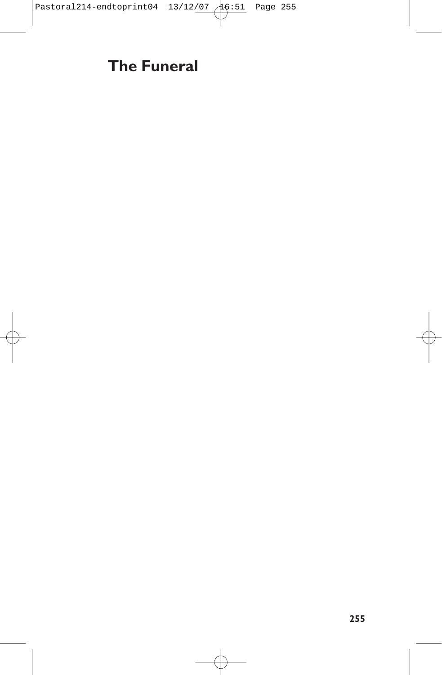## **The Funeral**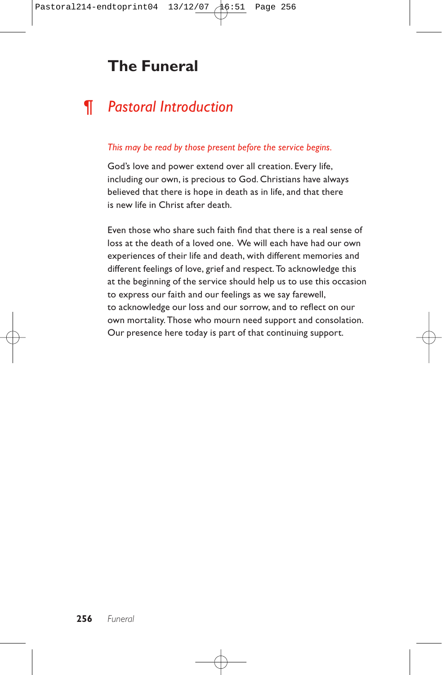## **The Funeral**

## *¶ Pastoral Introduction*

#### *This may be read by those present before the service begins.*

God's love and power extend over all creation. Every life, including our own, is precious to God. Christians have always believed that there is hope in death as in life, and that there is new life in Christ after death.

Even those who share such faith find that there is a real sense of loss at the death of a loved one. We will each have had our own experiences of their life and death, with different memories and different feelings of love, grief and respect. To acknowledge this at the beginning of the service should help us to use this occasion to express our faith and our feelings as we say farewell, to acknowledge our loss and our sorrow, and to reflect on our own mortality. Those who mourn need support and consolation. Our presence here today is part of that continuing support.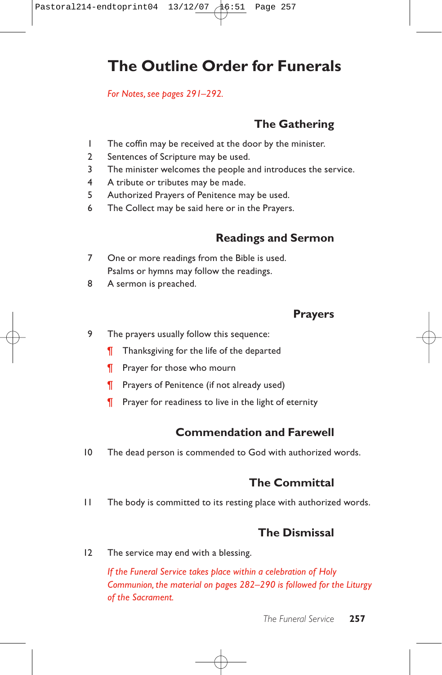## **The Outline Order for Funerals**

#### *For Notes, see pages 291–292.*

## **The Gathering**

- 1 The coffin may be received at the door by the minister.
- 2 Sentences of Scripture may be used.
- 3 The minister welcomes the people and introduces the service.
- 4 A tribute or tributes may be made.
- 5 Authorized Prayers of Penitence may be used.
- 6 The Collect may be said here or in the Prayers.

### **Readings and Sermon**

- 7 One or more readings from the Bible is used. Psalms or hymns may follow the readings.
- 8 A sermon is preached.

### **Prayers**

- 9 The prayers usually follow this sequence:
	- **T** Thanksgiving for the life of the departed
	- ¶ Prayer for those who mourn
	- ¶ Prayers of Penitence (if not already used)
	- ¶ Prayer for readiness to live in the light of eternity

### **Commendation and Farewell**

10 The dead person is commended to God with authorized words.

### **The Committal**

11 The body is committed to its resting place with authorized words.

### **The Dismissal**

12 The service may end with a blessing.

*If the Funeral Service takes place within a celebration of Holy Communion, the material on pages 282–290 is followed for the Liturgy of the Sacrament.*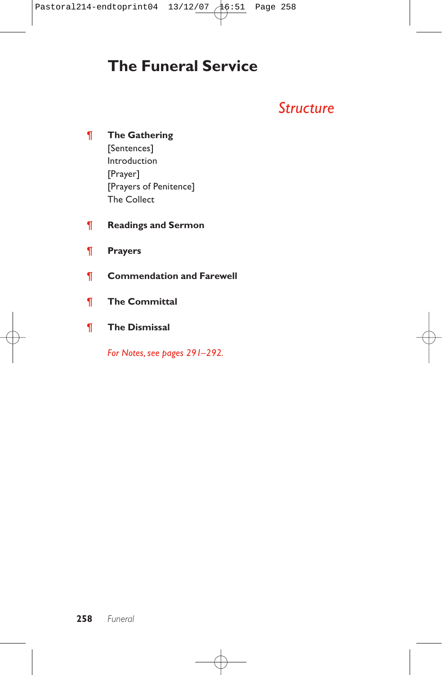## **The Funeral Service**

## *Structure*

### ¶ **The Gathering**

[Sentences] Introduction [Prayer] [Prayers of Penitence] The Collect

- ¶ **Readings and Sermon**
- ¶ **Prayers**
- ¶ **Commendation and Farewell**
- ¶ **The Committal**
- ¶ **The Dismissal**

*For Notes, see pages 291–292.*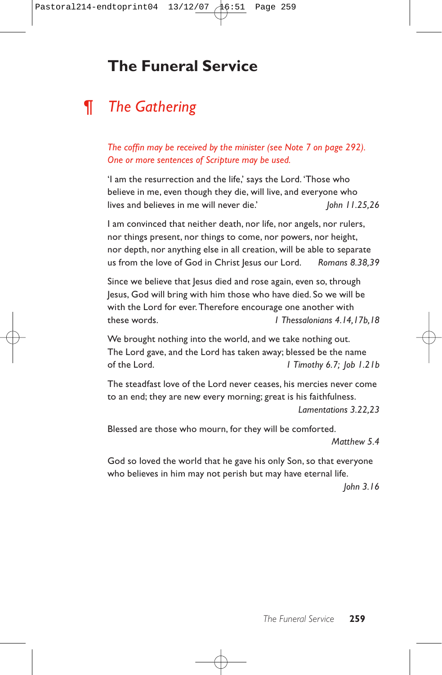## **The Funeral Service**

## *¶ The Gathering*

*The coffin may be received by the minister (see Note 7 on page 292). One or more sentences of Scripture may be used.*

'I am the resurrection and the life,' says the Lord. 'Those who believe in me, even though they die, will live, and everyone who lives and believes in me will never die.' *John 11.25.26* 

I am convinced that neither death, nor life, nor angels, nor rulers, nor things present, nor things to come, nor powers, nor height, nor depth, nor anything else in all creation, will be able to separate us from the love of God in Christ Jesus our Lord. *Romans 8.38,39*

Since we believe that lesus died and rose again, even so, through Jesus, God will bring with him those who have died. So we will be with the Lord for ever. Therefore encourage one another with these words. *1 Thessalonians 4.14,17b,18*

We brought nothing into the world, and we take nothing out. The Lord gave, and the Lord has taken away; blessed be the name of the Lord. *1 Timothy 6.7; Job 1.21b*

The steadfast love of the Lord never ceases, his mercies never come to an end; they are new every morning; great is his faithfulness.

*Lamentations 3.22,23*

Blessed are those who mourn, for they will be comforted.

#### *Matthew 5.4*

God so loved the world that he gave his only Son, so that everyone who believes in him may not perish but may have eternal life.

*John 3.16*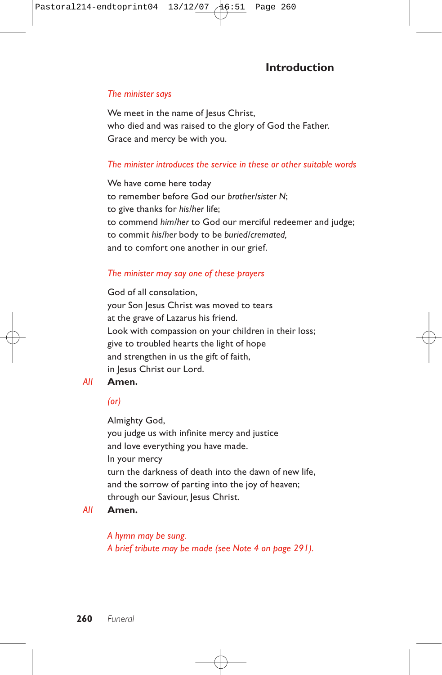### **Introduction**

#### *The minister says*

We meet in the name of lesus Christ, who died and was raised to the glory of God the Father. Grace and mercy be with you.

#### *The minister introduces the service in these or other suitable words*

We have come here today to remember before God our *brother/sister N*; to give thanks for *his/her* life; to commend *him/her* to God our merciful redeemer and judge; to commit *his/her* body to be *buried/cremated,* and to comfort one another in our grief.

#### *The minister may say one of these prayers*

God of all consolation, your Son Jesus Christ was moved to tears at the grave of Lazarus his friend. Look with compassion on your children in their loss; give to troubled hearts the light of hope and strengthen in us the gift of faith, in Jesus Christ our Lord.

#### *All* **Amen.**

#### *(or)*

Almighty God, you judge us with infinite mercy and justice and love everything you have made. In your mercy turn the darkness of death into the dawn of new life, and the sorrow of parting into the joy of heaven; through our Saviour, Jesus Christ.

*All* **Amen.**

*A hymn may be sung. A brief tribute may be made (see Note 4 on page 291).*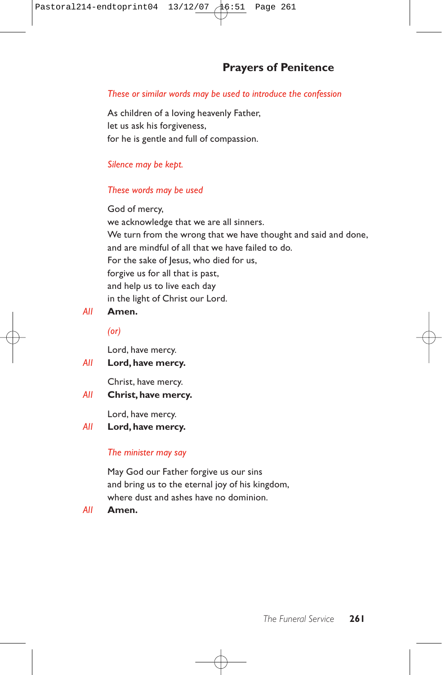## **Prayers of Penitence**

#### *These or similar words may be used to introduce the confession*

As children of a loving heavenly Father, let us ask his forgiveness, for he is gentle and full of compassion.

#### *Silence may be kept.*

#### *These words may be used*

God of mercy, we acknowledge that we are all sinners. We turn from the wrong that we have thought and said and done, and are mindful of all that we have failed to do. For the sake of lesus, who died for us, forgive us for all that is past, and help us to live each day in the light of Christ our Lord.

*All* **Amen.**

*(or)*

Lord, have mercy.

*All* **Lord, have mercy.**

Christ, have mercy.

*All* **Christ, have mercy.**

Lord, have mercy.

#### *All* **Lord, have mercy.**

#### *The minister may say*

May God our Father forgive us our sins and bring us to the eternal joy of his kingdom, where dust and ashes have no dominion.

*All* **Amen.**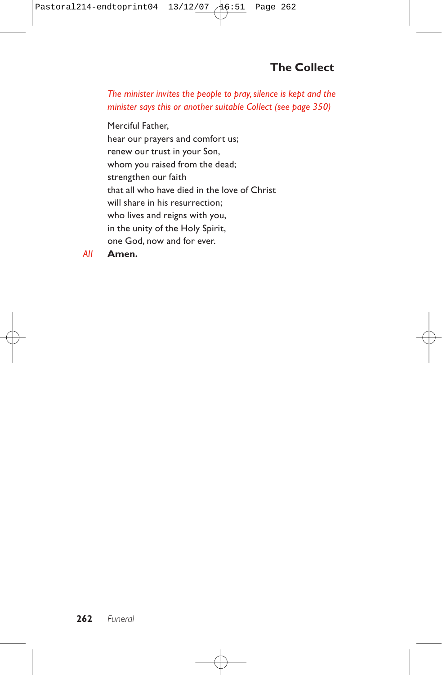*The minister invites the people to pray, silence is kept and the minister says this or another suitable Collect (see page 350)*

Merciful Father, hear our prayers and comfort us; renew our trust in your Son, whom you raised from the dead; strengthen our faith that all who have died in the love of Christ will share in his resurrection; who lives and reigns with you, in the unity of the Holy Spirit, one God, now and for ever.

*All* **Amen.**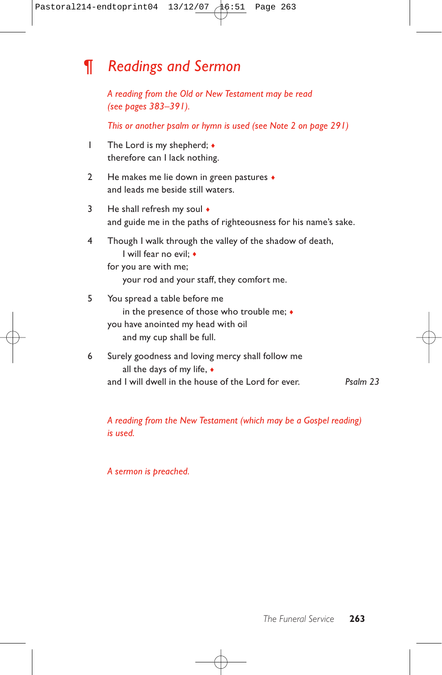## *¶ Readings and Sermon*

*A reading from the Old or New Testament may be read (see pages 383–391).*

*This or another psalm or hymn is used (see Note 2 on page 291)*

- 1 The Lord is my shepherd; ♦ therefore can I lack nothing.
- 2 He makes me lie down in green pastures ◆ and leads me beside still waters.
- 3 He shall refresh my soul  $\bullet$ and guide me in the paths of righteousness for his name's sake.
- 4 Though I walk through the valley of the shadow of death, I will fear no evil; ♦ for you are with me; your rod and your staff, they comfort me.
- 5 You spread a table before me in the presence of those who trouble me; ♦ you have anointed my head with oil and my cup shall be full.
- 6 Surely goodness and loving mercy shall follow me all the days of my life, ♦ and I will dwell in the house of the Lord for ever. *Psalm 23*

*A reading from the New Testament (which may be a Gospel reading) is used.*

*A sermon is preached.*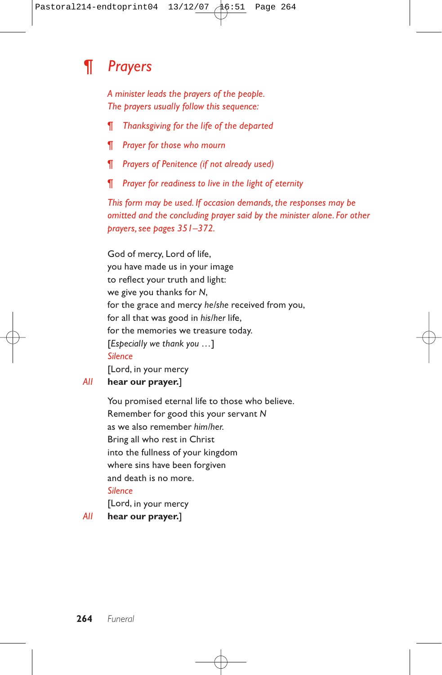# *¶ Prayers*

*A minister leads the prayers of the people. The prayers usually follow this sequence:*

- *¶ Thanksgiving for the life of the departed*
- *¶ Prayer for those who mourn*
- *¶ Prayers of Penitence (if not already used)*
- *¶ Prayer for readiness to live in the light of eternity*

*This form may be used. If occasion demands, the responses may be omitted and the concluding prayer said by the minister alone. For other prayers, see pages 351–372.*

God of mercy, Lord of life, you have made us in your image to reflect your truth and light: we give you thanks for *N*, for the grace and mercy *he/she* received from you, for all that was good in *his/her* life, for the memories we treasure today. [*Especially we thank you …*] *Silence*

[Lord, in your mercy

#### *All* **hear our prayer.**]

You promised eternal life to those who believe. Remember for good this your servant *N* as we also remember *him/her.* Bring all who rest in Christ into the fullness of your kingdom where sins have been forgiven and death is no more. *Silence*

[Lord, in your mercy

#### *All* **hear our prayer.**]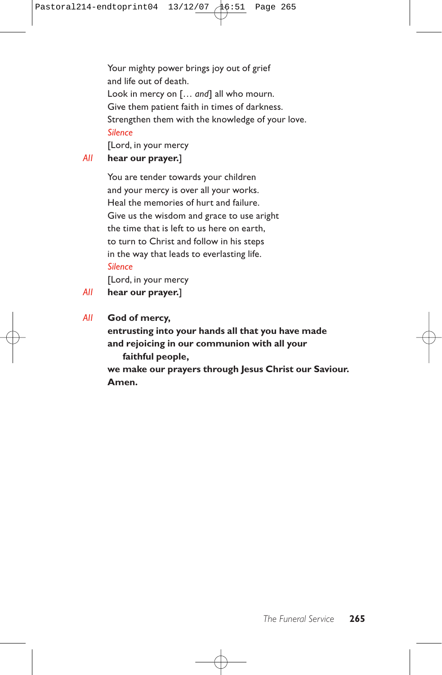Your mighty power brings joy out of grief and life out of death. Look in mercy on [… *and*] all who mourn. Give them patient faith in times of darkness. Strengthen them with the knowledge of your love. *Silence*

[Lord, in your mercy

#### *All* **hear our prayer.**]

You are tender towards your children and your mercy is over all your works. Heal the memories of hurt and failure. Give us the wisdom and grace to use aright the time that is left to us here on earth, to turn to Christ and follow in his steps in the way that leads to everlasting life. *Silence*

[Lord, in your mercy

*All* **hear our prayer.**]

#### *All* **God of mercy,**

**entrusting into your hands all that you have made and rejoicing in our communion with all your faithful people,**

**we make our prayers through Jesus Christ our Saviour. Amen.**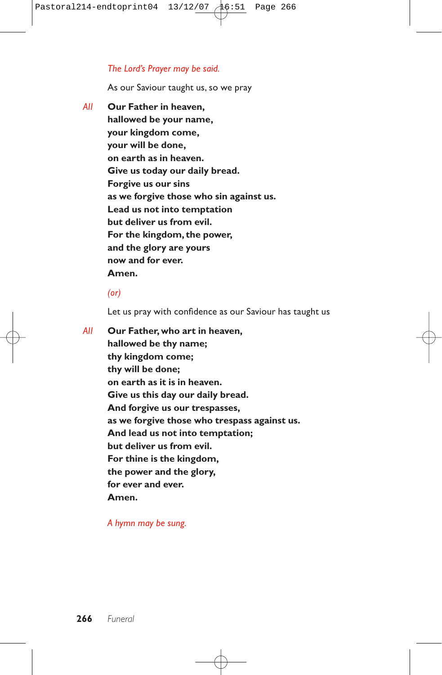#### *The Lord's Prayer may be said.*

As our Saviour taught us, so we pray

*All* **Our Father in heaven, hallowed be your name, your kingdom come, your will be done, on earth as in heaven. Give us today our daily bread. Forgive us our sins as we forgive those who sin against us. Lead us not into temptation but deliver us from evil. For the kingdom, the power, and the glory are yours now and for ever. Amen.**

#### *(or)*

Let us pray with confidence as our Saviour has taught us

*All* **Our Father,who art in heaven, hallowed be thy name; thy kingdom come; thy will be done; on earth as it is in heaven. Give us this day our daily bread. And forgive us our trespasses, as we forgive those who trespass against us. And lead us not into temptation; but deliver us from evil. For thine is the kingdom, the power and the glory, for ever and ever. Amen.**

*A hymn may be sung.*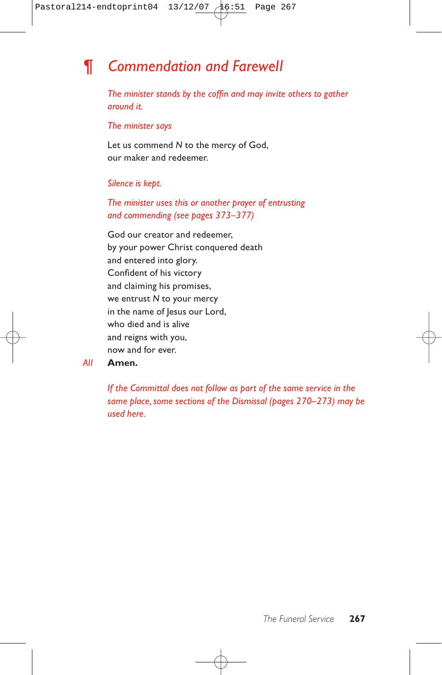# *¶ Commendation and Farewell*

*The minister stands by the coffin and may invite others to gather around it.*

*The minister says*

Let us commend *N* to the mercy of God, our maker and redeemer.

#### *Silence is kept.*

*The minister uses this or another prayer of entrusting and commending (see pages 373–377)*

God our creator and redeemer, by your power Christ conquered death and entered into glory. Confident of his victory and claiming his promises, we entrust *N* to your mercy in the name of Jesus our Lord, who died and is alive and reigns with you, now and for ever.

#### *All* **Amen.**

*If the Committal does not follow as part of the same service in the same place, some sections of the Dismissal (pages 270–273) may be used here.*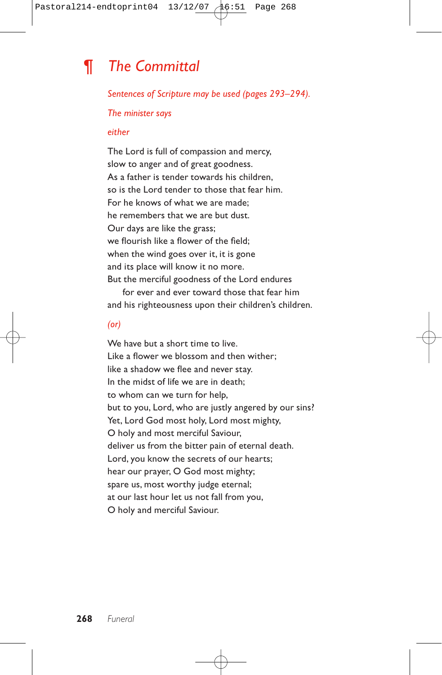## *¶ The Committal*

*Sentences of Scripture may be used (pages 293–294).*

#### *The minister says*

#### *either*

The Lord is full of compassion and mercy, slow to anger and of great goodness. As a father is tender towards his children, so is the Lord tender to those that fear him. For he knows of what we are made; he remembers that we are but dust. Our days are like the grass; we flourish like a flower of the field; when the wind goes over it, it is gone and its place will know it no more. But the merciful goodness of the Lord endures

for ever and ever toward those that fear him and his righteousness upon their children's children.

#### *(or)*

We have but a short time to live. Like a flower we blossom and then wither; like a shadow we flee and never stay. In the midst of life we are in death; to whom can we turn for help, but to you, Lord, who are justly angered by our sins? Yet, Lord God most holy, Lord most mighty, O holy and most merciful Saviour, deliver us from the bitter pain of eternal death. Lord, you know the secrets of our hearts; hear our prayer, O God most mighty; spare us, most worthy judge eternal; at our last hour let us not fall from you, O holy and merciful Saviour.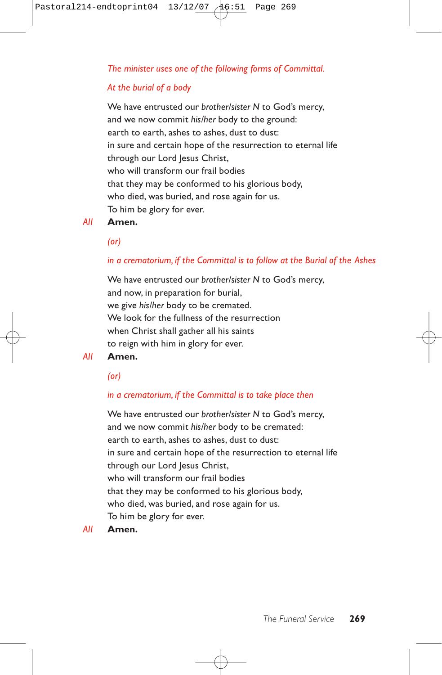#### *The minister uses one of the following forms of Committal.*

### *At the burial of a body*

We have entrusted our *brother/sister N* to God's mercy, and we now commit *his/her* body to the ground: earth to earth, ashes to ashes, dust to dust: in sure and certain hope of the resurrection to eternal life through our Lord Jesus Christ, who will transform our frail bodies that they may be conformed to his glorious body, who died, was buried, and rose again for us. To him be glory for ever.

#### *All* **Amen.**

*(or)*

#### *in a crematorium, if the Committal is to follow at the Burial of the Ashes*

We have entrusted our *brother/sister N* to God's mercy, and now, in preparation for burial, we give *his/her* body to be cremated. We look for the fullness of the resurrection when Christ shall gather all his saints to reign with him in glory for ever.

#### *All* **Amen.**

*(or)*

#### *in a crematorium, if the Committal is to take place then*

We have entrusted our *brother/sister N* to God's mercy, and we now commit *his/her* body to be cremated: earth to earth, ashes to ashes, dust to dust: in sure and certain hope of the resurrection to eternal life through our Lord Jesus Christ. who will transform our frail bodies that they may be conformed to his glorious body, who died, was buried, and rose again for us. To him be glory for ever.

#### *All* **Amen.**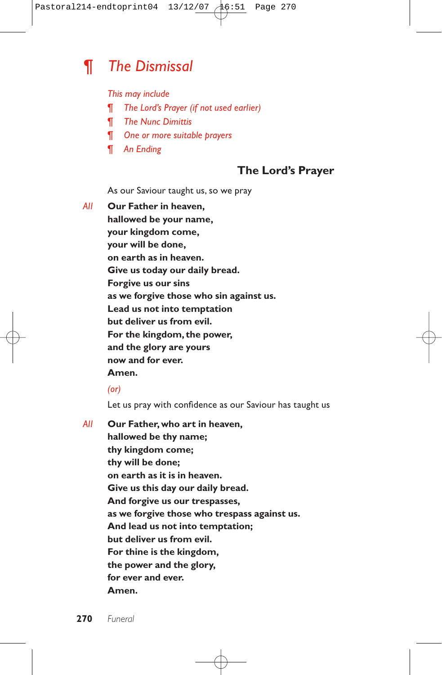

*This may include*

- *¶ The Lord's Prayer (if not used earlier)*
- *¶ The Nunc Dimittis*
- *¶ One or more suitable prayers*
- *¶ An Ending*

### **The Lord's Prayer**

As our Saviour taught us, so we pray

*All* **Our Father in heaven, hallowed be your name, your kingdom come, your will be done, on earth as in heaven. Give us today our daily bread. Forgive us our sins as we forgive those who sin against us. Lead us not into temptation but deliver us from evil. For the kingdom, the power, and the glory are yours now and for ever. Amen.**

#### *(or)*

Let us pray with confidence as our Saviour has taught us

*All* **Our Father, who art in heaven, hallowed be thy name; thy kingdom come; thy will be done; on earth as it is in heaven. Give us this day our daily bread. And forgive us our trespasses, as we forgive those who trespass against us. And lead us not into temptation; but deliver us from evil. For thine is the kingdom, the power and the glory, for ever and ever. Amen.**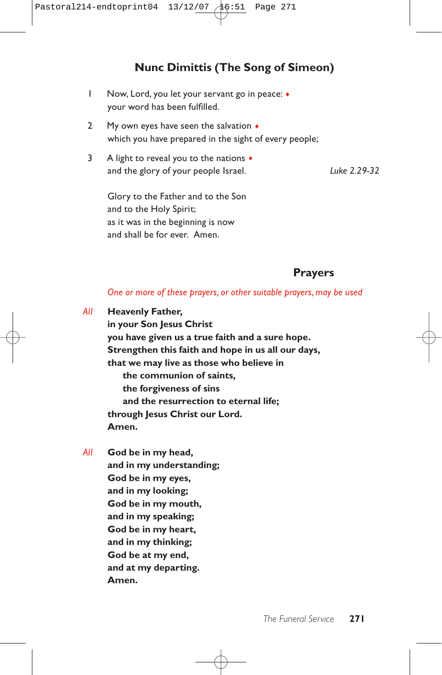## **Nunc Dimittis (The Song of Simeon)**

- 1 Now, Lord, you let your servant go in peace: ♦ your word has been fulfilled.
- 2 My own eyes have seen the salvation  $\triangle$ which you have prepared in the sight of every people;
- 3 A light to reveal you to the nations ♦ and the glory of your people Israel. *Luke 2.29-32*

Glory to the Father and to the Son and to the Holy Spirit; as it was in the beginning is now and shall be for ever. Amen.

#### **Prayers**

#### *One or more of these prayers, or other suitable prayers, may be used*

*All* **Heavenly Father, in your Son Jesus Christ you have given us a true faith and a sure hope. Strengthen this faith and hope in us all our days, that we may live as those who believe in the communion of saints, the forgiveness of sins and the resurrection to eternal life; through Jesus Christ our Lord. Amen.**

*All* **God be in my head, and in my understanding; God be in my eyes, and in my looking; God be in my mouth, and in my speaking; God be in my heart, and in my thinking; God be at my end, and at my departing. Amen.**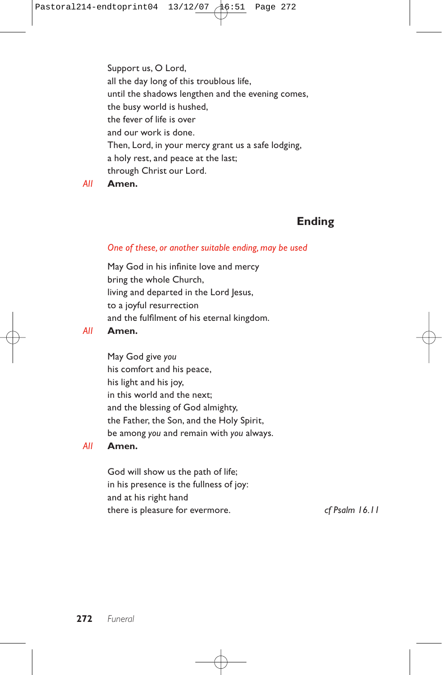Support us, O Lord, all the day long of this troublous life, until the shadows lengthen and the evening comes, the busy world is hushed, the fever of life is over and our work is done. Then, Lord, in your mercy grant us a safe lodging, a holy rest, and peace at the last; through Christ our Lord.

*All* **Amen.**

## **Ending**

#### *One of these, or another suitable ending, may be used*

May God in his infinite love and mercy bring the whole Church, living and departed in the Lord Jesus, to a joyful resurrection and the fulfilment of his eternal kingdom.

#### *All* **Amen.**

May God give *you* his comfort and his peace, his light and his joy, in this world and the next; and the blessing of God almighty, the Father, the Son, and the Holy Spirit, be among *you* and remain with *you* always.

#### *All* **Amen.**

God will show us the path of life; in his presence is the fullness of joy: and at his right hand there is pleasure for evermore. *cf Psalm 16.11*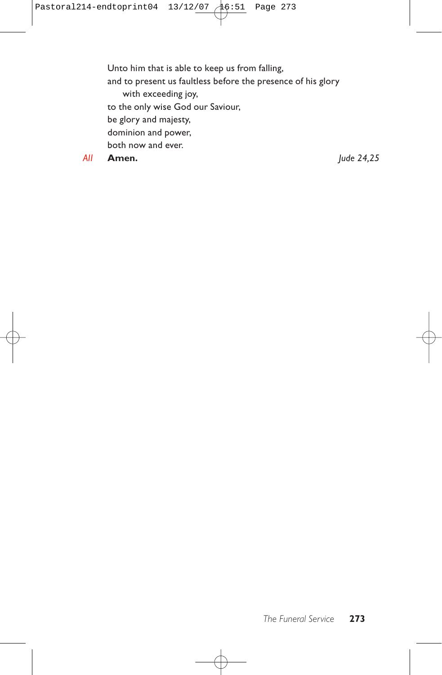Unto him that is able to keep us from falling, and to present us faultless before the presence of his glory with exceeding joy, to the only wise God our Saviour, be glory and majesty, dominion and power, both now and ever. *All* **Amen.** *Jude 24,25*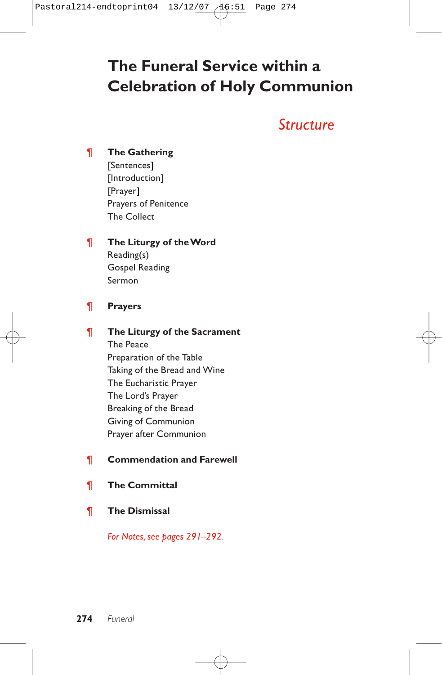# **The Funeral Service within a Celebration of Holy Communion**

## *Structure*

#### ¶ **The Gathering**

[Sentences] [Introduction] [Prayer] Prayers of Penitence The Collect

#### ¶ **The Liturgy of the Word** Reading(s) Gospel Reading Sermon

#### ¶ **Prayers**

### ¶ **The Liturgy of the Sacrament**

The Peace Preparation of the Table Taking of the Bread and Wine The Eucharistic Prayer The Lord's Prayer Breaking of the Bread Giving of Communion Prayer after Communion

- ¶ **Commendation and Farewell**
- ¶ **The Committal**
- ¶ **The Dismissal**

*For Notes, see pages 291–292.*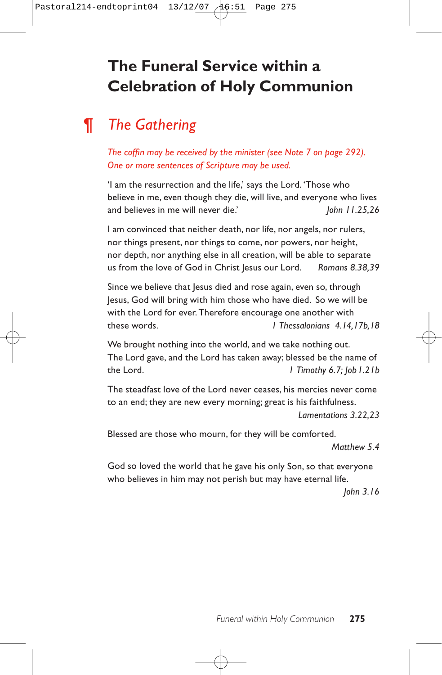# **The Funeral Service within a Celebration of Holy Communion**

## *¶ The Gathering*

*The coffin may be received by the minister (see Note 7 on page 292). One or more sentences of Scripture may be used.*

'I am the resurrection and the life,' says the Lord. 'Those who believe in me, even though they die, will live, and everyone who lives and believes in me will never die.' *John 11.25,26*

I am convinced that neither death, nor life, nor angels, nor rulers, nor things present, nor things to come, nor powers, nor height, nor depth, nor anything else in all creation, will be able to separate us from the love of God in Christ Jesus our Lord. *Romans 8.38,39*

Since we believe that Jesus died and rose again, even so, through Jesus, God will bring with him those who have died. So we will be with the Lord for ever. Therefore encourage one another with these words. *1 Thessalonians 4.14,17b,18*

We brought nothing into the world, and we take nothing out. The Lord gave, and the Lord has taken away; blessed be the name of the Lord. *1 Timothy 6.7; Job1.21b*

The steadfast love of the Lord never ceases, his mercies never come to an end; they are new every morning; great is his faithfulness.

*Lamentations 3.22,23*

Blessed are those who mourn, for they will be comforted.

*Matthew 5.4*

God so loved the world that he gave his only Son, so that everyone who believes in him may not perish but may have eternal life.

*John 3.16*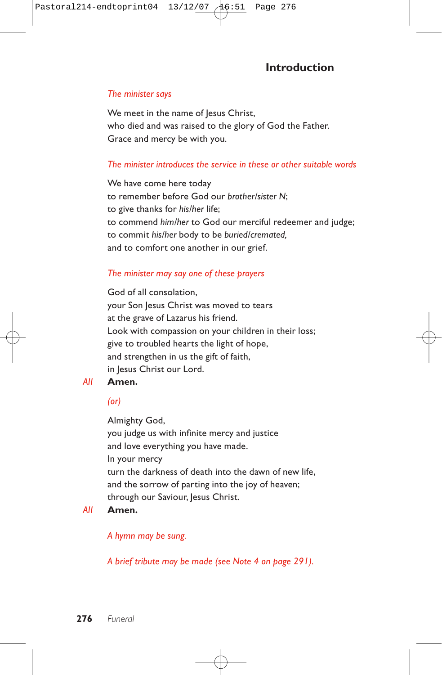## **Introduction**

#### *The minister says*

We meet in the name of lesus Christ, who died and was raised to the glory of God the Father. Grace and mercy be with you.

#### *The minister introduces the service in these or other suitable words*

We have come here today to remember before God our *brother/sister N*; to give thanks for *his/her* life; to commend *him/her* to God our merciful redeemer and judge; to commit *his/her* body to be *buried/cremated,* and to comfort one another in our grief.

#### *The minister may say one of these prayers*

God of all consolation, your Son Jesus Christ was moved to tears at the grave of Lazarus his friend. Look with compassion on your children in their loss; give to troubled hearts the light of hope, and strengthen in us the gift of faith, in Jesus Christ our Lord.

#### *All* **Amen.**

#### *(or)*

Almighty God, you judge us with infinite mercy and justice and love everything you have made. In your mercy turn the darkness of death into the dawn of new life, and the sorrow of parting into the joy of heaven; through our Saviour, Jesus Christ.

#### *All* **Amen.**

*A hymn may be sung.*

*A brief tribute may be made (see Note 4 on page 291).*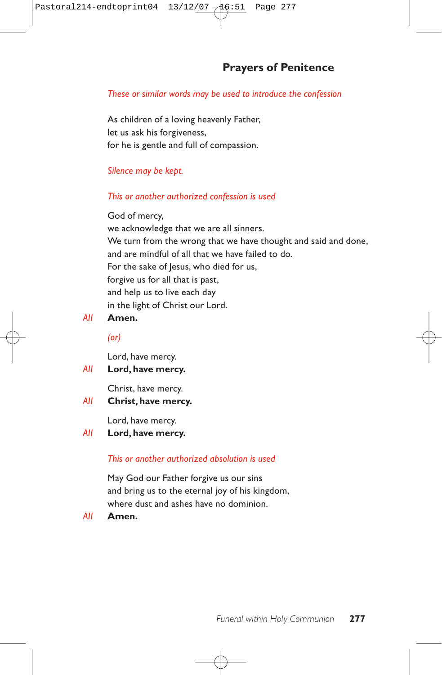## **Prayers of Penitence**

#### *These or similar words may be used to introduce the confession*

As children of a loving heavenly Father, let us ask his forgiveness, for he is gentle and full of compassion.

#### *Silence may be kept.*

#### *This or another authorized confession is used*

God of mercy, we acknowledge that we are all sinners. We turn from the wrong that we have thought and said and done, and are mindful of all that we have failed to do. For the sake of Jesus, who died for us, forgive us for all that is past, and help us to live each day in the light of Christ our Lord.

*All* **Amen.**

*(or)*

Lord, have mercy.

*All* **Lord, have mercy.**

Christ, have mercy.

*All* **Christ, have mercy.**

Lord, have mercy.

*All* **Lord, have mercy.**

#### *This or another authorized absolution is used*

May God our Father forgive us our sins and bring us to the eternal joy of his kingdom, where dust and ashes have no dominion.

*All* **Amen.**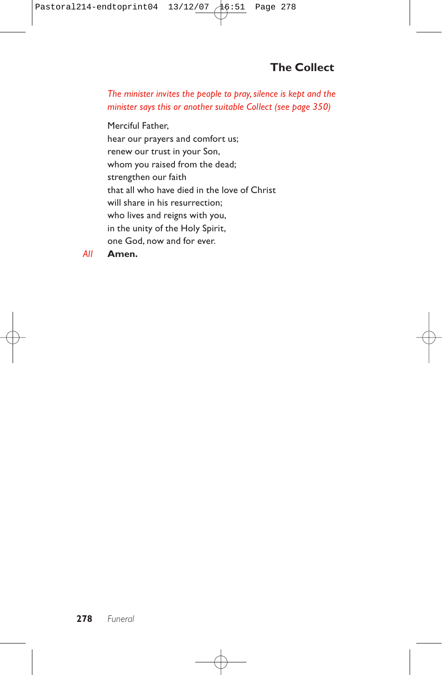*The minister invites the people to pray, silence is kept and the minister says this or another suitable Collect (see page 350)*

Merciful Father, hear our prayers and comfort us; renew our trust in your Son, whom you raised from the dead; strengthen our faith that all who have died in the love of Christ will share in his resurrection; who lives and reigns with you, in the unity of the Holy Spirit, one God, now and for ever.

*All* **Amen.**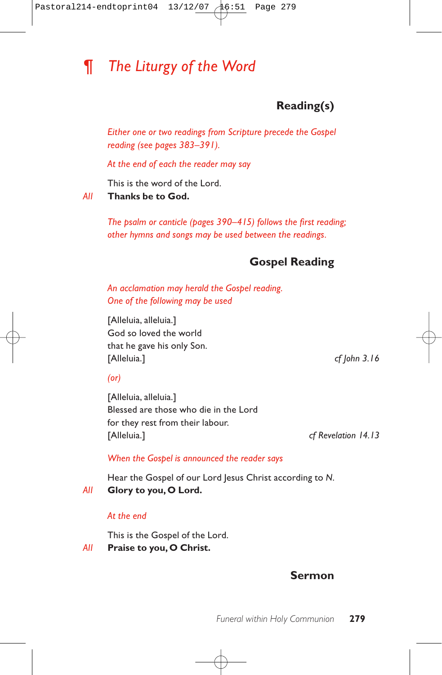## *¶ The Liturgy of the Word*

## **Reading(s)**

*Either one or two readings from Scripture precede the Gospel reading (see pages 383–391).*

*At the end of each the reader may say*

This is the word of the Lord.

*All* **Thanks be to God.**

*The psalm or canticle (pages 390–415) follows the first reading; other hymns and songs may be used between the readings.*

## **Gospel Reading**

### *An acclamation may herald the Gospel reading. One of the following may be used*

[Alleluia, alleluia.] God so loved the world that he gave his only Son. [Alleluia.] *cf John 3.16*

#### *(or)*

[Alleluia, alleluia.] Blessed are those who die in the Lord for they rest from their labour. [Alleluia.] *cf Revelation 14.13*

#### *When the Gospel is announced the reader says*

Hear the Gospel of our Lord Jesus Christ according to *N*. *All* **Glory to you, O Lord.**

#### *At the end*

This is the Gospel of the Lord. *All* **Praise to you, O Christ.**

#### **Sermon**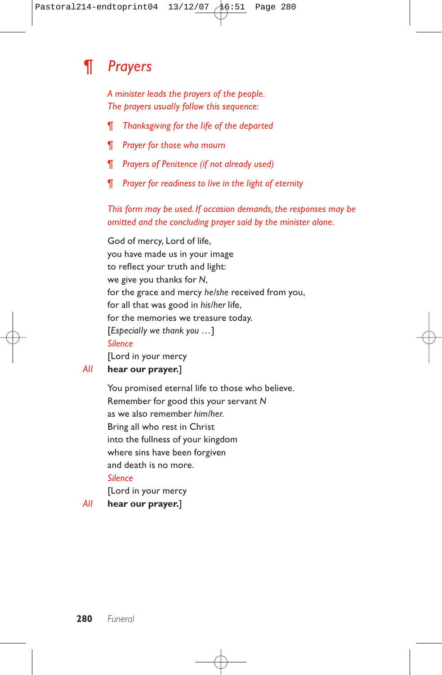## *¶ Prayers*

*A minister leads the prayers of the people. The prayers usually follow this sequence:*

- *¶ Thanksgiving for the life of the departed*
- *¶ Prayer for those who mourn*
- *¶ Prayers of Penitence (if not already used)*
- *¶ Prayer for readiness to live in the light of eternity*

*This form may be used. If occasion demands, the responses may be omitted and the concluding prayer said by the minister alone.*

God of mercy, Lord of life, you have made us in your image to reflect your truth and light: we give you thanks for *N*, for the grace and mercy *he/she* received from you, for all that was good in *his/her* life, for the memories we treasure today. [*Especially we thank you …*] *Silence*

[Lord in your mercy

#### *All* **hear our prayer.**]

You promised eternal life to those who believe. Remember for good this your servant *N* as we also remember *him/her.* Bring all who rest in Christ into the fullness of your kingdom where sins have been forgiven and death is no more. *Silence* [Lord in your mercy

#### *All* **hear our prayer.**]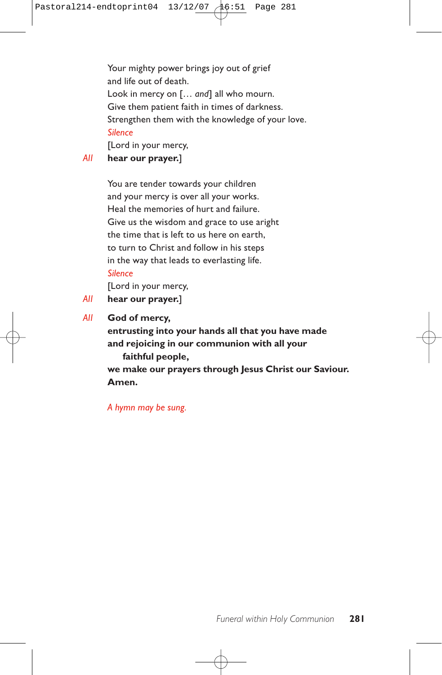Your mighty power brings joy out of grief and life out of death. Look in mercy on [… *and*] all who mourn. Give them patient faith in times of darkness. Strengthen them with the knowledge of your love. *Silence*

[Lord in your mercy,

#### *All* **hear our prayer.**]

You are tender towards your children and your mercy is over all your works. Heal the memories of hurt and failure. Give us the wisdom and grace to use aright the time that is left to us here on earth, to turn to Christ and follow in his steps in the way that leads to everlasting life. *Silence*

[Lord in your mercy,

- *All* **hear our prayer.**]
- *All* **God of mercy,**

**entrusting into your hands all that you have made and rejoicing in our communion with all your faithful people,**

**we make our prayers through Jesus Christ our Saviour. Amen.**

*A hymn may be sung.*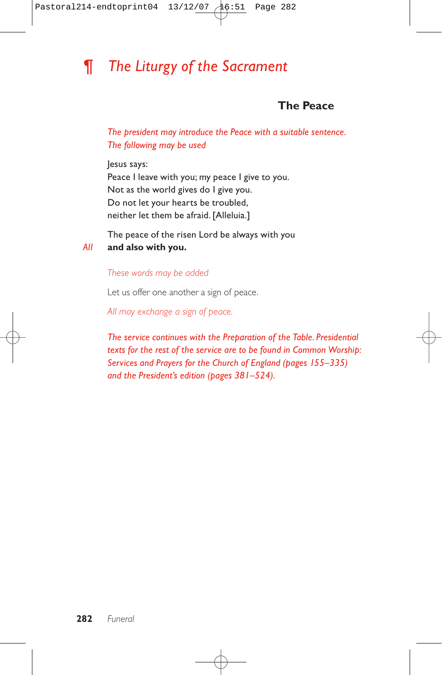# *¶ The Liturgy of the Sacrament*

### **The Peace**

*The president may introduce the Peace with a suitable sentence. The following may be used*

Jesus says: Peace I leave with you; my peace I give to you. Not as the world gives do I give you. Do not let your hearts be troubled, neither let them be afraid. [Alleluia.]

The peace of the risen Lord be always with you

*All* **and also with you.**

#### *These words may be added*

Let us offer one another a sign of peace.

*All may exchange a sign of peace.*

*The service continues with the Preparation of the Table. Presidential texts for the rest of the service are to be found in Common Worship: Services and Prayers for the Church of England (pages 155–335) and the President's edition (pages 381–524).*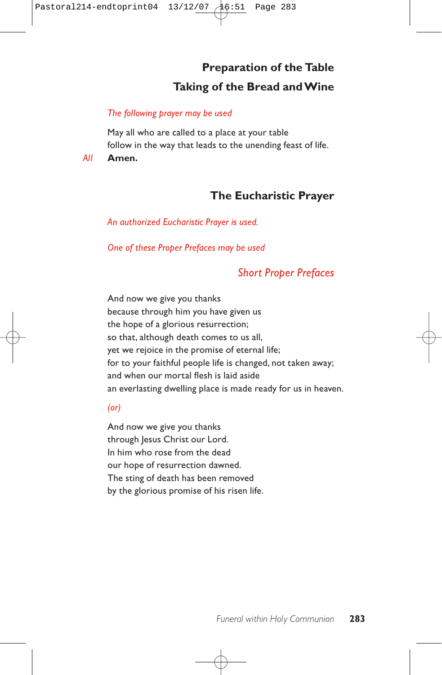## **Preparation of the Table Taking of the Bread and Wine**

#### *The following prayer may be used*

May all who are called to a place at your table follow in the way that leads to the unending feast of life.

*All* **Amen.**

## **The Eucharistic Prayer**

#### *An authorized Eucharistic Prayer is used.*

#### *One of these Proper Prefaces may be used*

### *Short Proper Prefaces*

And now we give you thanks because through him you have given us the hope of a glorious resurrection; so that, although death comes to us all, yet we rejoice in the promise of eternal life; for to your faithful people life is changed, not taken away; and when our mortal flesh is laid aside an everlasting dwelling place is made ready for us in heaven.

#### *(or)*

And now we give you thanks through Jesus Christ our Lord. In him who rose from the dead our hope of resurrection dawned. The sting of death has been removed by the glorious promise of his risen life.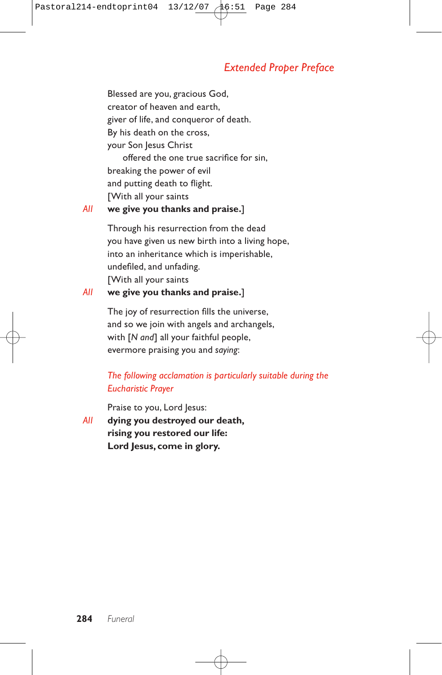## *Extended Proper Preface*

Blessed are you, gracious God, creator of heaven and earth, giver of life, and conqueror of death. By his death on the cross, your Son Jesus Christ offered the one true sacrifice for sin, breaking the power of evil and putting death to flight. [With all your saints

#### *All* **we give you thanks and praise.**]

Through his resurrection from the dead you have given us new birth into a living hope, into an inheritance which is imperishable, undefiled, and unfading. [With all your saints

#### *All* **we give you thanks and praise.**]

The joy of resurrection fills the universe, and so we join with angels and archangels, with [*N and*] all your faithful people, evermore praising you and *saying*:

#### *The following acclamation is particularly suitable during the Eucharistic Prayer*

Praise to you, Lord Jesus:

*All* **dying you destroyed our death, rising you restored our life: Lord Jesus, come in glory.**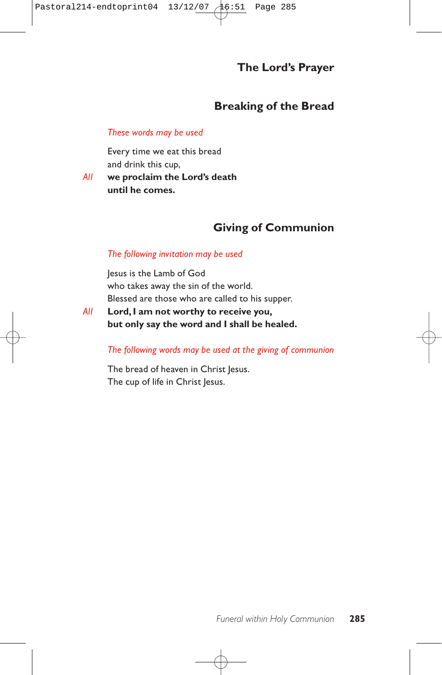### **The Lord's Prayer**

### **Breaking of the Bread**

#### *These words may be used*

Every time we eat this bread and drink this cup,

*All* **we proclaim the Lord's death until he comes.**

### **Giving of Communion**

#### *The following invitation may be used*

Jesus is the Lamb of God who takes away the sin of the world. Blessed are those who are called to his supper.

*All* **Lord, I am not worthy to receive you, but only say the word and I shall be healed.**

*The following words may be used at the giving of communion*

The bread of heaven in Christ Jesus. The cup of life in Christ Jesus.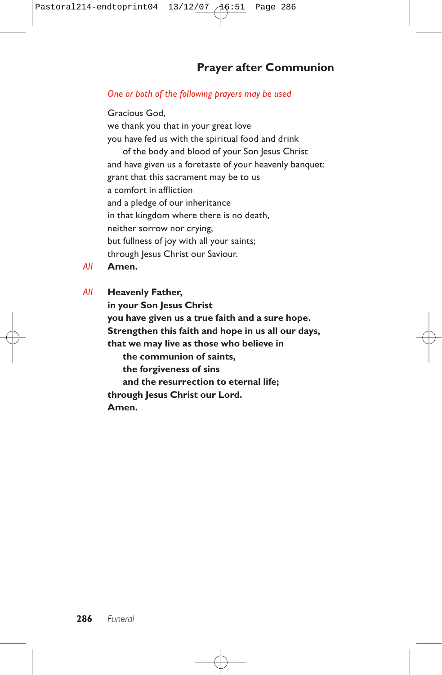## *One or both of the following prayers may be used*

Gracious God, we thank you that in your great love you have fed us with the spiritual food and drink of the body and blood of your Son Jesus Christ and have given us a foretaste of your heavenly banquet: grant that this sacrament may be to us a comfort in affliction and a pledge of our inheritance in that kingdom where there is no death, neither sorrow nor crying, but fullness of joy with all your saints; through Jesus Christ our Saviour.

- *All* **Amen.**
- *All* **Heavenly Father,**

**in your Son Jesus Christ you have given us a true faith and a sure hope. Strengthen this faith and hope in us all our days, that we may live as those who believe in the communion of saints, the forgiveness of sins and the resurrection to eternal life; through Jesus Christ our Lord. Amen.**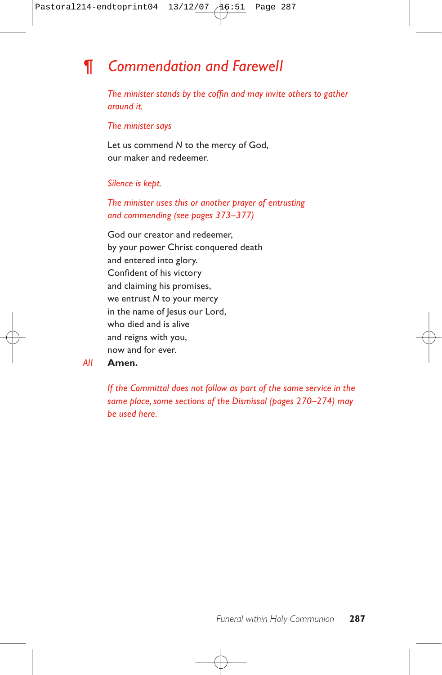# *¶ Commendation and Farewell*

*The minister stands by the coffin and may invite others to gather around it.*

*The minister says*

Let us commend *N* to the mercy of God, our maker and redeemer.

#### *Silence is kept.*

*The minister uses this or another prayer of entrusting and commending (see pages 373–377)*

God our creator and redeemer, by your power Christ conquered death and entered into glory. Confident of his victory and claiming his promises, we entrust *N* to your mercy in the name of Jesus our Lord, who died and is alive and reigns with you, now and for ever.

### *All* **Amen.**

*If the Committal does not follow as part of the same service in the same place, some sections of the Dismissal (pages 270–274) may be used here.*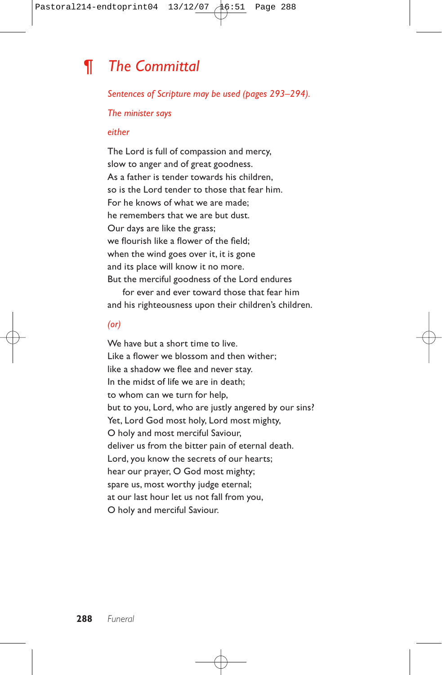# *¶ The Committal*

*Sentences of Scripture may be used (pages 293–294).*

#### *The minister says*

#### *either*

The Lord is full of compassion and mercy, slow to anger and of great goodness. As a father is tender towards his children, so is the Lord tender to those that fear him. For he knows of what we are made; he remembers that we are but dust. Our days are like the grass; we flourish like a flower of the field; when the wind goes over it, it is gone and its place will know it no more. But the merciful goodness of the Lord endures

for ever and ever toward those that fear him and his righteousness upon their children's children.

#### *(or)*

We have but a short time to live. Like a flower we blossom and then wither; like a shadow we flee and never stay. In the midst of life we are in death; to whom can we turn for help, but to you, Lord, who are justly angered by our sins? Yet, Lord God most holy, Lord most mighty, O holy and most merciful Saviour, deliver us from the bitter pain of eternal death. Lord, you know the secrets of our hearts; hear our prayer, O God most mighty; spare us, most worthy judge eternal; at our last hour let us not fall from you, O holy and merciful Saviour.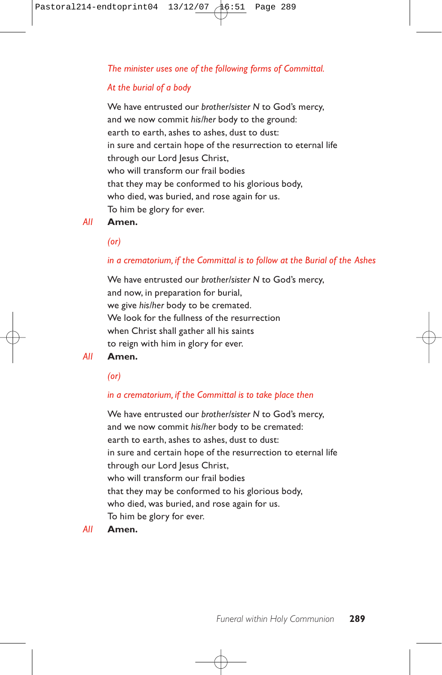## *The minister uses one of the following forms of Committal.*

# *At the burial of a body*

We have entrusted our *brother/sister N* to God's mercy, and we now commit *his/her* body to the ground: earth to earth, ashes to ashes, dust to dust: in sure and certain hope of the resurrection to eternal life through our Lord Jesus Christ, who will transform our frail bodies that they may be conformed to his glorious body, who died, was buried, and rose again for us. To him be glory for ever.

## *All* **Amen.**

*(or)*

### *in a crematorium, if the Committal is to follow at the Burial of the Ashes*

We have entrusted our *brother/sister N* to God's mercy, and now, in preparation for burial, we give *his/her* body to be cremated. We look for the fullness of the resurrection when Christ shall gather all his saints to reign with him in glory for ever.

### *All* **Amen.**

*(or)*

### *in a crematorium, if the Committal is to take place then*

We have entrusted our *brother/sister N* to God's mercy, and we now commit *his/her* body to be cremated: earth to earth, ashes to ashes, dust to dust: in sure and certain hope of the resurrection to eternal life through our Lord Jesus Christ. who will transform our frail bodies that they may be conformed to his glorious body, who died, was buried, and rose again for us. To him be glory for ever.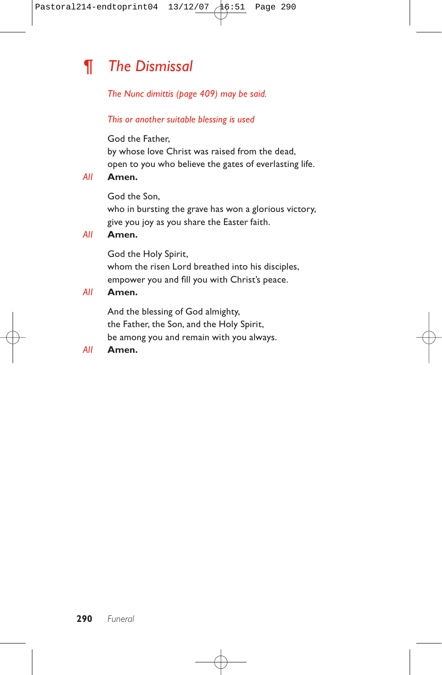

## *The Nunc dimittis (page 409) may be said.*

#### *This or another suitable blessing is used*

God the Father, by whose love Christ was raised from the dead, open to you who believe the gates of everlasting life.

#### *All* **Amen.**

God the Son, who in bursting the grave has won a glorious victory, give you joy as you share the Easter faith.

#### *All* **Amen.**

God the Holy Spirit, whom the risen Lord breathed into his disciples, empower you and fill you with Christ's peace.

#### *All* **Amen.**

And the blessing of God almighty, the Father, the Son, and the Holy Spirit, be among you and remain with you always.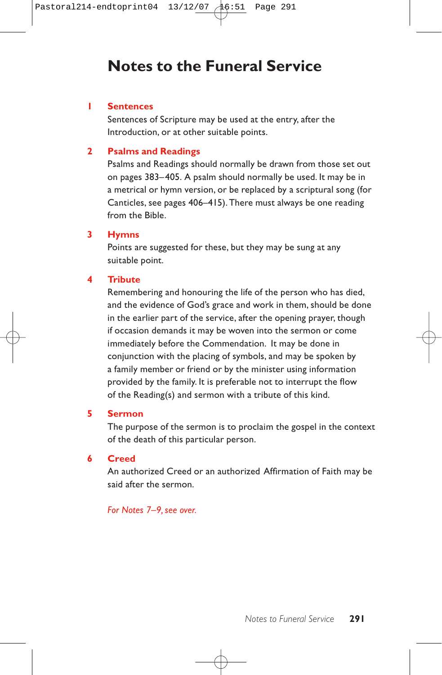# **Notes to the Funeral Service**

### **1 Sentences**

Sentences of Scripture may be used at the entry, after the Introduction, or at other suitable points.

## **2 Psalms and Readings**

Psalms and Readings should normally be drawn from those set out on pages 383–405. A psalm should normally be used. It may be in a metrical or hymn version, or be replaced by a scriptural song (for Canticles, see pages 406–415). There must always be one reading from the Bible.

## **3 Hymns**

Points are suggested for these, but they may be sung at any suitable point.

## **4 Tribute**

Remembering and honouring the life of the person who has died, and the evidence of God's grace and work in them, should be done in the earlier part of the service, after the opening prayer, though if occasion demands it may be woven into the sermon or come immediately before the Commendation. It may be done in conjunction with the placing of symbols, and may be spoken by a family member or friend or by the minister using information provided by the family. It is preferable not to interrupt the flow of the Reading(s) and sermon with a tribute of this kind.

## **5 Sermon**

The purpose of the sermon is to proclaim the gospel in the context of the death of this particular person.

## **6 Creed**

An authorized Creed or an authorized Affirmation of Faith may be said after the sermon.

*For Notes 7–9, see over.*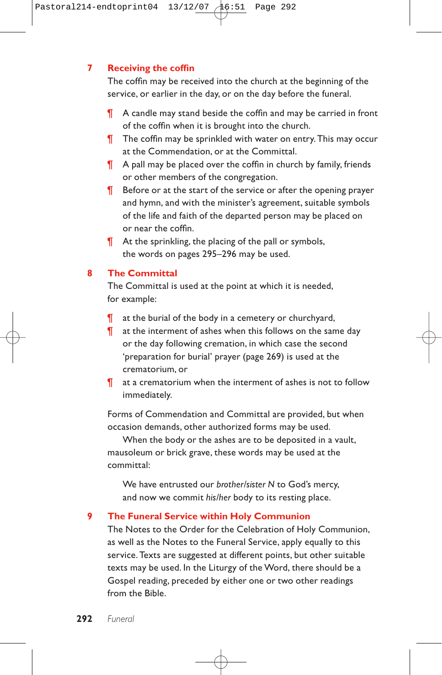## **7 Receiving the coffin**

The coffin may be received into the church at the beginning of the service, or earlier in the day, or on the day before the funeral.

- ¶ A candle may stand beside the coffin and may be carried in front of the coffin when it is brought into the church.
- ¶ The coffin may be sprinkled with water on entry. This may occur at the Commendation, or at the Committal.
- ¶ A pall may be placed over the coffin in church by family, friends or other members of the congregation.
- ¶ Before or at the start of the service or after the opening prayer and hymn, and with the minister's agreement, suitable symbols of the life and faith of the departed person may be placed on or near the coffin.
- ¶ At the sprinkling, the placing of the pall or symbols, the words on pages 295–296 may be used.

## **8 The Committal**

The Committal is used at the point at which it is needed, for example:

- ¶ at the burial of the body in a cemetery or churchyard,
- ¶ at the interment of ashes when this follows on the same day or the day following cremation, in which case the second 'preparation for burial' prayer (page 269) is used at the crematorium, or
- ¶ at a crematorium when the interment of ashes is not to follow immediately.

Forms of Commendation and Committal are provided, but when occasion demands, other authorized forms may be used.

When the body or the ashes are to be deposited in a vault, mausoleum or brick grave, these words may be used at the committal:

We have entrusted our *brother/sister N* to God's mercy, and now we commit *his/her* body to its resting place.

## **9 The Funeral Service within Holy Communion**

The Notes to the Order for the Celebration of Holy Communion, as well as the Notes to the Funeral Service, apply equally to this service. Texts are suggested at different points, but other suitable texts may be used. In the Liturgy of the Word, there should be a Gospel reading, preceded by either one or two other readings from the Bible.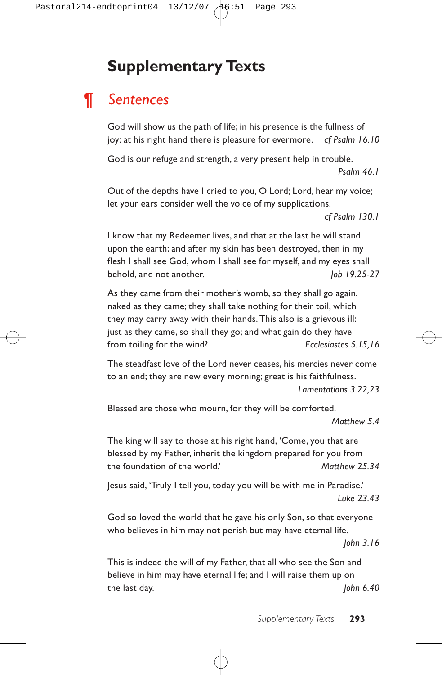# **Supplementary Texts**

# *¶ Sentences*

God will show us the path of life; in his presence is the fullness of joy: at his right hand there is pleasure for evermore. *cf Psalm 16.10*

God is our refuge and strength, a very present help in trouble.

*Psalm 46.1*

Out of the depths have I cried to you, O Lord; Lord, hear my voice; let your ears consider well the voice of my supplications.

*cf Psalm 130.1*

I know that my Redeemer lives, and that at the last he will stand upon the earth; and after my skin has been destroyed, then in my flesh I shall see God, whom I shall see for myself, and my eyes shall behold, and not another. *Job 19.25-27*

As they came from their mother's womb, so they shall go again, naked as they came; they shall take nothing for their toil, which they may carry away with their hands. This also is a grievous ill: just as they came, so shall they go; and what gain do they have from toiling for the wind? *Ecclesiastes 5.15,16*

The steadfast love of the Lord never ceases, his mercies never come to an end; they are new every morning; great is his faithfulness.

*Lamentations 3.22,23*

Blessed are those who mourn, for they will be comforted.

*Matthew 5.4*

The king will say to those at his right hand, 'Come, you that are blessed by my Father, inherit the kingdom prepared for you from the foundation of the world.' *Matthew 25.34*

Jesus said, 'Truly I tell you, today you will be with me in Paradise.' *Luke 23.43*

God so loved the world that he gave his only Son, so that everyone who believes in him may not perish but may have eternal life.

*John 3.16*

This is indeed the will of my Father, that all who see the Son and believe in him may have eternal life; and I will raise them up on the last day. *John 6.40*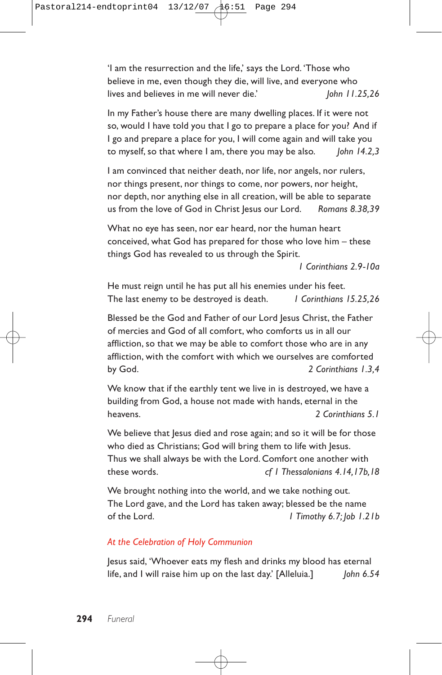'I am the resurrection and the life,' says the Lord. 'Those who believe in me, even though they die, will live, and everyone who lives and believes in me will never die.' *John 11.25.26* 

In my Father's house there are many dwelling places. If it were not so, would I have told you that I go to prepare a place for you? And if I go and prepare a place for you, I will come again and will take you to myself, so that where I am, there you may be also. *John 14.2,3*

I am convinced that neither death, nor life, nor angels, nor rulers, nor things present, nor things to come, nor powers, nor height, nor depth, nor anything else in all creation, will be able to separate us from the love of God in Christ Jesus our Lord. *Romans 8.38,39*

What no eye has seen, nor ear heard, nor the human heart conceived, what God has prepared for those who love him – these things God has revealed to us through the Spirit.

*1 Corinthians 2.9-10a*

He must reign until he has put all his enemies under his feet. The last enemy to be destroyed is death. *1 Corinthians 15.25,26*

Blessed be the God and Father of our Lord Jesus Christ, the Father of mercies and God of all comfort, who comforts us in all our affliction, so that we may be able to comfort those who are in any affliction, with the comfort with which we ourselves are comforted by God. *2 Corinthians 1.3,4*

We know that if the earthly tent we live in is destroyed, we have a building from God, a house not made with hands, eternal in the heavens. *2 Corinthians 5.1*

We believe that Jesus died and rose again; and so it will be for those who died as Christians; God will bring them to life with Jesus. Thus we shall always be with the Lord. Comfort one another with these words. *cf 1 Thessalonians 4.14,17b,18*

We brought nothing into the world, and we take nothing out. The Lord gave, and the Lord has taken away; blessed be the name of the Lord. *1 Timothy 6.7; Job 1.21b*

## *At the Celebration of Holy Communion*

Jesus said, 'Whoever eats my flesh and drinks my blood has eternal life, and I will raise him up on the last day.' [Alleluia.] *John 6.54*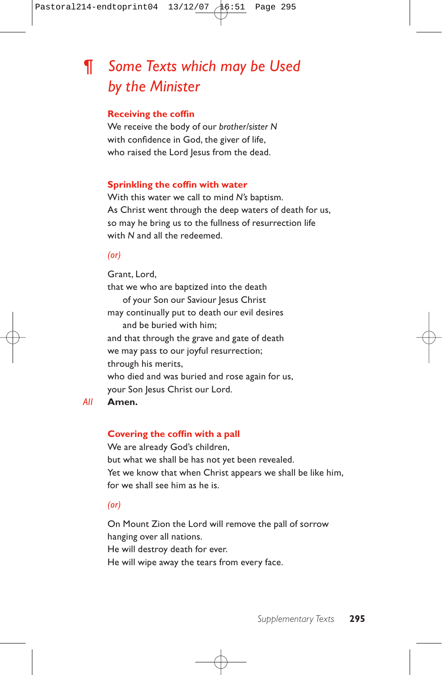# *¶ Some Texts which may be Used by the Minister*

#### **Receiving the coffin**

We receive the body of our *brother/sister N* with confidence in God, the giver of life, who raised the Lord Jesus from the dead.

#### **Sprinkling the coffin with water**

With this water we call to mind *N's* baptism. As Christ went through the deep waters of death for us, so may he bring us to the fullness of resurrection life with *N* and all the redeemed.

*(or)*

Grant, Lord, that we who are baptized into the death of your Son our Saviour Jesus Christ may continually put to death our evil desires and be buried with him; and that through the grave and gate of death we may pass to our joyful resurrection; through his merits, who died and was buried and rose again for us, your Son Jesus Christ our Lord.

*All* **Amen.**

#### **Covering the coffin with a pall**

We are already God's children, but what we shall be has not yet been revealed. Yet we know that when Christ appears we shall be like him, for we shall see him as he is.

*(or)*

On Mount Zion the Lord will remove the pall of sorrow hanging over all nations. He will destroy death for ever. He will wipe away the tears from every face.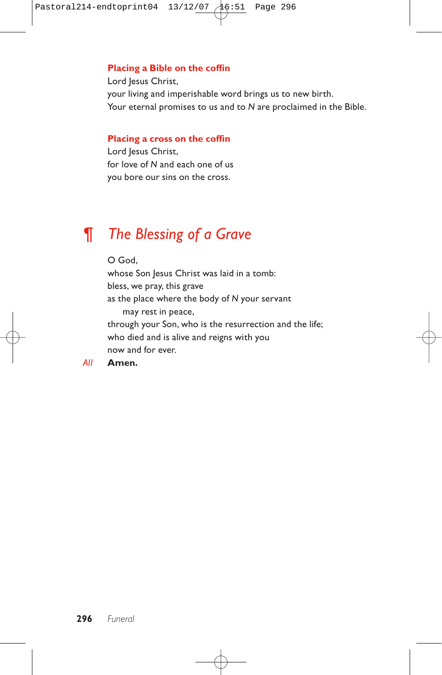## **Placing a Bible on the coffin**

Lord Iesus Christ. your living and imperishable word brings us to new birth. Your eternal promises to us and to *N* are proclaimed in the Bible.

### **Placing a cross on the coffin**

Lord Jesus Christ, for love of *N* and each one of us you bore our sins on the cross.

# *¶ The Blessing of a Grave*

O God, whose Son Jesus Christ was laid in a tomb: bless, we pray, this grave as the place where the body of *N* your servant may rest in peace, through your Son, who is the resurrection and the life; who died and is alive and reigns with you now and for ever.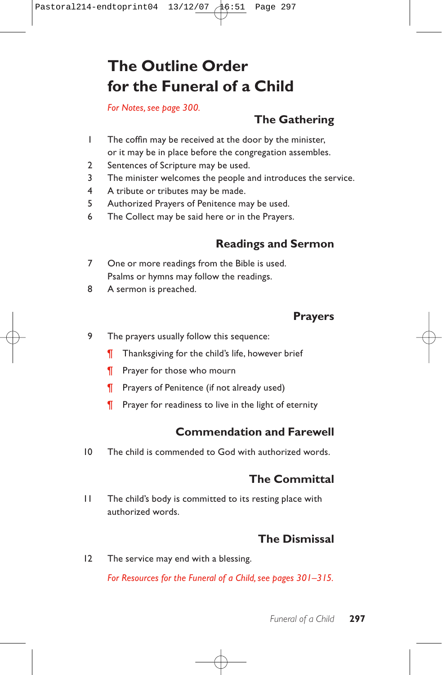# **The Outline Order for the Funeral of a Child**

*For Notes, see page 300.*

# **The Gathering**

- 1 The coffin may be received at the door by the minister, or it may be in place before the congregation assembles.
- 2 Sentences of Scripture may be used.
- 3 The minister welcomes the people and introduces the service.
- 4 A tribute or tributes may be made.
- 5 Authorized Prayers of Penitence may be used.
- 6 The Collect may be said here or in the Prayers.

# **Readings and Sermon**

- 7 One or more readings from the Bible is used. Psalms or hymns may follow the readings.
- 8 A sermon is preached.

# **Prayers**

- 9 The prayers usually follow this sequence:
	- ¶ Thanksgiving for the child's life, however brief
	- **T** Prayer for those who mourn
	- ¶ Prayers of Penitence (if not already used)
	- ¶ Prayer for readiness to live in the light of eternity

# **Commendation and Farewell**

10 The child is commended to God with authorized words.

# **The Committal**

11 The child's body is committed to its resting place with authorized words.

# **The Dismissal**

12 The service may end with a blessing.

*For Resources for the Funeral of a Child, see pages 301–315.*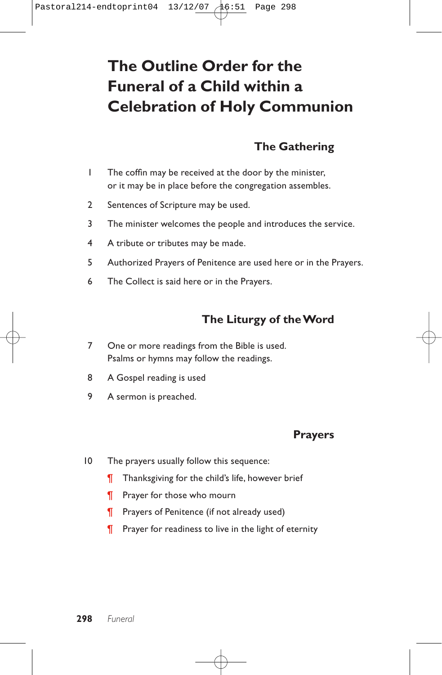# **The Outline Order for the Funeral of a Child within a Celebration of Holy Communion**

# **The Gathering**

- 1 The coffin may be received at the door by the minister, or it may be in place before the congregation assembles.
- 2 Sentences of Scripture may be used.
- 3 The minister welcomes the people and introduces the service.
- 4 A tribute or tributes may be made.
- 5 Authorized Prayers of Penitence are used here or in the Prayers.
- 6 The Collect is said here or in the Prayers.

# **The Liturgy of the Word**

- 7 One or more readings from the Bible is used. Psalms or hymns may follow the readings.
- 8 A Gospel reading is used
- 9 A sermon is preached.

# **Prayers**

- 10 The prayers usually follow this sequence:
	- **Thanksgiving for the child's life, however brief**
	- **T** Prayer for those who mourn
	- ¶ Prayers of Penitence (if not already used)
	- ¶ Prayer for readiness to live in the light of eternity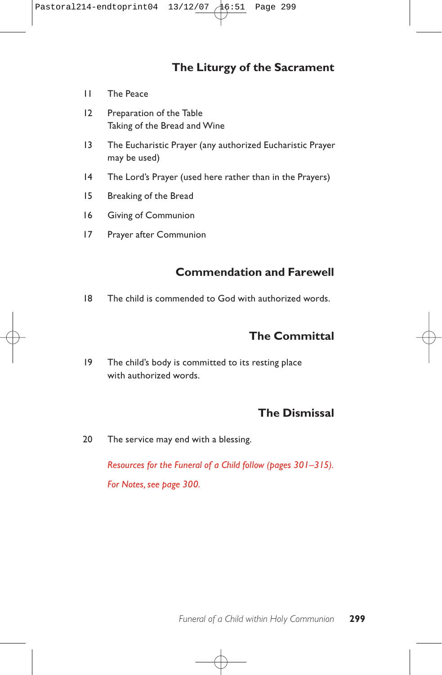# **The Liturgy of the Sacrament**

- 11 The Peace
- 12 Preparation of the Table Taking of the Bread and Wine
- 13 The Eucharistic Prayer (any authorized Eucharistic Prayer may be used)
- 14 The Lord's Prayer (used here rather than in the Prayers)
- 15 Breaking of the Bread
- 16 Giving of Communion
- 17 Prayer after Communion

# **Commendation and Farewell**

18 The child is commended to God with authorized words.

# **The Committal**

19 The child's body is committed to its resting place with authorized words.

# **The Dismissal**

20 The service may end with a blessing.

*Resources for the Funeral of a Child follow (pages 301–315). For Notes, see page 300.*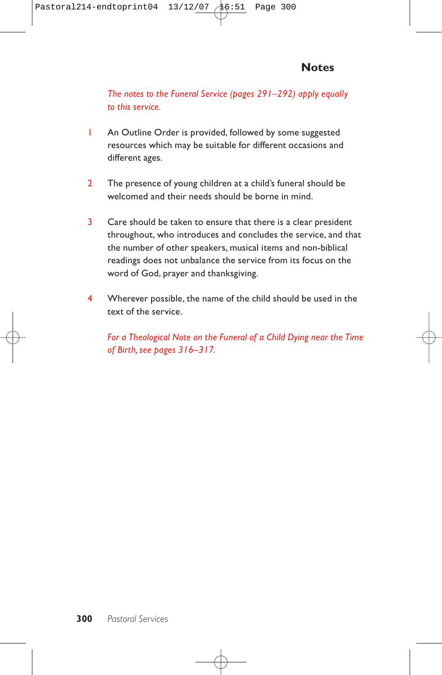*The notes to the Funeral Service (pages 291–292) apply equally to this service.*

- 1 An Outline Order is provided, followed by some suggested resources which may be suitable for different occasions and different ages.
- 2 The presence of young children at a child's funeral should be welcomed and their needs should be borne in mind.
- 3 Care should be taken to ensure that there is a clear president throughout, who introduces and concludes the service, and that the number of other speakers, musical items and non-biblical readings does not unbalance the service from its focus on the word of God, prayer and thanksgiving.
- 4 Wherever possible, the name of the child should be used in the text of the service.

*For a Theological Note on the Funeral of a Child Dying near the Time of Birth, see pages 316–317.*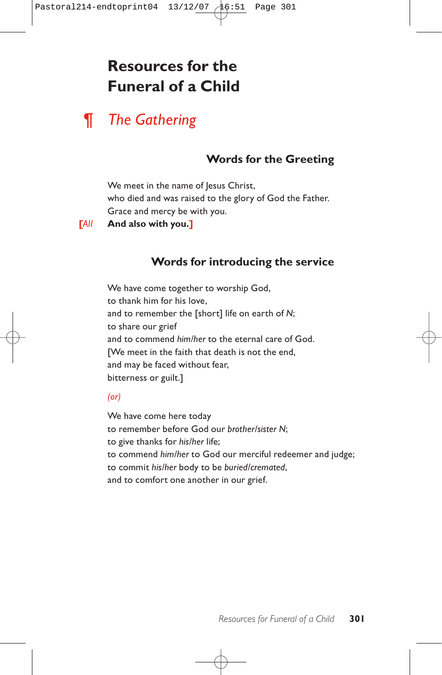# **Resources for the Funeral of a Child**

# *¶ The Gathering*

# **Words for the Greeting**

We meet in the name of Jesus Christ, who died and was raised to the glory of God the Father. Grace and mercy be with you.

**[***All* **And also with you.]**

# **Words for introducing the service**

We have come together to worship God, to thank him for his love, and to remember the [short] life on earth of *N*; to share our grief and to commend *him/her* to the eternal care of God. [We meet in the faith that death is not the end, and may be faced without fear, bitterness or guilt.]

## *(or)*

We have come here today to remember before God our *brother/sister N*; to give thanks for *his/her* life; to commend *him/her* to God our merciful redeemer and judge; to commit *his/her* body to be *buried/cremated*, and to comfort one another in our grief.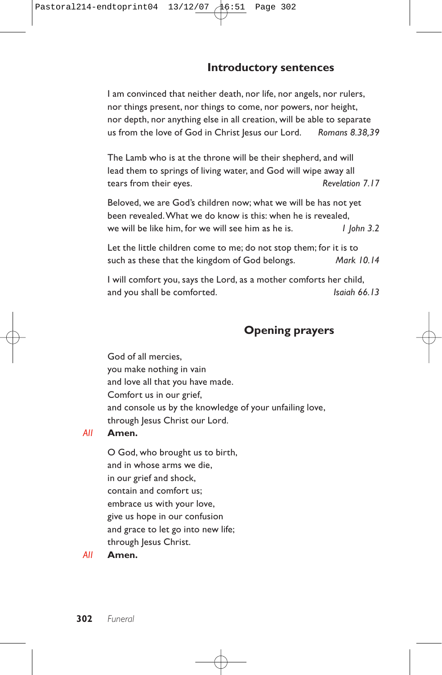# **Introductory sentences**

I am convinced that neither death, nor life, nor angels, nor rulers, nor things present, nor things to come, nor powers, nor height, nor depth, nor anything else in all creation, will be able to separate us from the love of God in Christ Jesus our Lord. *Romans 8.38,39*

The Lamb who is at the throne will be their shepherd, and will lead them to springs of living water, and God will wipe away all tears from their eyes. *Revelation 7.17*

Beloved, we are God's children now; what we will be has not yet been revealed.What we do know is this: when he is revealed, we will be like him, for we will see him as he is. *1 John 3.2*

Let the little children come to me; do not stop them; for it is to such as these that the kingdom of God belongs. *Mark 10.14*

I will comfort you, says the Lord, as a mother comforts her child, and you shall be comforted. *Isaiah 66.13*

# **Opening prayers**

God of all mercies, you make nothing in vain and love all that you have made. Comfort us in our grief, and console us by the knowledge of your unfailing love, through Jesus Christ our Lord.

#### *All* **Amen.**

O God, who brought us to birth, and in whose arms we die, in our grief and shock, contain and comfort us; embrace us with your love, give us hope in our confusion and grace to let go into new life; through Jesus Christ.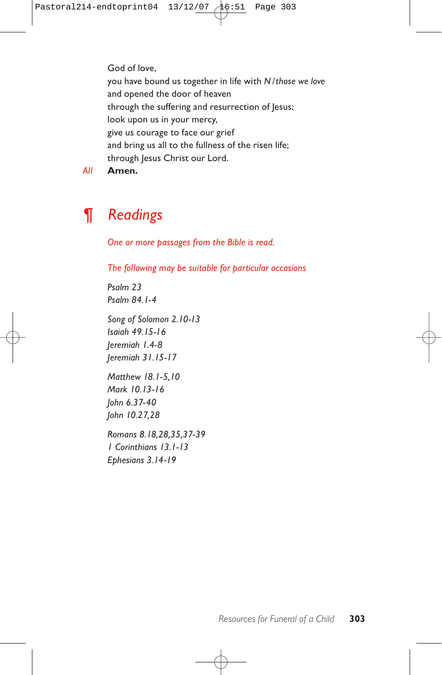God of love, you have bound us together in life with *N*/*those we love* and opened the door of heaven through the suffering and resurrection of lesus; look upon us in your mercy, give us courage to face our grief and bring us all to the fullness of the risen life; through Jesus Christ our Lord.

*All* **Amen.**

# *¶ Readings*

*One or more passages from the Bible is read.*

*The following may be suitable for particular occasions*

*Psalm 23 Psalm 84.1-4*

*Song of Solomon 2.10-13 Isaiah 49.15-16 Jeremiah 1.4-8 Jeremiah 31.15-17*

*Matthew 18.1-5,10 Mark 10.13-16 John 6.37-40 John 10.27,28*

*Romans 8.18,28,35,37-39 1 Corinthians 13.1-13 Ephesians 3.14-19*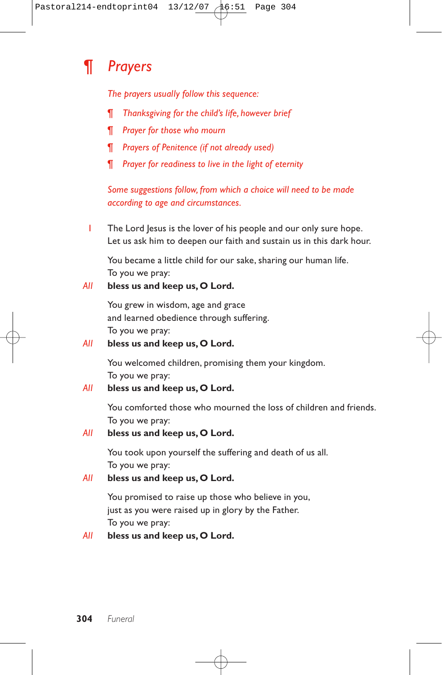# *¶ Prayers*

*The prayers usually follow this sequence:*

- *¶ Thanksgiving for the child's life, however brief*
- *¶ Prayer for those who mourn*
- *¶ Prayers of Penitence (if not already used)*
- *¶ Prayer for readiness to live in the light of eternity*

*Some suggestions follow, from which a choice will need to be made according to age and circumstances.*

 $\parallel$  The Lord Jesus is the lover of his people and our only sure hope. Let us ask him to deepen our faith and sustain us in this dark hour.

You became a little child for our sake, sharing our human life. To you we pray:

## *All* **bless us and keep us, O Lord.**

You grew in wisdom, age and grace and learned obedience through suffering. To you we pray:

*All* **bless us and keep us, O Lord.**

You welcomed children, promising them your kingdom. To you we pray:

*All* **bless us and keep us, O Lord.**

You comforted those who mourned the loss of children and friends. To you we pray:

#### *All* **bless us and keep us, O Lord.**

You took upon yourself the suffering and death of us all. To you we pray:

*All* **bless us and keep us, O Lord.**

You promised to raise up those who believe in you, just as you were raised up in glory by the Father. To you we pray:

#### *All* **bless us and keep us, O Lord.**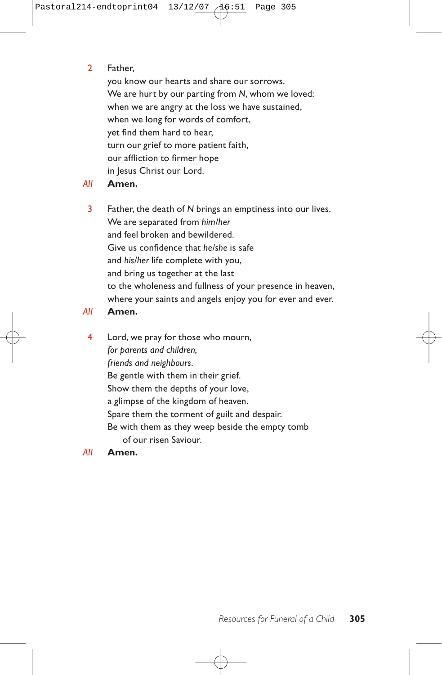2 Father,

you know our hearts and share our sorrows. We are hurt by our parting from *N*, whom we loved: when we are angry at the loss we have sustained, when we long for words of comfort, yet find them hard to hear, turn our grief to more patient faith, our affliction to firmer hope in Jesus Christ our Lord.

- *All* **Amen.**
	- 3 Father, the death of *N* brings an emptiness into our lives. We are separated from *him/her* and feel broken and bewildered. Give us confidence that *he/she* is safe and *his/her* life complete with you, and bring us together at the last to the wholeness and fullness of your presence in heaven, where your saints and angels enjoy you for ever and ever.
- *All* **Amen.**

4 Lord, we pray for those who mourn, *for parents and children, friends and neighbours.* Be gentle with them in their grief. Show them the depths of your love, a glimpse of the kingdom of heaven. Spare them the torment of guilt and despair. Be with them as they weep beside the empty tomb of our risen Saviour.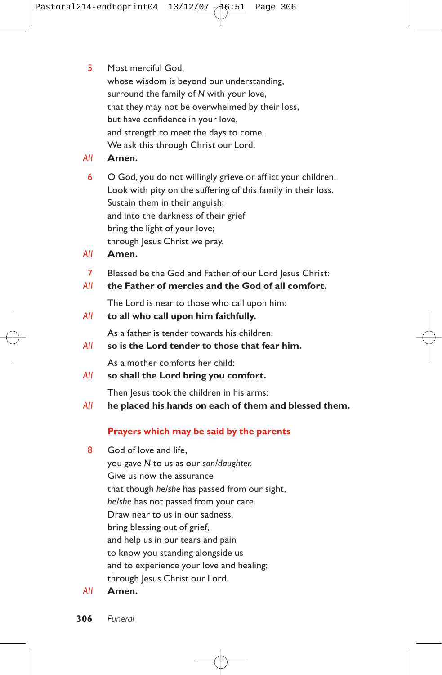5 Most merciful God,

whose wisdom is beyond our understanding, surround the family of *N* with your love, that they may not be overwhelmed by their loss, but have confidence in your love, and strength to meet the days to come. We ask this through Christ our Lord.

## *All* **Amen.**

6 O God, you do not willingly grieve or afflict your children. Look with pity on the suffering of this family in their loss. Sustain them in their anguish; and into the darkness of their grief bring the light of your love; through Jesus Christ we pray.

## *All* **Amen.**

- 7 Blessed be the God and Father of our Lord Jesus Christ:
- *All* **the Father of mercies and the God of all comfort.**

The Lord is near to those who call upon him:

## *All* **to all who call upon him faithfully.**

As a father is tender towards his children:

*All* **so is the Lord tender to those that fear him.**

As a mother comforts her child:

*All* **so shall the Lord bring you comfort.**

Then Jesus took the children in his arms:

*All* **he placed his hands on each of them and blessed them.**

## **Prayers which may be said by the parents**

8 God of love and life,

you gave *N* to us as our *son/daughter.* Give us now the assurance that though *he/she* has passed from our sight, *he/she* has not passed from your care. Draw near to us in our sadness, bring blessing out of grief, and help us in our tears and pain to know you standing alongside us and to experience your love and healing; through Jesus Christ our Lord.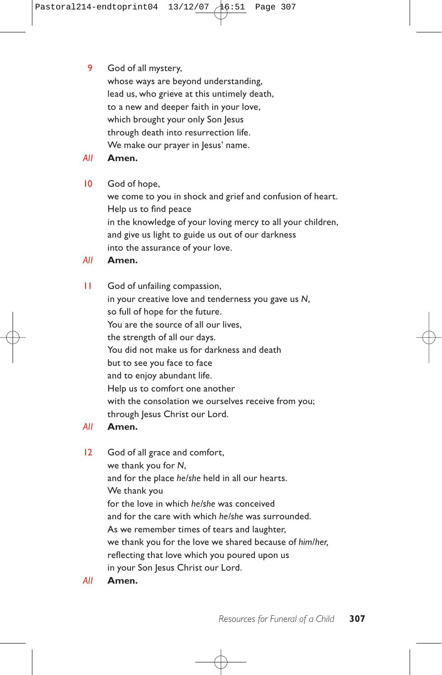9 God of all mystery,

whose ways are beyond understanding, lead us, who grieve at this untimely death, to a new and deeper faith in your love, which brought your only Son Jesus through death into resurrection life. We make our prayer in lesus' name.

## *All* **Amen.**

10 God of hope,

we come to you in shock and grief and confusion of heart. Help us to find peace in the knowledge of your loving mercy to all your children, and give us light to guide us out of our darkness into the assurance of your love.

## *All* **Amen.**

11 God of unfailing compassion, in your creative love and tenderness you gave us *N*, so full of hope for the future. You are the source of all our lives, the strength of all our days. You did not make us for darkness and death but to see you face to face and to enjoy abundant life. Help us to comfort one another with the consolation we ourselves receive from you; through Jesus Christ our Lord.

- 12 God of all grace and comfort, we thank you for *N*, and for the place *he/she* held in all our hearts. We thank you for the love in which *he/she* was conceived and for the care with which *he/she* was surrounded. As we remember times of tears and laughter, we thank you for the love we shared because of *him*/*her,* reflecting that love which you poured upon us in your Son Jesus Christ our Lord.
- *All* **Amen.**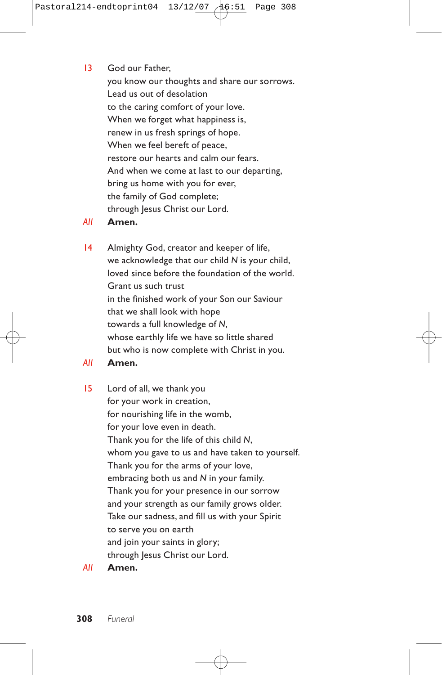## 13 God our Father.

you know our thoughts and share our sorrows. Lead us out of desolation to the caring comfort of your love. When we forget what happiness is, renew in us fresh springs of hope. When we feel bereft of peace, restore our hearts and calm our fears. And when we come at last to our departing, bring us home with you for ever, the family of God complete; through Jesus Christ our Lord.

#### *All* **Amen.**

14 Almighty God, creator and keeper of life, we acknowledge that our child *N* is your child, loved since before the foundation of the world. Grant us such trust in the finished work of your Son our Saviour that we shall look with hope towards a full knowledge of *N*, whose earthly life we have so little shared but who is now complete with Christ in you.

- *All* **Amen.**
- 15 Lord of all, we thank you for your work in creation, for nourishing life in the womb, for your love even in death. Thank you for the life of this child *N*, whom you gave to us and have taken to yourself. Thank you for the arms of your love, embracing both us and *N* in your family. Thank you for your presence in our sorrow and your strength as our family grows older. Take our sadness, and fill us with your Spirit to serve you on earth and join your saints in glory; through Jesus Christ our Lord.
- *All* **Amen.**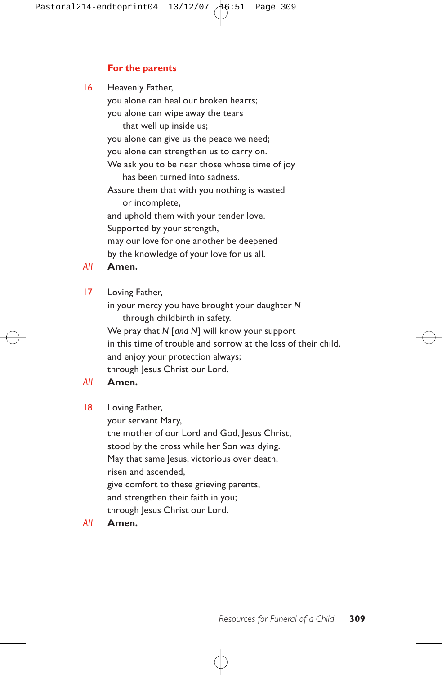### **For the parents**

16 Heavenly Father, you alone can heal our broken hearts; you alone can wipe away the tears that well up inside us; you alone can give us the peace we need; you alone can strengthen us to carry on. We ask you to be near those whose time of joy has been turned into sadness. Assure them that with you nothing is wasted or incomplete, and uphold them with your tender love. Supported by your strength, may our love for one another be deepened by the knowledge of your love for us all.

### *All* **Amen.**

17 Loving Father,

in your mercy you have brought your daughter *N* through childbirth in safety. We pray that *N* [*and N*] will know your support

in this time of trouble and sorrow at the loss of their child, and enjoy your protection always; through Jesus Christ our Lord.

## *All* **Amen.**

- 18 Loving Father,
	- your servant Mary,

the mother of our Lord and God, Jesus Christ, stood by the cross while her Son was dying. May that same Jesus, victorious over death, risen and ascended, give comfort to these grieving parents, and strengthen their faith in you; through Jesus Christ our Lord.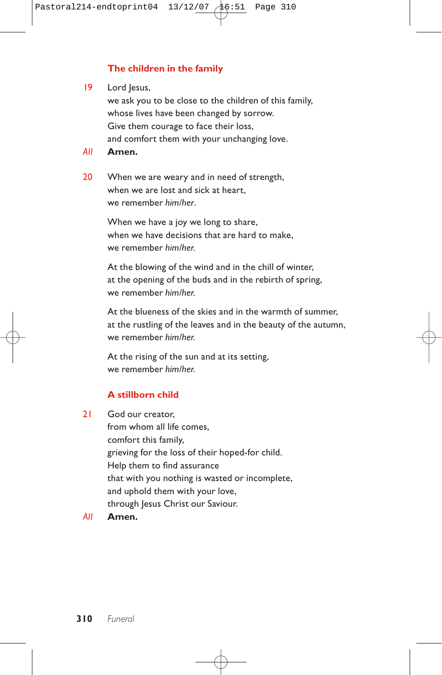## **The children in the family**

## 19 Lord Jesus,

we ask you to be close to the children of this family, whose lives have been changed by sorrow. Give them courage to face their loss, and comfort them with your unchanging love.

- *All* **Amen.**
- 20 When we are weary and in need of strength, when we are lost and sick at heart, we remember *him/her*.

When we have a joy we long to share, when we have decisions that are hard to make, we remember *him/her.*

At the blowing of the wind and in the chill of winter, at the opening of the buds and in the rebirth of spring, we remember *him/her.*

At the blueness of the skies and in the warmth of summer, at the rustling of the leaves and in the beauty of the autumn, we remember *him/her.*

At the rising of the sun and at its setting, we remember *him/her.*

## **A stillborn child**

21 God our creator. from whom all life comes, comfort this family, grieving for the loss of their hoped-for child. Help them to find assurance that with you nothing is wasted or incomplete, and uphold them with your love, through Jesus Christ our Saviour.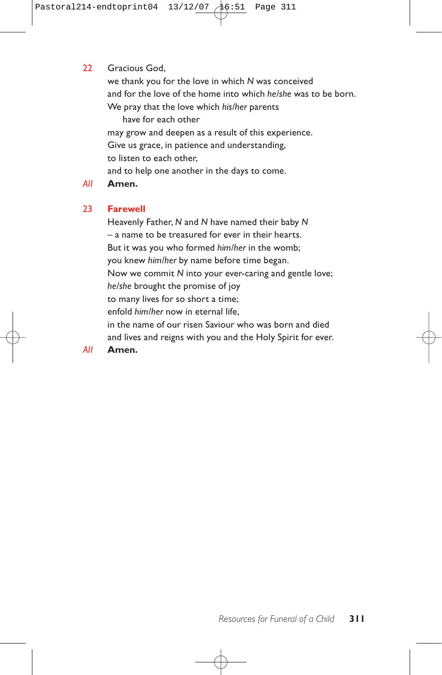## 22 Gracious God,

we thank you for the love in which *N* was conceived and for the love of the home into which *he/she* was to be born. We pray that the love which *his/her* parents have for each other may grow and deepen as a result of this experience. Give us grace, in patience and understanding, to listen to each other, and to help one another in the days to come.

*All* **Amen.**

## 23 **Farewell**

Heavenly Father, *N* and *N* have named their baby *N* – a name to be treasured for ever in their hearts. But it was you who formed *him/her* in the womb; you knew *him/her* by name before time began. Now we commit *N* into your ever-caring and gentle love; *he/she* brought the promise of joy to many lives for so short a time; enfold *him/her* now in eternal life, in the name of our risen Saviour who was born and died and lives and reigns with you and the Holy Spirit for ever.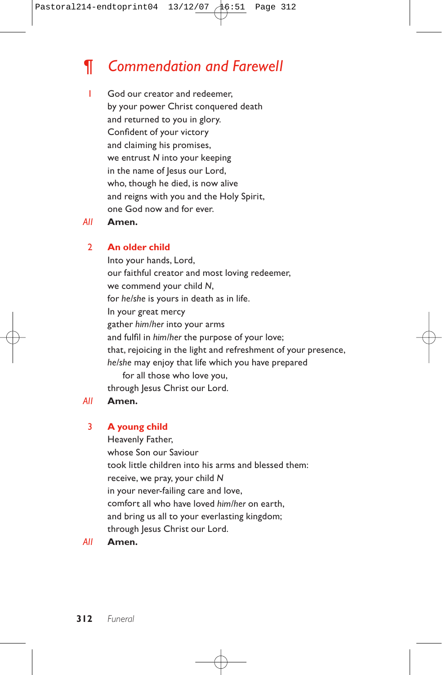# *¶ Commendation and Farewell*

1 God our creator and redeemer, by your power Christ conquered death and returned to you in glory. Confident of your victory and claiming his promises, we entrust *N* into your keeping in the name of Jesus our Lord, who, though he died, is now alive and reigns with you and the Holy Spirit, one God now and for ever.

## *All* **Amen.**

## 2 **An older child**

Into your hands, Lord, our faithful creator and most loving redeemer, we commend your child *N*, for *he/she* is yours in death as in life. In your great mercy gather *him/her* into your arms and fulfil in *him/her* the purpose of your love; that, rejoicing in the light and refreshment of your presence, *he/she* may enjoy that life which you have prepared for all those who love you,

through Jesus Christ our Lord.

## *All* **Amen.**

## 3 **A young child**

Heavenly Father, whose Son our Saviour took little children into his arms and blessed them: receive, we pray, your child *N* in your never-failing care and love, comfort all who have loved *him/her* on earth, and bring us all to your everlasting kingdom; through Jesus Christ our Lord.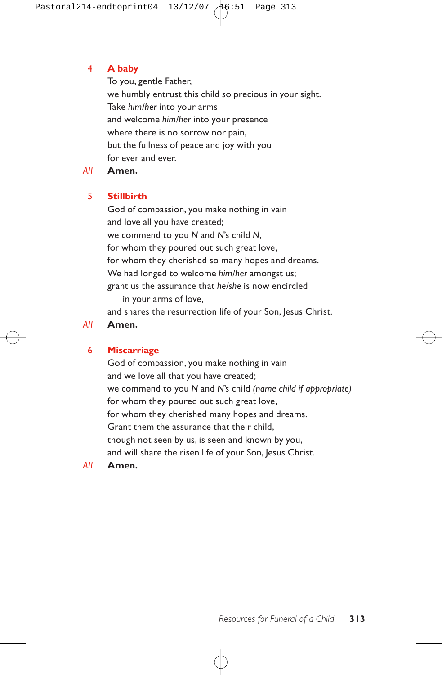## 4 **A baby**

To you, gentle Father, we humbly entrust this child so precious in your sight. Take *him/her* into your arms and welcome *him/her* into your presence where there is no sorrow nor pain, but the fullness of peace and joy with you for ever and ever.

#### *All* **Amen.**

## 5 **Stillbirth**

God of compassion, you make nothing in vain and love all you have created; we commend to you *N* and *N*'s child *N*, for whom they poured out such great love, for whom they cherished so many hopes and dreams. We had longed to welcome *him/her* amongst us; grant us the assurance that *he/she* is now encircled in your arms of love,

and shares the resurrection life of your Son, Jesus Christ.

## *All* **Amen.**

### 6 **Miscarriage**

God of compassion, you make nothing in vain and we love all that you have created; we commend to you *N* and *N*'s child *(name child if appropriate)* for whom they poured out such great love, for whom they cherished many hopes and dreams. Grant them the assurance that their child, though not seen by us, is seen and known by you, and will share the risen life of your Son, Jesus Christ.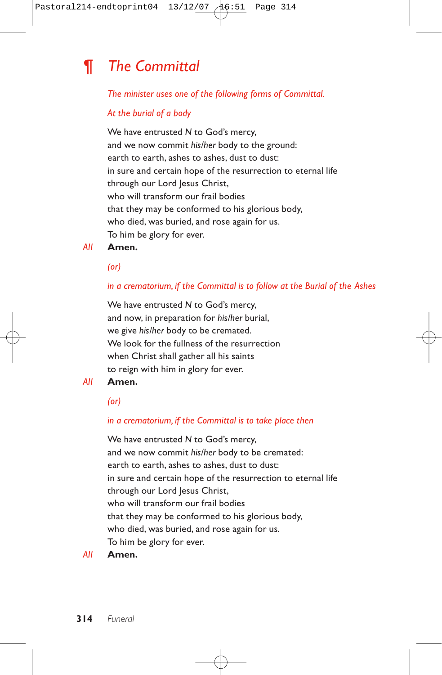# *¶ The Committal*

*The minister uses one of the following forms of Committal.*

## *At the burial of a body*

We have entrusted *N* to God's mercy, and we now commit *his/her* body to the ground: earth to earth, ashes to ashes, dust to dust: in sure and certain hope of the resurrection to eternal life through our Lord Jesus Christ, who will transform our frail bodies that they may be conformed to his glorious body, who died, was buried, and rose again for us. To him be glory for ever.

### *All* **Amen.**

*(or)*

## *in a crematorium, if the Committal is to follow at the Burial of the Ashes*

We have entrusted *N* to God's mercy, and now, in preparation for *his/her* burial, we give *his/her* body to be cremated. We look for the fullness of the resurrection when Christ shall gather all his saints to reign with him in glory for ever.

### *All* **Amen.**

*(or)*

### *in a crematorium, if the Committal is to take place then*

We have entrusted *N* to God's mercy, and we now commit *his/her* body to be cremated: earth to earth, ashes to ashes, dust to dust: in sure and certain hope of the resurrection to eternal life through our Lord Jesus Christ, who will transform our frail bodies that they may be conformed to his glorious body, who died, was buried, and rose again for us. To him be glory for ever.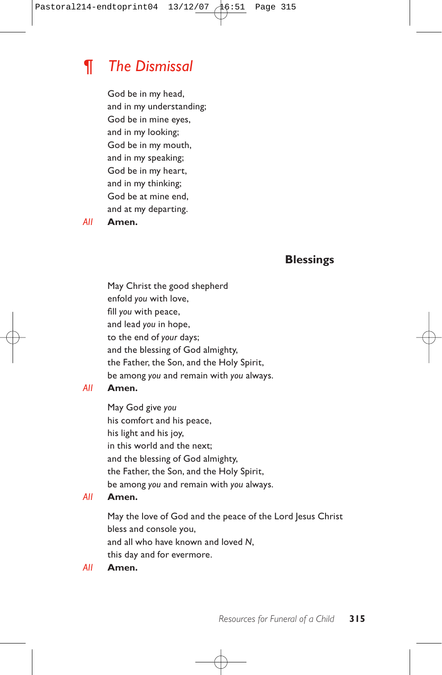# *¶ The Dismissal*

God be in my head, and in my understanding; God be in mine eyes, and in my looking; God be in my mouth, and in my speaking; God be in my heart, and in my thinking; God be at mine end, and at my departing.

*All* **Amen.**

**Blessings**

May Christ the good shepherd enfold *you* with love, fill *you* with peace, and lead *you* in hope, to the end of *your* days; and the blessing of God almighty, the Father, the Son, and the Holy Spirit, be among *you* and remain with *you* always.

*All* **Amen.**

May God give *you* his comfort and his peace, his light and his joy, in this world and the next; and the blessing of God almighty, the Father, the Son, and the Holy Spirit, be among *you* and remain with *you* always.

## *All* **Amen.**

May the love of God and the peace of the Lord Jesus Christ bless and console you, and all who have known and loved *N*, this day and for evermore.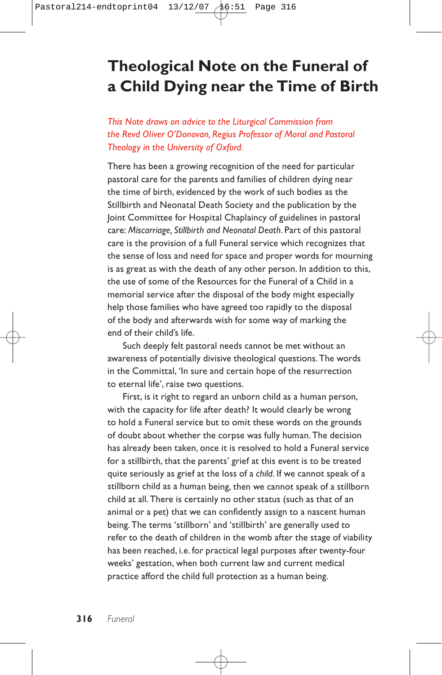# **Theological Note on the Funeral of a Child Dying near the Time of Birth**

*This Note draws on advice to the Liturgical Commission from the Revd Oliver O'Donovan, Regius Professor of Moral and Pastoral Theology in the University of Oxford.*

There has been a growing recognition of the need for particular pastoral care for the parents and families of children dying near the time of birth, evidenced by the work of such bodies as the Stillbirth and Neonatal Death Society and the publication by the Joint Committee for Hospital Chaplaincy of guidelines in pastoral care: *Miscarriage, Stillbirth and Neonatal Death*. Part of this pastoral care is the provision of a full Funeral service which recognizes that the sense of loss and need for space and proper words for mourning is as great as with the death of any other person. In addition to this, the use of some of the Resources for the Funeral of a Child in a memorial service after the disposal of the body might especially help those families who have agreed too rapidly to the disposal of the body and afterwards wish for some way of marking the end of their child's life.

Such deeply felt pastoral needs cannot be met without an awareness of potentially divisive theological questions. The words in the Committal, 'In sure and certain hope of the resurrection to eternal life', raise two questions.

First, is it right to regard an unborn child as a human person, with the capacity for life after death? It would clearly be wrong to hold a Funeral service but to omit these words on the grounds of doubt about whether the corpse was fully human.The decision has already been taken, once it is resolved to hold a Funeral service for a stillbirth, that the parents' grief at this event is to be treated quite seriously as grief at the loss of a *child*. If we cannot speak of a stillborn child as a human being, then we cannot speak of a stillborn child at all. There is certainly no other status (such as that of an animal or a pet) that we can confidently assign to a nascent human being. The terms 'stillborn' and 'stillbirth' are generally used to refer to the death of children in the womb after the stage of viability has been reached, i.e. for practical legal purposes after twenty-four weeks' gestation, when both current law and current medical practice afford the child full protection as a human being.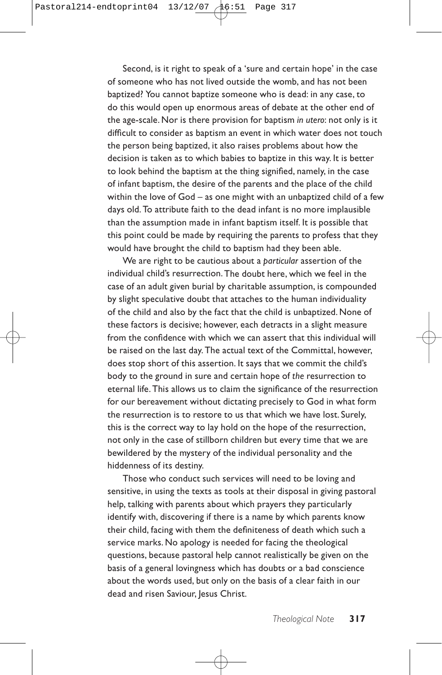Second, is it right to speak of a 'sure and certain hope' in the case of someone who has not lived outside the womb, and has not been baptized? You cannot baptize someone who is dead: in any case, to do this would open up enormous areas of debate at the other end of the age-scale. Nor is there provision for baptism *in utero*: not only is it difficult to consider as baptism an event in which water does not touch the person being baptized, it also raises problems about how the decision is taken as to which babies to baptize in this way. It is better to look behind the baptism at the thing signified, namely, in the case of infant baptism, the desire of the parents and the place of the child within the love of God – as one might with an unbaptized child of a few days old. To attribute faith to the dead infant is no more implausible than the assumption made in infant baptism itself. It is possible that this point could be made by requiring the parents to profess that they would have brought the child to baptism had they been able.

We are right to be cautious about a *particular* assertion of the individual child's resurrection.The doubt here, which we feel in the case of an adult given burial by charitable assumption, is compounded by slight speculative doubt that attaches to the human individuality of the child and also by the fact that the child is unbaptized. None of these factors is decisive; however, each detracts in a slight measure from the confidence with which we can assert that this individual will be raised on the last day. The actual text of the Committal, however, does stop short of this assertion. It says that we commit the child's body to the ground in sure and certain hope of *the* resurrection to eternal life.This allows us to claim the significance of the resurrection for our bereavement without dictating precisely to God in what form the resurrection is to restore to us that which we have lost. Surely, this is the correct way to lay hold on the hope of the resurrection, not only in the case of stillborn children but every time that we are bewildered by the mystery of the individual personality and the hiddenness of its destiny.

Those who conduct such services will need to be loving and sensitive, in using the texts as tools at their disposal in giving pastoral help, talking with parents about which prayers they particularly identify with, discovering if there is a name by which parents know their child, facing with them the definiteness of death which such a service marks. No apology is needed for facing the theological questions, because pastoral help cannot realistically be given on the basis of a general lovingness which has doubts or a bad conscience about the words used, but only on the basis of a clear faith in our dead and risen Saviour, Jesus Christ.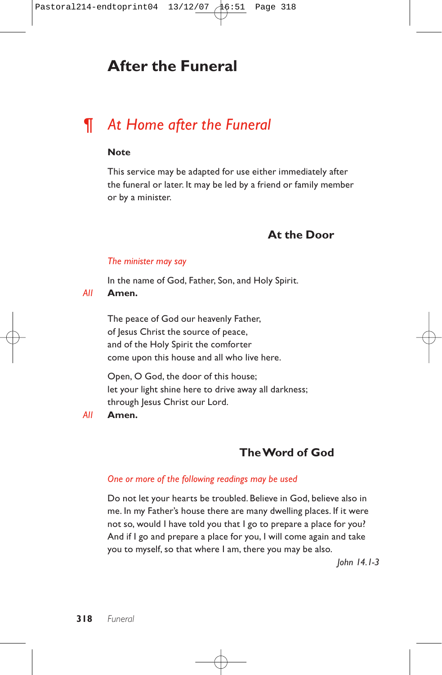# **After the Funeral**

# *¶ At Home after the Funeral*

#### **Note**

This service may be adapted for use either immediately after the funeral or later. It may be led by a friend or family member or by a minister.

# **At the Door**

#### *The minister may say*

In the name of God, Father, Son, and Holy Spirit.

*All* **Amen.**

The peace of God our heavenly Father, of Jesus Christ the source of peace, and of the Holy Spirit the comforter come upon this house and all who live here.

Open, O God, the door of this house; let your light shine here to drive away all darkness; through Jesus Christ our Lord.

*All* **Amen.**

# **The Word of God**

#### *One or more of the following readings may be used*

Do not let your hearts be troubled. Believe in God, believe also in me. In my Father's house there are many dwelling places. If it were not so, would I have told you that I go to prepare a place for you? And if I go and prepare a place for you, I will come again and take you to myself, so that where I am, there you may be also.

*John 14.1-3*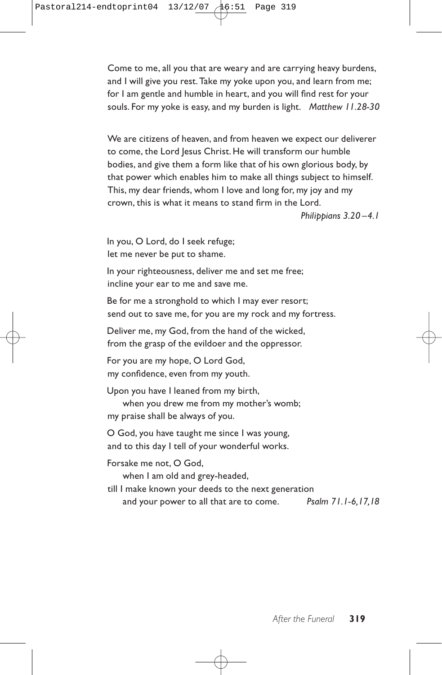Come to me, all you that are weary and are carrying heavy burdens, and I will give you rest. Take my yoke upon you, and learn from me; for I am gentle and humble in heart, and you will find rest for your souls. For my yoke is easy, and my burden is light. *Matthew 11.28-30*

We are citizens of heaven, and from heaven we expect our deliverer to come, the Lord Jesus Christ. He will transform our humble bodies, and give them a form like that of his own glorious body, by that power which enables him to make all things subject to himself. This, my dear friends, whom I love and long for, my joy and my crown, this is what it means to stand firm in the Lord.

*Philippians 3.20 – 4.1*

In you, O Lord, do I seek refuge; let me never be put to shame.

In your righteousness, deliver me and set me free; incline your ear to me and save me.

Be for me a stronghold to which I may ever resort; send out to save me, for you are my rock and my fortress.

Deliver me, my God, from the hand of the wicked, from the grasp of the evildoer and the oppressor.

For you are my hope, O Lord God, my confidence, even from my youth.

Upon you have I leaned from my birth,

when you drew me from my mother's womb; my praise shall be always of you.

O God, you have taught me since I was young, and to this day I tell of your wonderful works.

Forsake me not, O God,

when I am old and grey-headed,

till I make known your deeds to the next generation and your power to all that are to come. *Psalm 71.1-6,17,18*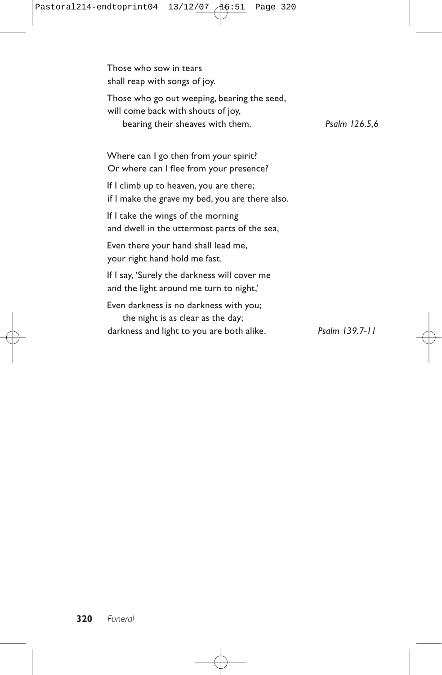| Those who sow in tears<br>shall reap with songs of joy.                                                                  |                |
|--------------------------------------------------------------------------------------------------------------------------|----------------|
| Those who go out weeping, bearing the seed,<br>will come back with shouts of joy,<br>bearing their sheaves with them.    | Psalm 126.5,6  |
| Where can I go then from your spirit?<br>Or where can I flee from your presence?                                         |                |
| If I climb up to heaven, you are there;<br>if I make the grave my bed, you are there also.                               |                |
| If I take the wings of the morning<br>and dwell in the uttermost parts of the sea,                                       |                |
| Even there your hand shall lead me,<br>your right hand hold me fast.                                                     |                |
| If I say, 'Surely the darkness will cover me<br>and the light around me turn to night,'                                  |                |
| Even darkness is no darkness with you;<br>the night is as clear as the day;<br>darkness and light to you are both alike. | Psalm 139.7-11 |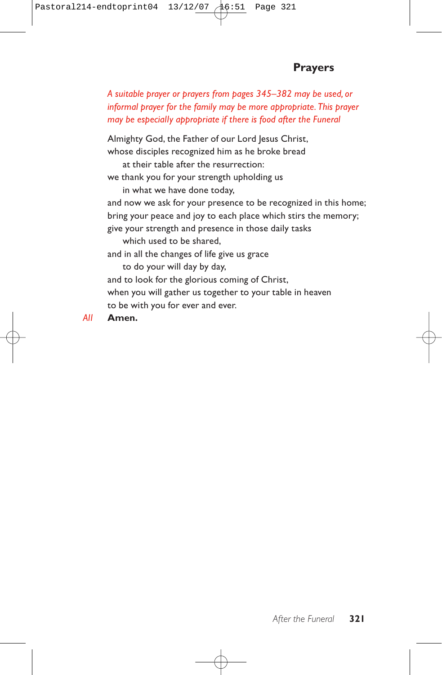# **Prayers**

*A suitable prayer or prayers from pages 345–382 may be used, or informal prayer for the family may be more appropriate. This prayer may be especially appropriate if there is food after the Funeral*

Almighty God, the Father of our Lord Jesus Christ, whose disciples recognized him as he broke bread at their table after the resurrection:

we thank you for your strength upholding us

in what we have done today,

and now we ask for your presence to be recognized in this home; bring your peace and joy to each place which stirs the memory; give your strength and presence in those daily tasks

which used to be shared,

and in all the changes of life give us grace

to do your will day by day,

and to look for the glorious coming of Christ,

when you will gather us together to your table in heaven to be with you for ever and ever.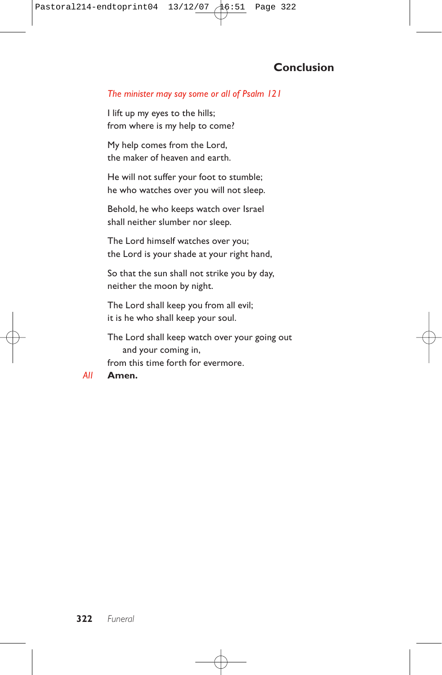# **Conclusion**

#### *The minister may say some or all of Psalm 121*

I lift up my eyes to the hills; from where is my help to come?

My help comes from the Lord, the maker of heaven and earth.

He will not suffer your foot to stumble; he who watches over you will not sleep.

Behold, he who keeps watch over Israel shall neither slumber nor sleep.

The Lord himself watches over you; the Lord is your shade at your right hand,

So that the sun shall not strike you by day, neither the moon by night.

The Lord shall keep you from all evil; it is he who shall keep your soul.

The Lord shall keep watch over your going out and your coming in,

from this time forth for evermore.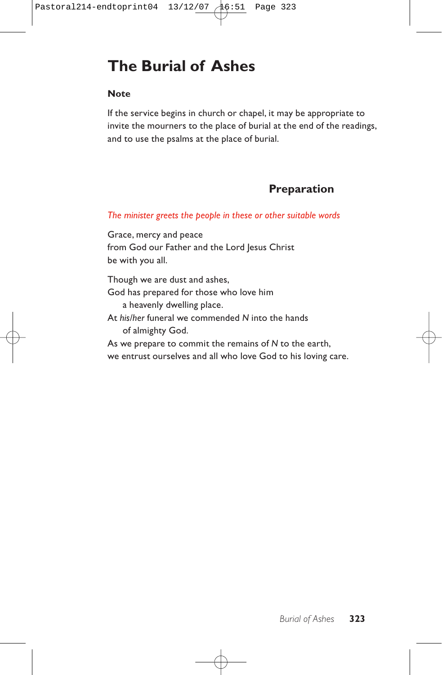# **The Burial of Ashes**

## **Note**

If the service begins in church or chapel, it may be appropriate to invite the mourners to the place of burial at the end of the readings, and to use the psalms at the place of burial.

# **Preparation**

## *The minister greets the people in these or other suitable words*

Grace, mercy and peace from God our Father and the Lord Jesus Christ be with you all. Though we are dust and ashes, God has prepared for those who love him a heavenly dwelling place. At *his/her* funeral we commended *N* into the hands of almighty God. As we prepare to commit the remains of *N* to the earth, we entrust ourselves and all who love God to his loving care.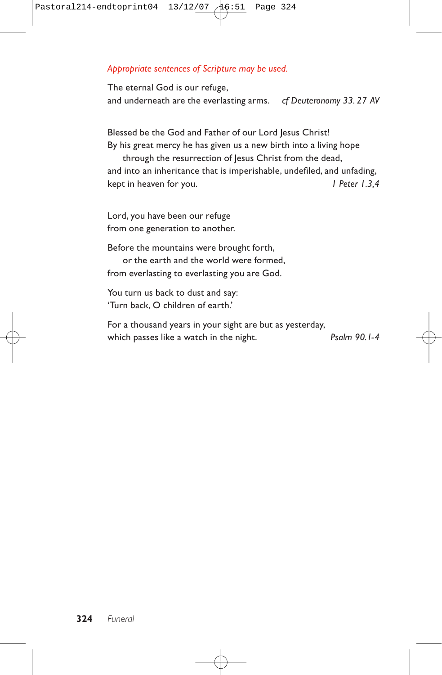## *Appropriate sentences of Scripture may be used.*

The eternal God is our refuge, and underneath are the everlasting arms. *cf Deuteronomy 33. 27 AV*

Blessed be the God and Father of our Lord Jesus Christ! By his great mercy he has given us a new birth into a living hope

through the resurrection of Jesus Christ from the dead, and into an inheritance that is imperishable, undefiled, and unfading, kept in heaven for you. *1 Peter 1.3,4*

Lord, you have been our refuge from one generation to another.

Before the mountains were brought forth, or the earth and the world were formed, from everlasting to everlasting you are God.

You turn us back to dust and say: 'Turn back, O children of earth.'

For a thousand years in your sight are but as yesterday, which passes like a watch in the night. *Psalm 90.1-4*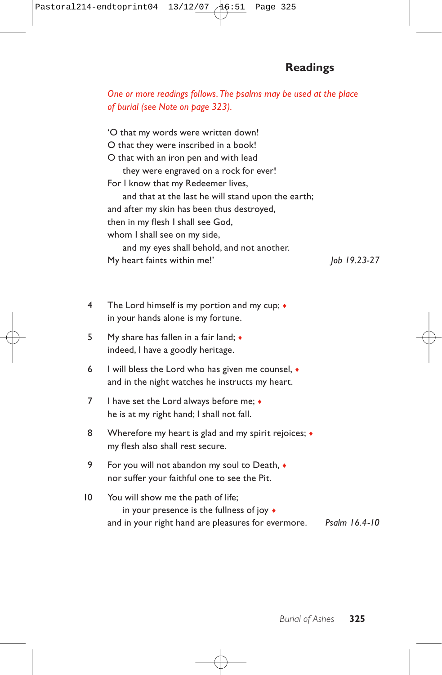# **Readings**

*One or more readings follows. The psalms may be used at the place of burial (see Note on page 323).*

'O that my words were written down! O that they were inscribed in a book! O that with an iron pen and with lead they were engraved on a rock for ever! For I know that my Redeemer lives, and that at the last he will stand upon the earth; and after my skin has been thus destroyed, then in my flesh I shall see God, whom I shall see on my side, and my eyes shall behold, and not another. My heart faints within me!' *Job 19.23-27*

- 4 The Lord himself is my portion and my cup; ♦ in your hands alone is my fortune.
- 5 My share has fallen in a fair land; ♦ indeed, I have a goodly heritage.
- 6 I will bless the Lord who has given me counsel,  $\bullet$ and in the night watches he instructs my heart.
- 7 I have set the Lord always before me;  $\bullet$ he is at my right hand; I shall not fall.
- 8 Wherefore my heart is glad and my spirit rejoices;  $\bullet$ my flesh also shall rest secure.
- 9 For you will not abandon my soul to Death,  $\bullet$ nor suffer your faithful one to see the Pit.
- 10 You will show me the path of life; in your presence is the fullness of joy ♦ and in your right hand are pleasures for evermore. *Psalm 16.4-10*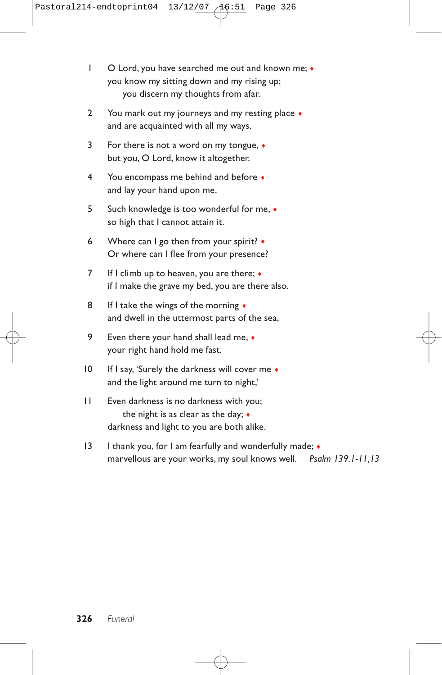- 1 O Lord, you have searched me out and known me; ♦ you know my sitting down and my rising up; you discern my thoughts from afar.
- 2 You mark out my journeys and my resting place ♦ and are acquainted with all my ways.
- 3 For there is not a word on my tongue, ♦ but you, O Lord, know it altogether.
- 4 You encompass me behind and before ♦ and lay your hand upon me.
- 5 Such knowledge is too wonderful for me, ♦ so high that I cannot attain it.
- 6 Where can I go then from your spirit? ♦ Or where can I flee from your presence?
- 7 If I climb up to heaven, you are there; ♦ if I make the grave my bed, you are there also.
- 8 If I take the wings of the morning  $\bullet$ and dwell in the uttermost parts of the sea,
- 9 Even there your hand shall lead me,  $\bullet$ your right hand hold me fast.
- 10 If I say, 'Surely the darkness will cover me  $\bullet$ and the light around me turn to night,'
- 11 Even darkness is no darkness with you; the night is as clear as the day; ♦ darkness and light to you are both alike.
- 13 I thank you, for I am fearfully and wonderfully made;  $\bullet$ marvellous are your works, my soul knows well. *Psalm 139.1-11,13*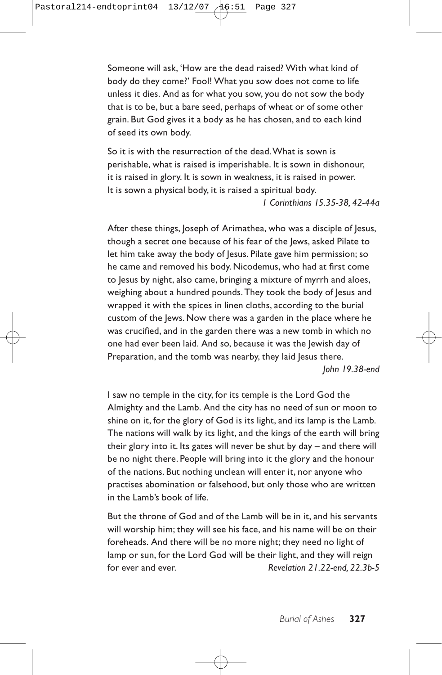Someone will ask, 'How are the dead raised? With what kind of body do they come?' Fool! What you sow does not come to life unless it dies. And as for what you sow, you do not sow the body that is to be, but a bare seed, perhaps of wheat or of some other grain. But God gives it a body as he has chosen, and to each kind of seed its own body.

So it is with the resurrection of the dead. What is sown is perishable, what is raised is imperishable. It is sown in dishonour, it is raised in glory. It is sown in weakness, it is raised in power. It is sown a physical body, it is raised a spiritual body.

*1 Corinthians 15.35-38, 42-44a*

After these things, Joseph of Arimathea, who was a disciple of Jesus, though a secret one because of his fear of the Jews, asked Pilate to let him take away the body of Jesus. Pilate gave him permission; so he came and removed his body. Nicodemus, who had at first come to Jesus by night, also came, bringing a mixture of myrrh and aloes, weighing about a hundred pounds. They took the body of Jesus and wrapped it with the spices in linen cloths, according to the burial custom of the Jews. Now there was a garden in the place where he was crucified, and in the garden there was a new tomb in which no one had ever been laid. And so, because it was the Jewish day of Preparation, and the tomb was nearby, they laid Jesus there. *John 19.38-end*

I saw no temple in the city, for its temple is the Lord God the Almighty and the Lamb. And the city has no need of sun or moon to shine on it, for the glory of God is its light, and its lamp is the Lamb. The nations will walk by its light, and the kings of the earth will bring their glory into it. Its gates will never be shut by day – and there will be no night there. People will bring into it the glory and the honour of the nations. But nothing unclean will enter it, nor anyone who practises abomination or falsehood, but only those who are written in the Lamb's book of life.

But the throne of God and of the Lamb will be in it, and his servants will worship him; they will see his face, and his name will be on their foreheads. And there will be no more night; they need no light of lamp or sun, for the Lord God will be their light, and they will reign for ever and ever. *Revelation 21.22-end, 22.3b-5*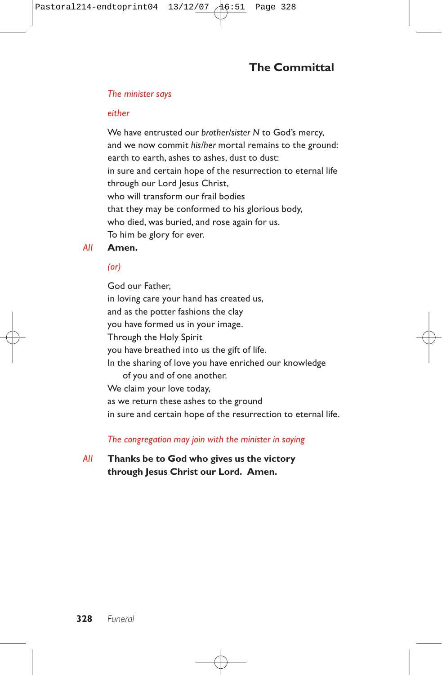#### *The minister says*

#### *either*

We have entrusted our *brother/sister N* to God's mercy, and we now commit *his/her* mortal remains to the ground: earth to earth, ashes to ashes, dust to dust: in sure and certain hope of the resurrection to eternal life through our Lord Jesus Christ, who will transform our frail bodies that they may be conformed to his glorious body, who died, was buried, and rose again for us. To him be glory for ever.

#### *All* **Amen.**

#### *(or)*

God our Father, in loving care your hand has created us, and as the potter fashions the clay you have formed us in your image. Through the Holy Spirit you have breathed into us the gift of life. In the sharing of love you have enriched our knowledge of you and of one another. We claim your love today, as we return these ashes to the ground in sure and certain hope of the resurrection to eternal life.

#### *The congregation may join with the minister in saying*

# *All* **Thanks be to God who gives us the victory through Jesus Christ our Lord. Amen.**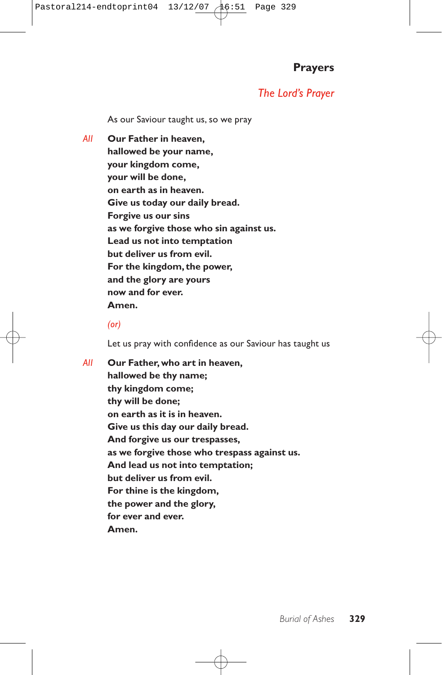# *The Lord's Prayer*

As our Saviour taught us, so we pray

*All* **Our Father in heaven, hallowed be your name, your kingdom come, your will be done, on earth as in heaven. Give us today our daily bread. Forgive us our sins as we forgive those who sin against us. Lead us not into temptation but deliver us from evil. For the kingdom, the power, and the glory are yours now and for ever. Amen.**

#### *(or)*

Let us pray with confidence as our Saviour has taught us

*All* **Our Father, who art in heaven, hallowed be thy name; thy kingdom come; thy will be done; on earth as it is in heaven. Give us this day our daily bread. And forgive us our trespasses, as we forgive those who trespass against us. And lead us not into temptation; but deliver us from evil. For thine is the kingdom, the power and the glory, for ever and ever. Amen.**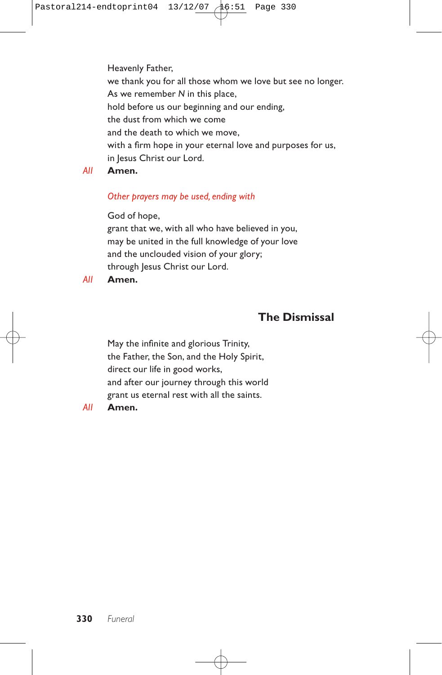Heavenly Father, we thank you for all those whom we love but see no longer. As we remember *N* in this place, hold before us our beginning and our ending, the dust from which we come and the death to which we move, with a firm hope in your eternal love and purposes for us, in Jesus Christ our Lord.

## *All* **Amen.**

#### *Other prayers may be used, ending with*

God of hope,

grant that we, with all who have believed in you, may be united in the full knowledge of your love and the unclouded vision of your glory; through Jesus Christ our Lord.

*All* **Amen.**

# **The Dismissal**

May the infinite and glorious Trinity, the Father, the Son, and the Holy Spirit, direct our life in good works, and after our journey through this world grant us eternal rest with all the saints.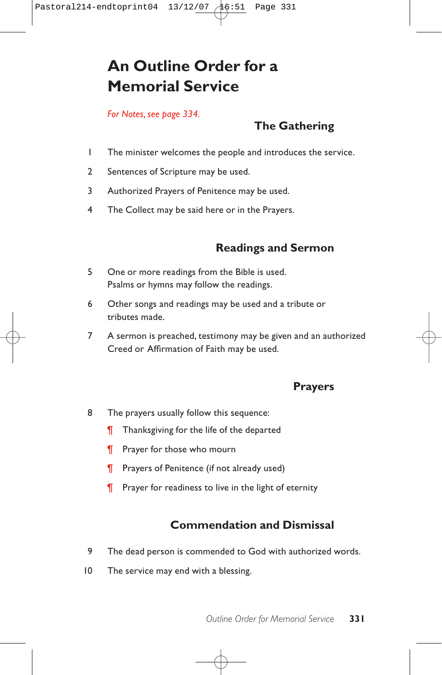# **An Outline Order for a Memorial Service**

*For Notes, see page 334.*

# **The Gathering**

- 1 The minister welcomes the people and introduces the service.
- 2 Sentences of Scripture may be used.
- 3 Authorized Prayers of Penitence may be used.
- 4 The Collect may be said here or in the Prayers.

# **Readings and Sermon**

- 5 One or more readings from the Bible is used. Psalms or hymns may follow the readings.
- 6 Other songs and readings may be used and a tribute or tributes made.
- 7 A sermon is preached, testimony may be given and an authorized Creed or Affirmation of Faith may be used.

## **Prayers**

- 8 The prayers usually follow this sequence:
	- **Thanksgiving for the life of the departed**
	- **T** Prayer for those who mourn
	- ¶ Prayers of Penitence (if not already used)
	- **T** Prayer for readiness to live in the light of eternity

# **Commendation and Dismissal**

- 9 The dead person is commended to God with authorized words.
- 10 The service may end with a blessing.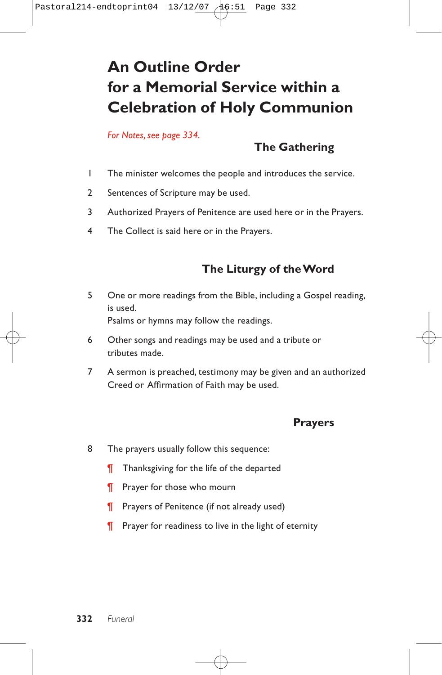# **An Outline Order for a Memorial Service within a Celebration of Holy Communion**

*For Notes, see page 334.*

# **The Gathering**

- 1 The minister welcomes the people and introduces the service.
- 2 Sentences of Scripture may be used.
- 3 Authorized Prayers of Penitence are used here or in the Prayers.
- 4 The Collect is said here or in the Prayers.

# **The Liturgy of the Word**

- 5 One or more readings from the Bible, including a Gospel reading, is used. Psalms or hymns may follow the readings.
- 6 Other songs and readings may be used and a tribute or tributes made.
- 7 A sermon is preached, testimony may be given and an authorized Creed or Affirmation of Faith may be used.

# **Prayers**

- 8 The prayers usually follow this sequence:
	- **Thanksgiving for the life of the departed**
	- **T** Prayer for those who mourn
	- ¶ Prayers of Penitence (if not already used)
	- ¶ Prayer for readiness to live in the light of eternity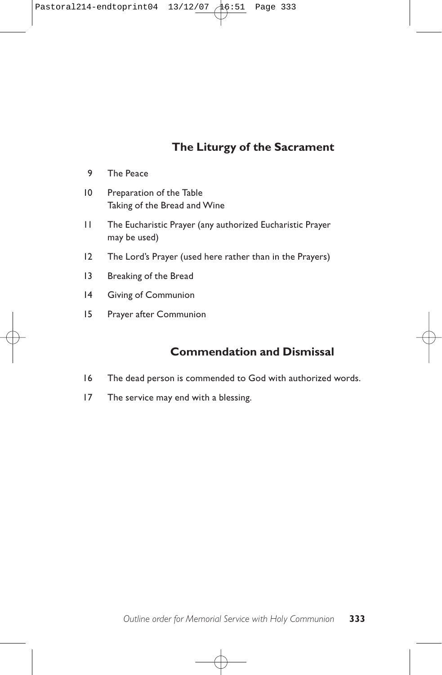# **The Liturgy of the Sacrament**

- 9 The Peace
- 10 Preparation of the Table Taking of the Bread and Wine
- 11 The Eucharistic Prayer (any authorized Eucharistic Prayer may be used)
- 12 The Lord's Prayer (used here rather than in the Prayers)
- 13 Breaking of the Bread
- 14 Giving of Communion
- 15 Prayer after Communion

# **Commendation and Dismissal**

- 16 The dead person is commended to God with authorized words.
- 17 The service may end with a blessing.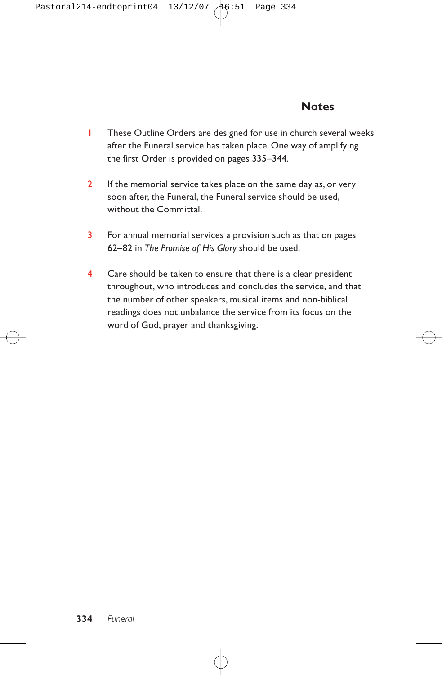# **Notes**

- 1 These Outline Orders are designed for use in church several weeks after the Funeral service has taken place. One way of amplifying the first Order is provided on pages 335–344.
- 2 If the memorial service takes place on the same day as, or very soon after, the Funeral, the Funeral service should be used, without the Committal.
- 3 For annual memorial services a provision such as that on pages 62–82 in *The Promise of His Glory* should be used.
- 4 Care should be taken to ensure that there is a clear president throughout, who introduces and concludes the service, and that the number of other speakers, musical items and non-biblical readings does not unbalance the service from its focus on the word of God, prayer and thanksgiving.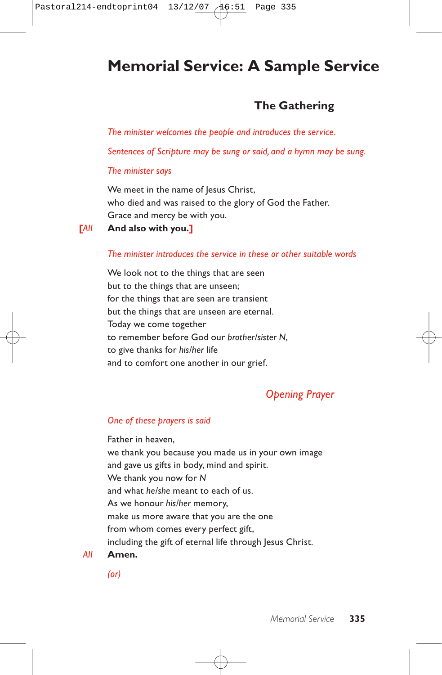# **Memorial Service: A Sample Service**

# **The Gathering**

*The minister welcomes the people and introduces the service.*

*Sentences of Scripture may be sung or said, and a hymn may be sung.*

#### *The minister says*

We meet in the name of Jesus Christ, who died and was raised to the glory of God the Father. Grace and mercy be with you.

#### **[***All* **And also with you.]**

#### *The minister introduces the service in these or other suitable words*

We look not to the things that are seen but to the things that are unseen; for the things that are seen are transient but the things that are unseen are eternal. Today we come together to remember before God our *brother/sister N*, to give thanks for *his/her* life and to comfort one another in our grief.

# *Opening Prayer*

#### *One of these prayers is said*

Father in heaven, we thank you because you made us in your own image and gave us gifts in body, mind and spirit. We thank you now for *N* and what *he/she* meant to each of us. As we honour *his/her* memory, make us more aware that you are the one from whom comes every perfect gift, including the gift of eternal life through Jesus Christ.

#### *All* **Amen.**

*(or)*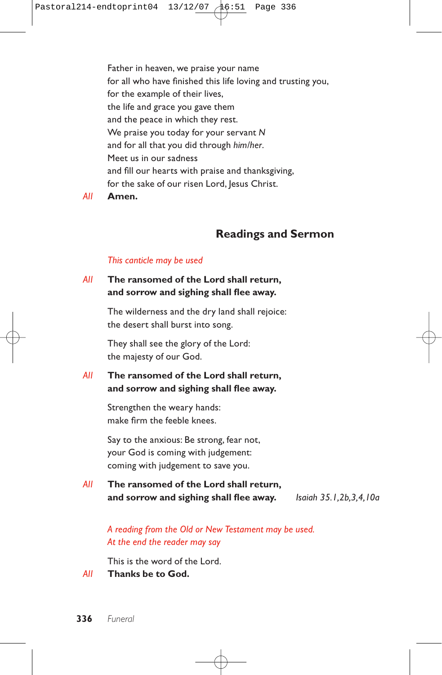Father in heaven, we praise your name for all who have finished this life loving and trusting you, for the example of their lives, the life and grace you gave them and the peace in which they rest. We praise you today for your servant *N* and for all that you did through *him/her*. Meet us in our sadness and fill our hearts with praise and thanksgiving, for the sake of our risen Lord, Jesus Christ.

*All* **Amen.**

# **Readings and Sermon**

### *This canticle may be used*

## *All* **The ransomed of the Lord shall return, and sorrow and sighing shall flee away.**

The wilderness and the dry land shall rejoice: the desert shall burst into song.

They shall see the glory of the Lord: the majesty of our God.

## *All* **The ransomed of the Lord shall return, and sorrow and sighing shall flee away.**

Strengthen the weary hands: make firm the feeble knees.

Say to the anxious: Be strong, fear not, your God is coming with judgement: coming with judgement to save you.

*All* **The ransomed of the Lord shall return, and sorrow and sighing shall flee away.** *Isaiah 35.1,2b,3,4,10a*

## *A reading from the Old or New Testament may be used. At the end the reader may say*

This is the word of the Lord.

*All* **Thanks be to God.**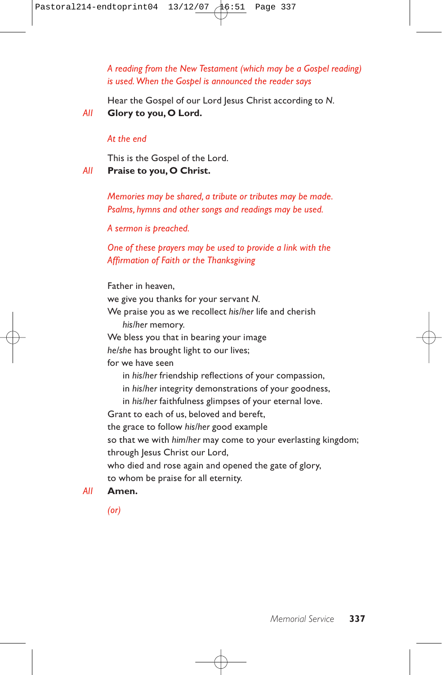*A reading from the New Testament (which may be a Gospel reading) is used. When the Gospel is announced the reader says*

Hear the Gospel of our Lord Jesus Christ according to *N*. *All* **Glory to you, O Lord.**

#### *At the end*

This is the Gospel of the Lord.

## *All* **Praise to you, O Christ.**

*Memories may be shared, a tribute or tributes may be made. Psalms, hymns and other songs and readings may be used.*

*A sermon is preached.*

*One of these prayers may be used to provide a link with the Affirmation of Faith or the Thanksgiving*

Father in heaven, we give you thanks for your servant *N.* We praise you as we recollect *his/her* life and cherish *his/her* memory. We bless you that in bearing your image *he/she* has brought light to our lives; for we have seen in *his/her* friendship reflections of your compassion, in *his/her* integrity demonstrations of your goodness, in *his/her* faithfulness glimpses of your eternal love. Grant to each of us, beloved and bereft, the grace to follow *his/her* good example so that we with *him/her* may come to your everlasting kingdom; through Jesus Christ our Lord, who died and rose again and opened the gate of glory, to whom be praise for all eternity.

## *All* **Amen.**

*(or)*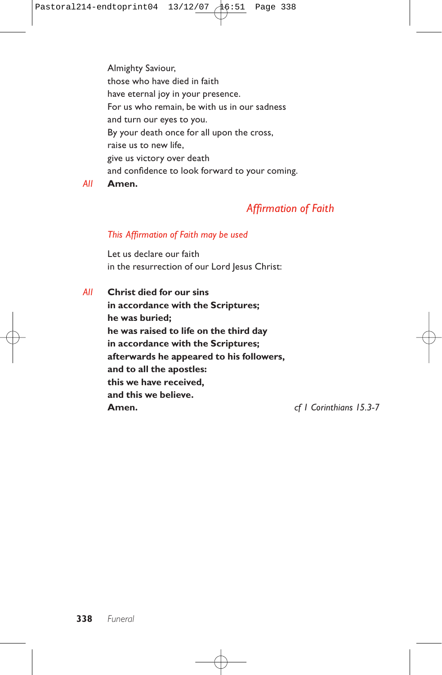Almighty Saviour, those who have died in faith have eternal joy in your presence. For us who remain, be with us in our sadness and turn our eyes to you. By your death once for all upon the cross, raise us to new life, give us victory over death and confidence to look forward to your coming.

*All* **Amen.**

# *Affirmation of Faith*

## *This Affirmation of Faith may be used*

Let us declare our faith in the resurrection of our Lord Jesus Christ:

*All* **Christ died for our sins in accordance with the Scriptures; he was buried; he was raised to life on the third day in accordance with the Scriptures; afterwards he appeared to his followers, and to all the apostles: this we have received, and this we believe. Amen.** *cf 1 Corinthians 15.3-7*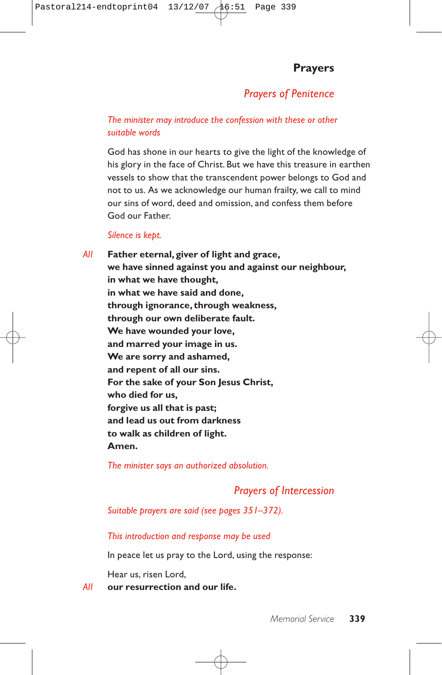# **Prayers**

# *Prayers of Penitence*

## *The minister may introduce the confession with these or other suitable words*

God has shone in our hearts to give the light of the knowledge of his glory in the face of Christ. But we have this treasure in earthen vessels to show that the transcendent power belongs to God and not to us. As we acknowledge our human frailty, we call to mind our sins of word, deed and omission, and confess them before God our Father.

#### *Silence is kept.*

*All* **Father eternal, giver of light and grace, we have sinned against you and against our neighbour, in what we have thought, in what we have said and done, through ignorance, through weakness, through our own deliberate fault. We have wounded your love, and marred your image in us. We are sorry and ashamed, and repent of all our sins. For the sake of your Son Jesus Christ, who died for us, forgive us all that is past; and lead us out from darkness to walk as children of light. Amen.**

*The minister says an authorized absolution.*

## *Prayers of Intercession*

*Suitable prayers are said (see pages 351–372).*

#### *This introduction and response may be used*

In peace let us pray to the Lord, using the response:

Hear us, risen Lord,

*All* **our resurrection and our life.**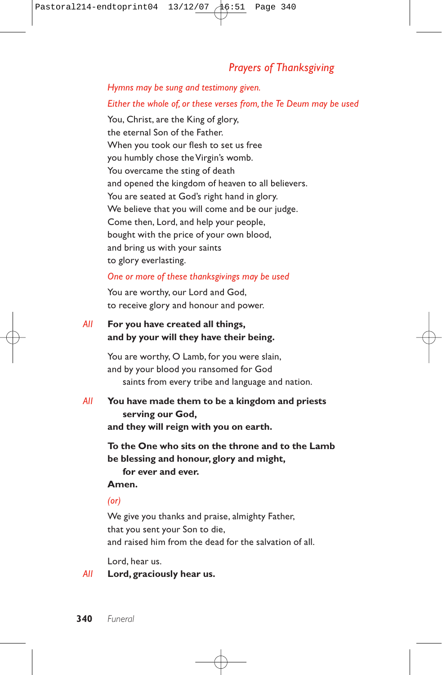# *Prayers of Thanksgiving*

# *Hymns may be sung and testimony given. Either the whole of, or these verses from, the Te Deum may be used*

You, Christ, are the King of glory, the eternal Son of the Father. When you took our flesh to set us free you humbly chose the Virgin's womb. You overcame the sting of death and opened the kingdom of heaven to all believers. You are seated at God's right hand in glory. We believe that you will come and be our judge. Come then, Lord, and help your people, bought with the price of your own blood, and bring us with your saints to glory everlasting.

#### *One or more of these thanksgivings may be used*

You are worthy, our Lord and God, to receive glory and honour and power.

## *All* **For you have created all things, and by your will they have their being.**

You are worthy, O Lamb, for you were slain, and by your blood you ransomed for God saints from every tribe and language and nation.

*All* **You have made them to be a kingdom and priests serving our God, and they will reign with you on earth.**

> **To the One who sits on the throne and to the Lamb be blessing and honour, glory and might,**

**for ever and ever.**

#### **Amen.**

*(or)*

We give you thanks and praise, almighty Father, that you sent your Son to die, and raised him from the dead for the salvation of all.

Lord, hear us.

#### *All* **Lord, graciously hear us.**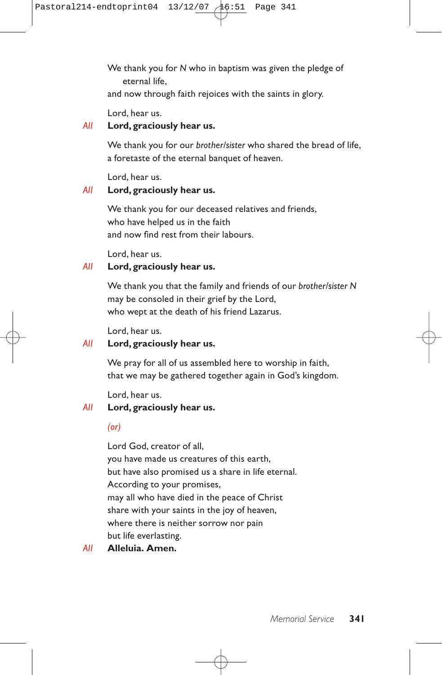We thank you for *N* who in baptism was given the pledge of eternal life,

and now through faith rejoices with the saints in glory.

Lord, hear us.

## *All* **Lord, graciously hear us.**

We thank you for our *brother/sister* who shared the bread of life, a foretaste of the eternal banquet of heaven.

Lord, hear us.

## *All* **Lord, graciously hear us.**

We thank you for our deceased relatives and friends, who have helped us in the faith and now find rest from their labours.

Lord, hear us.

## *All* **Lord, graciously hear us.**

We thank you that the family and friends of our *brother/sister N* may be consoled in their grief by the Lord, who wept at the death of his friend Lazarus.

Lord, hear us.

## *All* **Lord, graciously hear us.**

We pray for all of us assembled here to worship in faith, that we may be gathered together again in God's kingdom.

Lord, hear us.

## *All* **Lord, graciously hear us.**

## *(or)*

Lord God, creator of all, you have made us creatures of this earth, but have also promised us a share in life eternal. According to your promises, may all who have died in the peace of Christ share with your saints in the joy of heaven, where there is neither sorrow nor pain but life everlasting.

## *All* **Alleluia. Amen.**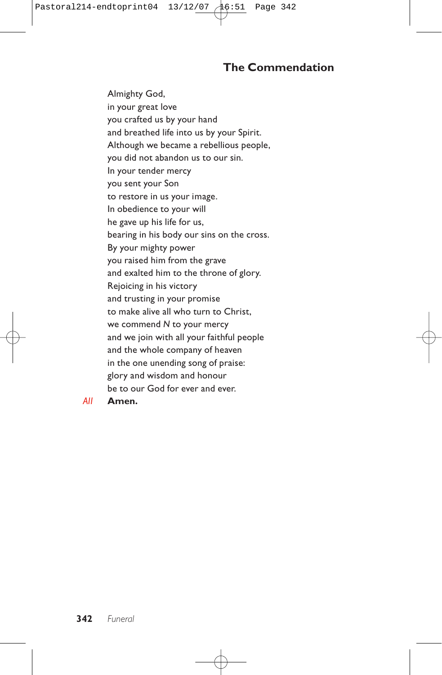# **The Commendation**

Almighty God, in your great love you crafted us by your hand and breathed life into us by your Spirit. Although we became a rebellious people, you did not abandon us to our sin. In your tender mercy you sent your Son to restore in us your image. In obedience to your will he gave up his life for us, bearing in his body our sins on the cross. By your mighty power you raised him from the grave and exalted him to the throne of glory. Rejoicing in his victory and trusting in your promise to make alive all who turn to Christ, we commend *N* to your mercy and we join with all your faithful people and the whole company of heaven in the one unending song of praise: glory and wisdom and honour be to our God for ever and ever.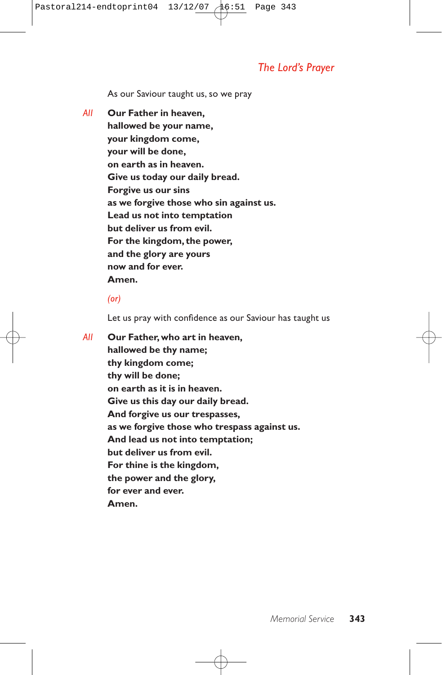# *The Lord's Prayer*

As our Saviour taught us, so we pray

*All* **Our Father in heaven, hallowed be your name, your kingdom come, your will be done, on earth as in heaven. Give us today our daily bread. Forgive us our sins as we forgive those who sin against us. Lead us not into temptation but deliver us from evil. For the kingdom, the power, and the glory are yours now and for ever. Amen.**

#### *(or)*

Let us pray with confidence as our Saviour has taught us

*All* **Our Father, who art in heaven, hallowed be thy name; thy kingdom come; thy will be done; on earth as it is in heaven. Give us this day our daily bread. And forgive us our trespasses, as we forgive those who trespass against us. And lead us not into temptation; but deliver us from evil. For thine is the kingdom, the power and the glory, for ever and ever. Amen.**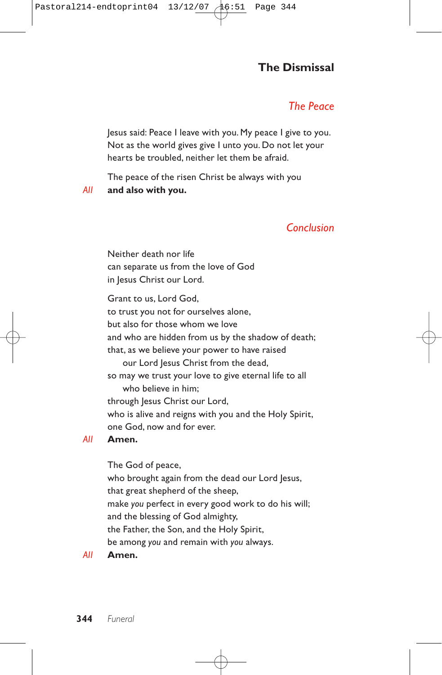# **The Dismissal**

# *The Peace*

Jesus said: Peace I leave with you. My peace I give to you. Not as the world gives give I unto you. Do not let your hearts be troubled, neither let them be afraid.

The peace of the risen Christ be always with you *All* **and also with you.**

## *Conclusion*

Neither death nor life can separate us from the love of God in Jesus Christ our Lord.

Grant to us, Lord God, to trust you not for ourselves alone, but also for those whom we love and who are hidden from us by the shadow of death; that, as we believe your power to have raised our Lord Jesus Christ from the dead, so may we trust your love to give eternal life to all who believe in him; through Jesus Christ our Lord, who is alive and reigns with you and the Holy Spirit, one God, now and for ever.

#### *All* **Amen.**

The God of peace, who brought again from the dead our Lord Jesus, that great shepherd of the sheep, make *you* perfect in every good work to do his will; and the blessing of God almighty, the Father, the Son, and the Holy Spirit, be among *you* and remain with *you* always.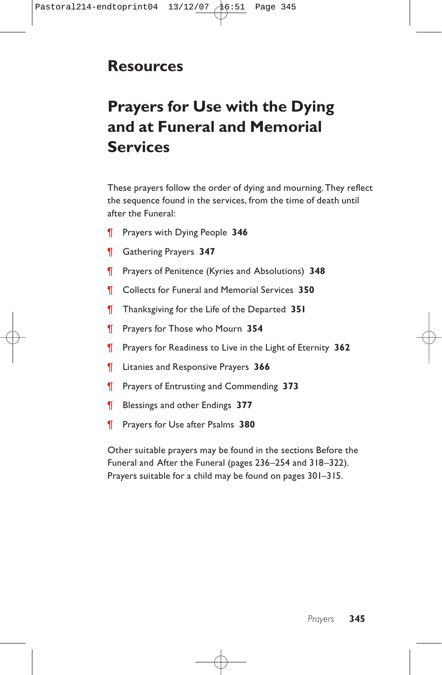# **Resources**

# **Prayers for Use with the Dying and at Funeral and Memorial Services**

These prayers follow the order of dying and mourning. They reflect the sequence found in the services, from the time of death until after the Funeral:

- ¶ Prayers with Dying People **346**
- ¶ Gathering Prayers **347**
- ¶ Prayers of Penitence (Kyries and Absolutions) **348**
- ¶ Collects for Funeral and Memorial Services **350**
- ¶ Thanksgiving for the Life of the Departed **351**
- ¶ Prayers for Those who Mourn **354**
- ¶ Prayers for Readiness to Live in the Light of Eternity **362**
- ¶ Litanies and Responsive Prayers **366**
- ¶ Prayers of Entrusting and Commending **373**
- ¶ Blessings and other Endings **377**
- ¶ Prayers for Use after Psalms **380**

Other suitable prayers may be found in the sections Before the Funeral and After the Funeral (pages 236–254 and 318–322). Prayers suitable for a child may be found on pages 301–315.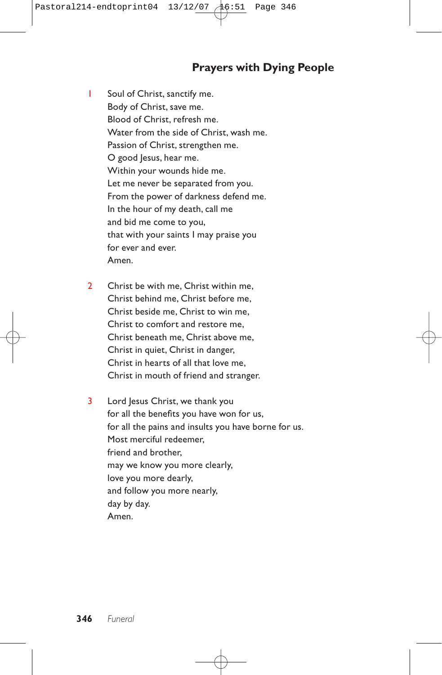# **Prayers with Dying People**

- 1 Soul of Christ, sanctify me. Body of Christ, save me. Blood of Christ, refresh me. Water from the side of Christ, wash me. Passion of Christ, strengthen me. O good Jesus, hear me. Within your wounds hide me. Let me never be separated from you. From the power of darkness defend me. In the hour of my death, call me and bid me come to you, that with your saints I may praise you for ever and ever. Amen.
- 2 Christ be with me, Christ within me, Christ behind me, Christ before me, Christ beside me, Christ to win me, Christ to comfort and restore me, Christ beneath me, Christ above me, Christ in quiet, Christ in danger, Christ in hearts of all that love me, Christ in mouth of friend and stranger.
- 3 Lord Jesus Christ, we thank you for all the benefits you have won for us, for all the pains and insults you have borne for us. Most merciful redeemer, friend and brother, may we know you more clearly, love you more dearly, and follow you more nearly, day by day. Amen.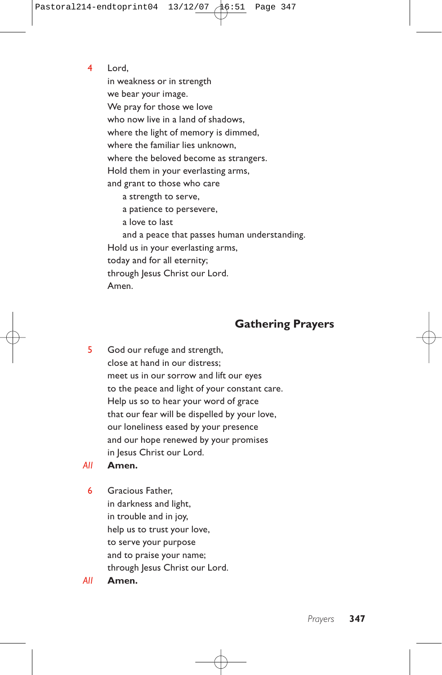4 Lord,

in weakness or in strength we bear your image. We pray for those we love who now live in a land of shadows, where the light of memory is dimmed, where the familiar lies unknown, where the beloved become as strangers. Hold them in your everlasting arms, and grant to those who care a strength to serve,

- 
- a patience to persevere,
- a love to last

and a peace that passes human understanding. Hold us in your everlasting arms, today and for all eternity; through Jesus Christ our Lord. Amen.

# **Gathering Prayers**

- 5 God our refuge and strength, close at hand in our distress; meet us in our sorrow and lift our eyes to the peace and light of your constant care. Help us so to hear your word of grace that our fear will be dispelled by your love, our loneliness eased by your presence and our hope renewed by your promises in Jesus Christ our Lord.
- *All* **Amen.**
	- 6 Gracious Father, in darkness and light, in trouble and in joy, help us to trust your love, to serve your purpose and to praise your name; through Jesus Christ our Lord.
- *All* **Amen.**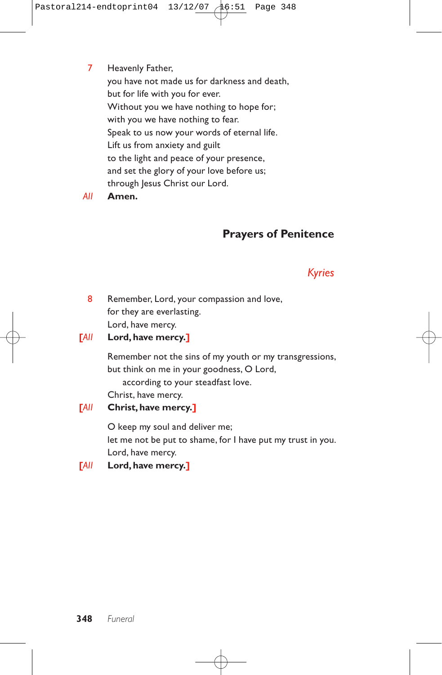7 Heavenly Father,

you have not made us for darkness and death, but for life with you for ever. Without you we have nothing to hope for; with you we have nothing to fear. Speak to us now your words of eternal life. Lift us from anxiety and guilt to the light and peace of your presence, and set the glory of your love before us; through Jesus Christ our Lord.

*All* **Amen.**

# **Prayers of Penitence**

# *Kyries*

| -8 | Remember, Lord, your compassion and love, |
|----|-------------------------------------------|
|    | for they are everlasting.                 |
|    | Lord, have mercy.                         |

## **[***All* **Lord, have mercy.]**

Remember not the sins of my youth or my transgressions, but think on me in your goodness, O Lord,

according to your steadfast love.

Christ, have mercy.

## **[***All* **Christ, have mercy.]**

O keep my soul and deliver me; let me not be put to shame, for I have put my trust in you. Lord, have mercy.

#### **[***All* **Lord, have mercy.]**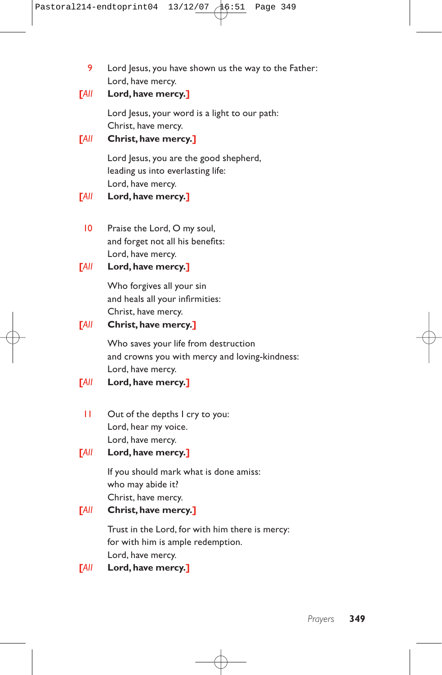9 Lord Jesus, you have shown us the way to the Father: Lord, have mercy.

# **[***All* **Lord, have mercy.]**

Lord Jesus, your word is a light to our path: Christ, have mercy.

# **[***All* **Christ, have mercy.]**

Lord Jesus, you are the good shepherd, leading us into everlasting life: Lord, have mercy.

# **[***All* **Lord, have mercy.]**

10 Praise the Lord, O my soul, and forget not all his benefits: Lord, have mercy.

# **[***All* **Lord, have mercy.]**

Who forgives all your sin and heals all your infirmities: Christ, have mercy.

# **[***All* **Christ, have mercy.]**

Who saves your life from destruction and crowns you with mercy and loving-kindness: Lord, have mercy.

# **[***All* **Lord, have mercy.]**

11 Out of the depths I cry to you: Lord, hear my voice. Lord, have mercy.

# **[***All* **Lord, have mercy.]**

If you should mark what is done amiss: who may abide it? Christ, have mercy.

# **[***All* **Christ, have mercy.]**

Trust in the Lord, for with him there is mercy: for with him is ample redemption. Lord, have mercy.

## **[***All* **Lord, have mercy.]**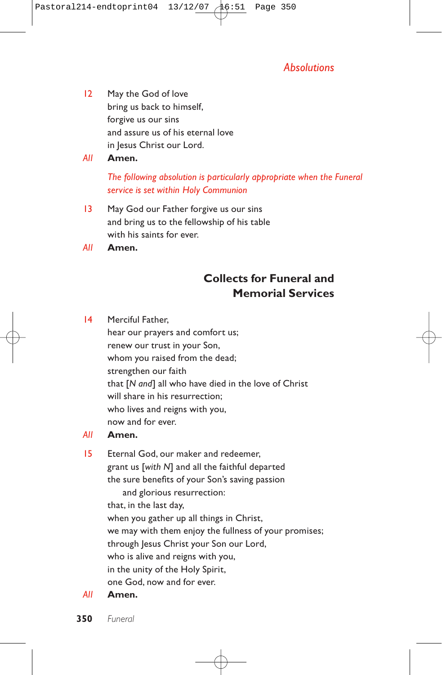# *Absolutions*

12 May the God of love bring us back to himself, forgive us our sins and assure us of his eternal love in Jesus Christ our Lord.

*All* **Amen.**

*The following absolution is particularly appropriate when the Funeral service is set within Holy Communion*

- 13 May God our Father forgive us our sins and bring us to the fellowship of his table with his saints for ever.
- *All* **Amen.**

# **Collects for Funeral and Memorial Services**

14 Merciful Father, hear our prayers and comfort us; renew our trust in your Son, whom you raised from the dead; strengthen our faith that [*N and*] all who have died in the love of Christ will share in his resurrection; who lives and reigns with you, now and for ever.

#### *All* **Amen.**

15 Eternal God, our maker and redeemer, grant us [*with N*] and all the faithful departed the sure benefits of your Son's saving passion and glorious resurrection: that, in the last day, when you gather up all things in Christ, we may with them enjoy the fullness of your promises; through Jesus Christ your Son our Lord, who is alive and reigns with you, in the unity of the Holy Spirit, one God, now and for ever.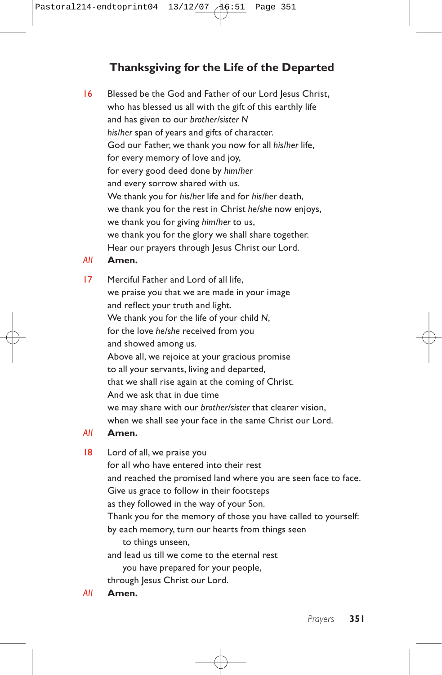# **Thanksgiving for the Life of the Departed**

16 Blessed be the God and Father of our Lord Jesus Christ, who has blessed us all with the gift of this earthly life and has given to our *brother/sister N his/her* span of years and gifts of character. God our Father, we thank you now for all *his/her* life, for every memory of love and joy, for every good deed done by *him/her* and every sorrow shared with us. We thank you for *his/her* life and for *his/her* death, we thank you for the rest in Christ *he/she* now enjoys, we thank you for giving *him/her* to us, we thank you for the glory we shall share together. Hear our prayers through Jesus Christ our Lord.

#### *All* **Amen.**

17 Merciful Father and Lord of all life, we praise you that we are made in your image and reflect your truth and light. We thank you for the life of your child *N*, for the love *he/she* received from you and showed among us. Above all, we rejoice at your gracious promise to all your servants, living and departed, that we shall rise again at the coming of Christ. And we ask that in due time we may share with our *brother/sister* that clearer vision, when we shall see your face in the same Christ our Lord.

#### *All* **Amen.**

18 Lord of all, we praise you for all who have entered into their rest and reached the promised land where you are seen face to face. Give us grace to follow in their footsteps as they followed in the way of your Son. Thank you for the memory of those you have called to yourself: by each memory, turn our hearts from things seen to things unseen, and lead us till we come to the eternal rest you have prepared for your people, through Jesus Christ our Lord. *All* **Amen.**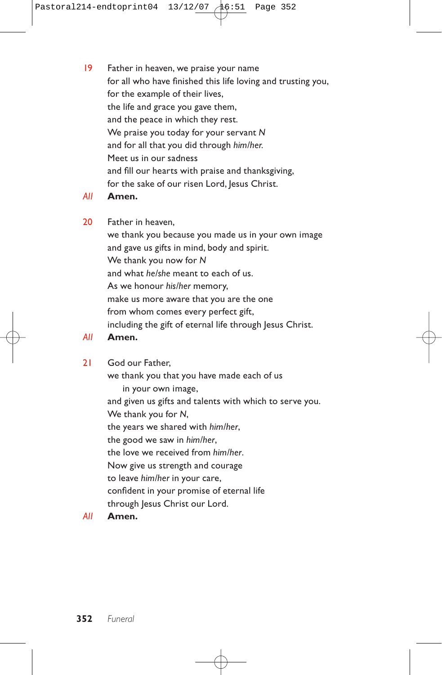19 Father in heaven, we praise your name for all who have finished this life loving and trusting you, for the example of their lives, the life and grace you gave them, and the peace in which they rest. We praise you today for your servant *N* and for all that you did through *him/her.* Meet us in our sadness and fill our hearts with praise and thanksgiving, for the sake of our risen Lord, Jesus Christ.

- *All* **Amen.**
- 20 Father in heaven.

we thank you because you made us in your own image and gave us gifts in mind, body and spirit. We thank you now for *N* and what *he/she* meant to each of us. As we honour *his/her* memory, make us more aware that you are the one from whom comes every perfect gift, including the gift of eternal life through Jesus Christ.

- *All* **Amen.**
- 21 God our Father,

we thank you that you have made each of us in your own image, and given us gifts and talents with which to serve you. We thank you for *N*, the years we shared with *him/her*, the good we saw in *him/her*, the love we received from *him/her*. Now give us strength and courage to leave *him/her* in your care, confident in your promise of eternal life through Jesus Christ our Lord.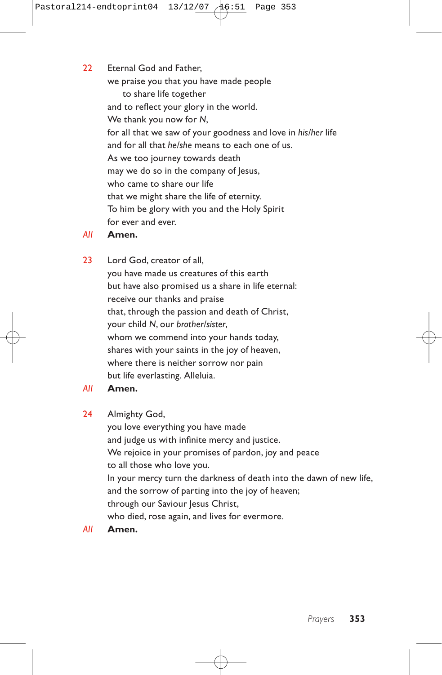22 Eternal God and Father. we praise you that you have made people to share life together and to reflect your glory in the world. We thank you now for *N*, for all that we saw of your goodness and love in *his/her* life and for all that *he/she* means to each one of us. As we too journey towards death may we do so in the company of lesus, who came to share our life that we might share the life of eternity. To him be glory with you and the Holy Spirit for ever and ever.

## *All* **Amen.**

23 Lord God, creator of all, you have made us creatures of this earth but have also promised us a share in life eternal: receive our thanks and praise that, through the passion and death of Christ, your child *N*, our *brother/sister*, whom we commend into your hands today, shares with your saints in the joy of heaven, where there is neither sorrow nor pain but life everlasting. Alleluia.

#### *All* **Amen.**

#### 24 Almighty God,

you love everything you have made and judge us with infinite mercy and justice. We rejoice in your promises of pardon, joy and peace to all those who love you. In your mercy turn the darkness of death into the dawn of new life, and the sorrow of parting into the joy of heaven; through our Saviour Jesus Christ, who died, rose again, and lives for evermore.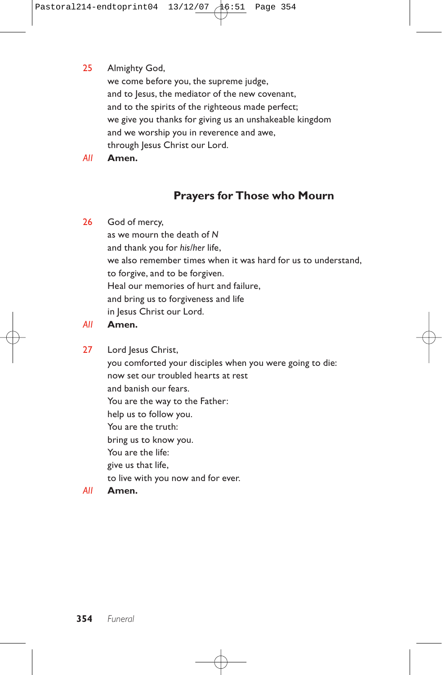## 25 Almighty God,

we come before you, the supreme judge, and to lesus, the mediator of the new covenant, and to the spirits of the righteous made perfect; we give you thanks for giving us an unshakeable kingdom and we worship you in reverence and awe, through Jesus Christ our Lord.

*All* **Amen.**

# **Prayers for Those who Mourn**

26 God of mercy,

as we mourn the death of *N*

and thank you for *his/her* life,

we also remember times when it was hard for us to understand,

to forgive, and to be forgiven.

Heal our memories of hurt and failure,

and bring us to forgiveness and life

in Jesus Christ our Lord.

## *All* **Amen.**

27 Lord Jesus Christ,

you comforted your disciples when you were going to die: now set our troubled hearts at rest and banish our fears. You are the way to the Father: help us to follow you. You are the truth: bring us to know you. You are the life: give us that life, to live with you now and for ever.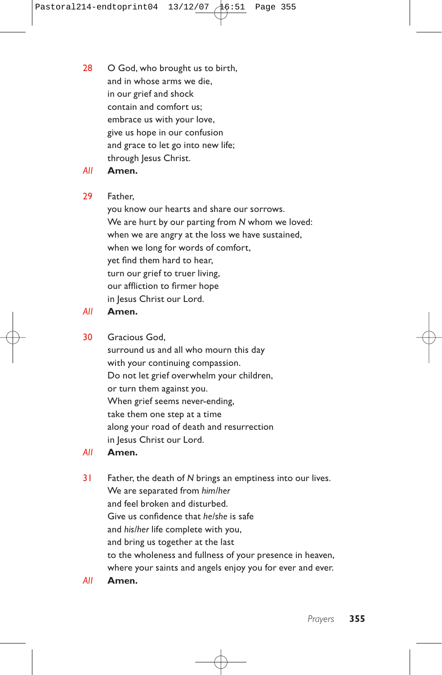28 O God, who brought us to birth, and in whose arms we die, in our grief and shock contain and comfort us; embrace us with your love, give us hope in our confusion and grace to let go into new life; through lesus Christ.

*All* **Amen.**

#### 29 Father,

you know our hearts and share our sorrows. We are hurt by our parting from *N* whom we loved: when we are angry at the loss we have sustained, when we long for words of comfort, yet find them hard to hear, turn our grief to truer living, our affliction to firmer hope in Jesus Christ our Lord.

### *All* **Amen.**

### 30 Gracious God,

surround us and all who mourn this day with your continuing compassion. Do not let grief overwhelm your children, or turn them against you. When grief seems never-ending, take them one step at a time along your road of death and resurrection in Jesus Christ our Lord.

- 31 Father, the death of *N* brings an emptiness into our lives. We are separated from *him/her* and feel broken and disturbed. Give us confidence that *he/she* is safe and *his/her* life complete with you, and bring us together at the last to the wholeness and fullness of your presence in heaven, where your saints and angels enjoy you for ever and ever.
- *All* **Amen.**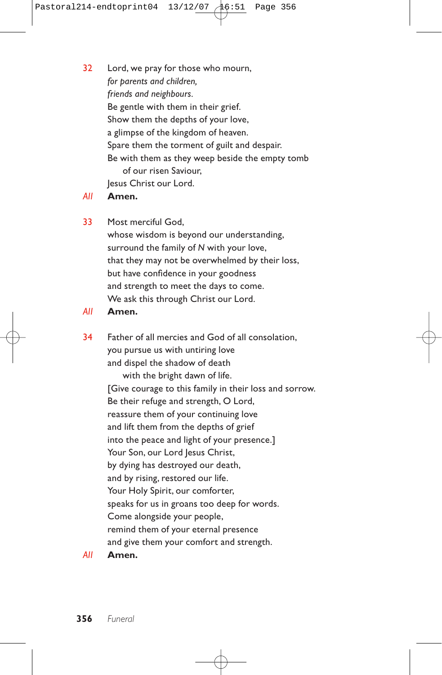32 Lord, we pray for those who mourn, *for parents and children, friends and neighbours.* Be gentle with them in their grief. Show them the depths of your love, a glimpse of the kingdom of heaven. Spare them the torment of guilt and despair. Be with them as they weep beside the empty tomb of our risen Saviour, Jesus Christ our Lord.

*All* **Amen.**

33 Most merciful God,

whose wisdom is beyond our understanding, surround the family of *N* with your love, that they may not be overwhelmed by their loss, but have confidence in your goodness and strength to meet the days to come. We ask this through Christ our Lord.

*All* **Amen.**

34 Father of all mercies and God of all consolation, you pursue us with untiring love and dispel the shadow of death with the bright dawn of life.

[Give courage to this family in their loss and sorrow. Be their refuge and strength, O Lord, reassure them of your continuing love and lift them from the depths of grief into the peace and light of your presence.] Your Son, our Lord Jesus Christ, by dying has destroyed our death, and by rising, restored our life. Your Holy Spirit, our comforter, speaks for us in groans too deep for words. Come alongside your people, remind them of your eternal presence and give them your comfort and strength.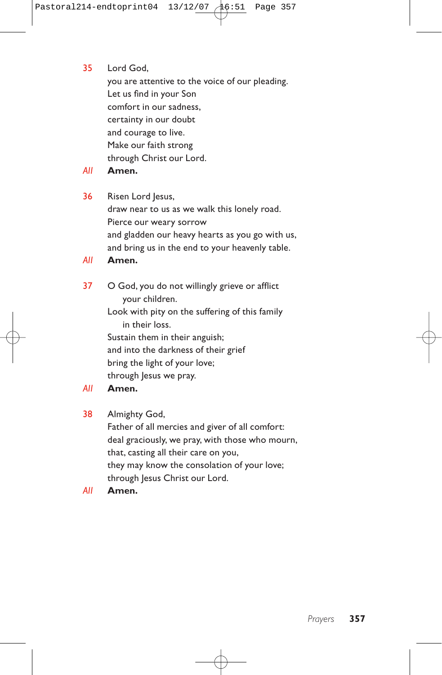### 35 Lord God,

you are attentive to the voice of our pleading. Let us find in your Son comfort in our sadness, certainty in our doubt and courage to live. Make our faith strong through Christ our Lord.

## *All* **Amen.**

36 Risen Lord Jesus, draw near to us as we walk this lonely road. Pierce our weary sorrow and gladden our heavy hearts as you go with us, and bring us in the end to your heavenly table.

*All* **Amen.**

37 O God, you do not willingly grieve or afflict your children. Look with pity on the suffering of this family in their loss. Sustain them in their anguish; and into the darkness of their grief bring the light of your love; through Jesus we pray.

## *All* **Amen.**

## 38 Almighty God,

Father of all mercies and giver of all comfort: deal graciously, we pray, with those who mourn, that, casting all their care on you, they may know the consolation of your love; through Jesus Christ our Lord.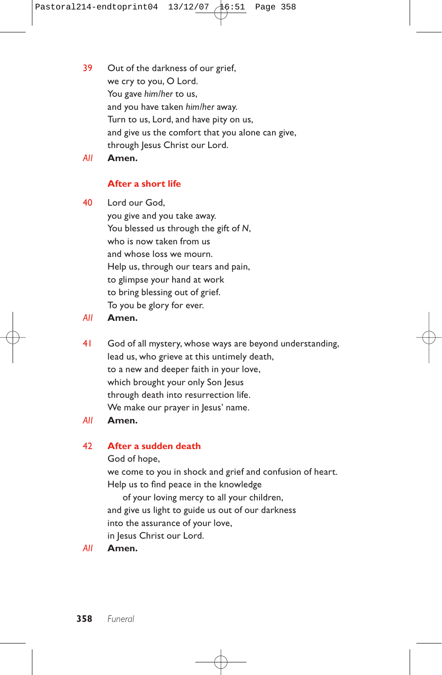39 Out of the darkness of our grief, we cry to you, O Lord. You gave *him/her* to us, and you have taken *him/her* away. Turn to us, Lord, and have pity on us, and give us the comfort that you alone can give, through Jesus Christ our Lord.

*All* **Amen.**

#### **After a short life**

40 Lord our God, you give and you take away. You blessed us through the gift of *N*, who is now taken from us and whose loss we mourn. Help us, through our tears and pain, to glimpse your hand at work to bring blessing out of grief. To you be glory for ever.

#### *All* **Amen.**

41 God of all mystery, whose ways are beyond understanding, lead us, who grieve at this untimely death, to a new and deeper faith in your love, which brought your only Son Jesus through death into resurrection life. We make our prayer in Jesus' name.

#### *All* **Amen.**

#### 42 **After a sudden death**

God of hope,

we come to you in shock and grief and confusion of heart. Help us to find peace in the knowledge

of your loving mercy to all your children, and give us light to guide us out of our darkness into the assurance of your love, in Jesus Christ our Lord.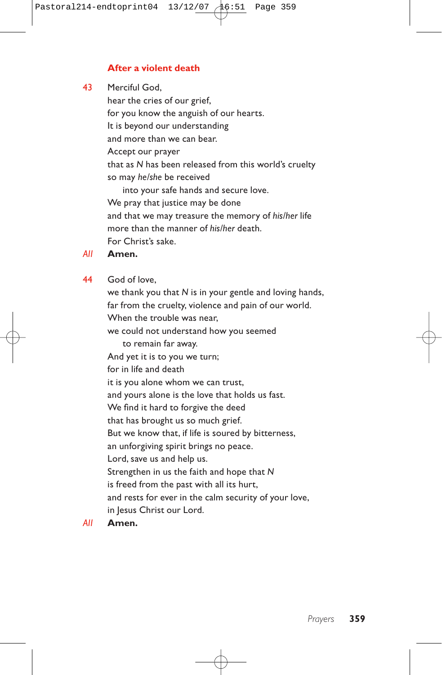## **After a violent death**

43 Merciful God, hear the cries of our grief, for you know the anguish of our hearts. It is beyond our understanding and more than we can bear. Accept our prayer that as *N* has been released from this world's cruelty so may *he/she* be received into your safe hands and secure love. We pray that justice may be done and that we may treasure the memory of *his/her* life more than the manner of *his/her* death. For Christ's sake.

#### *All* **Amen.**

44 God of love,

we thank you that *N* is in your gentle and loving hands, far from the cruelty, violence and pain of our world. When the trouble was near, we could not understand how you seemed to remain far away. And yet it is to you we turn; for in life and death it is you alone whom we can trust, and yours alone is the love that holds us fast. We find it hard to forgive the deed that has brought us so much grief. But we know that, if life is soured by bitterness, an unforgiving spirit brings no peace. Lord, save us and help us. Strengthen in us the faith and hope that *N* is freed from the past with all its hurt, and rests for ever in the calm security of your love, in Jesus Christ our Lord.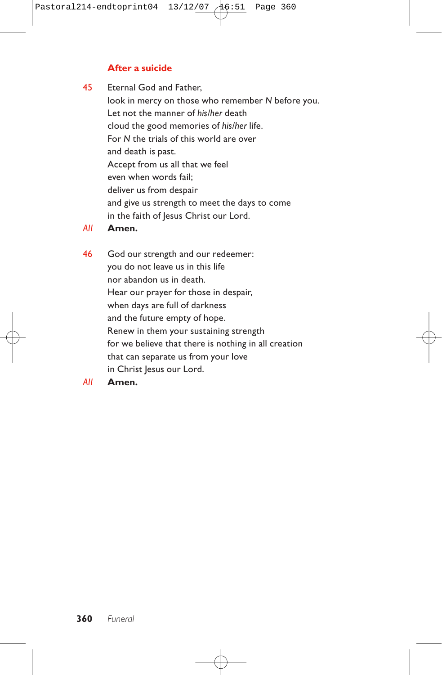## **After a suicide**

45 Eternal God and Father, look in mercy on those who remember *N* before you. Let not the manner of *his/her* death cloud the good memories of *his/her* life. For *N* the trials of this world are over and death is past. Accept from us all that we feel even when words fail; deliver us from despair and give us strength to meet the days to come in the faith of Jesus Christ our Lord.

#### *All* **Amen.**

46 God our strength and our redeemer: you do not leave us in this life nor abandon us in death. Hear our prayer for those in despair, when days are full of darkness and the future empty of hope. Renew in them your sustaining strength for we believe that there is nothing in all creation that can separate us from your love in Christ Jesus our Lord.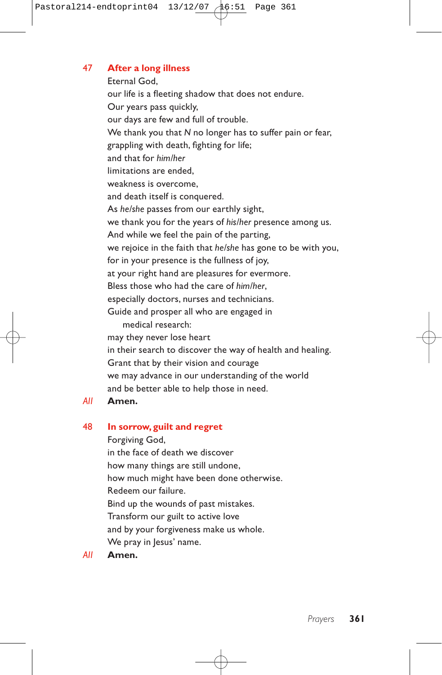## 47 **After a long illness**

Eternal God, our life is a fleeting shadow that does not endure. Our years pass quickly, our days are few and full of trouble. We thank you that *N* no longer has to suffer pain or fear, grappling with death, fighting for life; and that for *him/her* limitations are ended, weakness is overcome, and death itself is conquered. As *he/she* passes from our earthly sight, we thank you for the years of *his/her* presence among us. And while we feel the pain of the parting, we rejoice in the faith that *he/she* has gone to be with you, for in your presence is the fullness of joy, at your right hand are pleasures for evermore. Bless those who had the care of *him/her*, especially doctors, nurses and technicians. Guide and prosper all who are engaged in medical research: may they never lose heart in their search to discover the way of health and healing. Grant that by their vision and courage we may advance in our understanding of the world

and be better able to help those in need.

*All* **Amen.**

#### 48 **In sorrow, guilt and regret**

Forgiving God, in the face of death we discover how many things are still undone, how much might have been done otherwise. Redeem our failure. Bind up the wounds of past mistakes. Transform our guilt to active love and by your forgiveness make us whole. We pray in Jesus' name.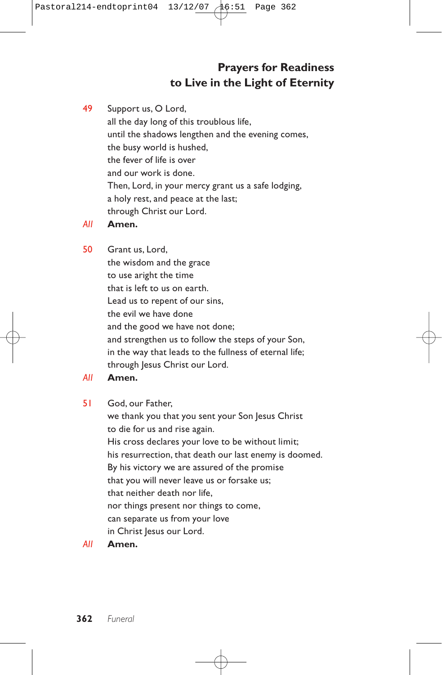# **Prayers for Readiness to Live in the Light of Eternity**

49 Support us, O Lord, all the day long of this troublous life, until the shadows lengthen and the evening comes, the busy world is hushed, the fever of life is over and our work is done. Then, Lord, in your mercy grant us a safe lodging, a holy rest, and peace at the last; through Christ our Lord.

## *All* **Amen.**

50 Grant us, Lord,

the wisdom and the grace to use aright the time that is left to us on earth. Lead us to repent of our sins, the evil we have done and the good we have not done; and strengthen us to follow the steps of your Son, in the way that leads to the fullness of eternal life; through Jesus Christ our Lord.

- *All* **Amen.**
- 51 God, our Father,

we thank you that you sent your Son Jesus Christ to die for us and rise again. His cross declares your love to be without limit; his resurrection, that death our last enemy is doomed. By his victory we are assured of the promise that you will never leave us or forsake us; that neither death nor life, nor things present nor things to come, can separate us from your love in Christ Jesus our Lord.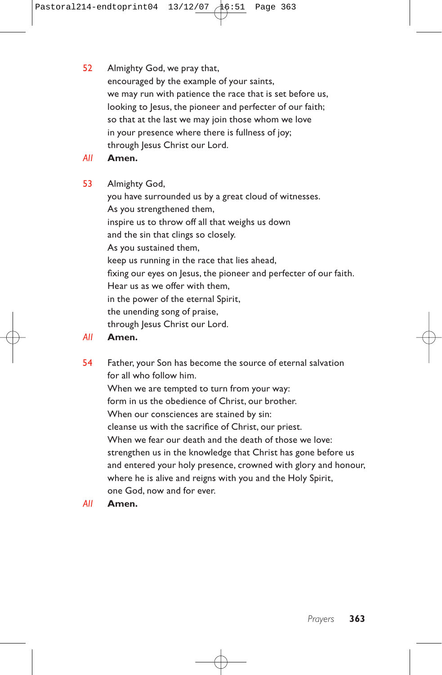- 52 Almighty God, we pray that, encouraged by the example of your saints, we may run with patience the race that is set before us, looking to lesus, the pioneer and perfecter of our faith; so that at the last we may join those whom we love in your presence where there is fullness of joy; through Jesus Christ our Lord.
- *All* **Amen.**
- 53 Almighty God,

you have surrounded us by a great cloud of witnesses. As you strengthened them, inspire us to throw off all that weighs us down and the sin that clings so closely. As you sustained them, keep us running in the race that lies ahead, fixing our eyes on Jesus, the pioneer and perfecter of our faith. Hear us as we offer with them, in the power of the eternal Spirit, the unending song of praise, through Jesus Christ our Lord.

- *All* **Amen.**
- 54 Father, your Son has become the source of eternal salvation for all who follow him. When we are tempted to turn from your way: form in us the obedience of Christ, our brother. When our consciences are stained by sin: cleanse us with the sacrifice of Christ, our priest. When we fear our death and the death of those we love: strengthen us in the knowledge that Christ has gone before us and entered your holy presence, crowned with glory and honour, where he is alive and reigns with you and the Holy Spirit, one God, now and for ever.
- *All* **Amen.**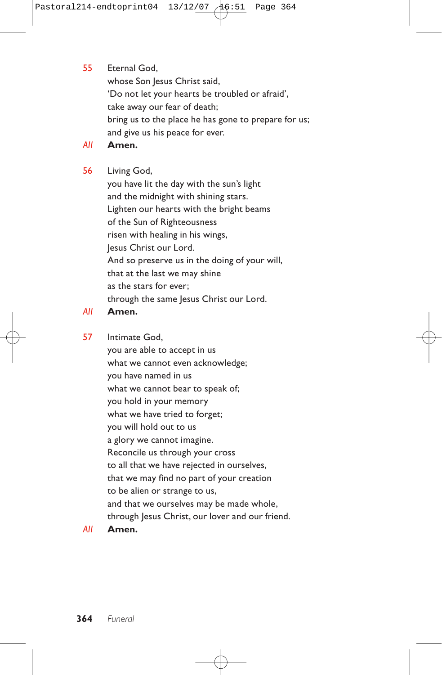#### 55 Eternal God,

whose Son Jesus Christ said, 'Do not let your hearts be troubled or afraid', take away our fear of death; bring us to the place he has gone to prepare for us; and give us his peace for ever.

#### *All* **Amen.**

56 Living God,

you have lit the day with the sun's light and the midnight with shining stars. Lighten our hearts with the bright beams of the Sun of Righteousness risen with healing in his wings, Jesus Christ our Lord. And so preserve us in the doing of your will, that at the last we may shine as the stars for ever; through the same Jesus Christ our Lord.

#### *All* **Amen.**

## 57 Intimate God,

you are able to accept in us what we cannot even acknowledge; you have named in us what we cannot bear to speak of; you hold in your memory what we have tried to forget; you will hold out to us a glory we cannot imagine. Reconcile us through your cross to all that we have rejected in ourselves, that we may find no part of your creation to be alien or strange to us, and that we ourselves may be made whole, through Jesus Christ, our lover and our friend.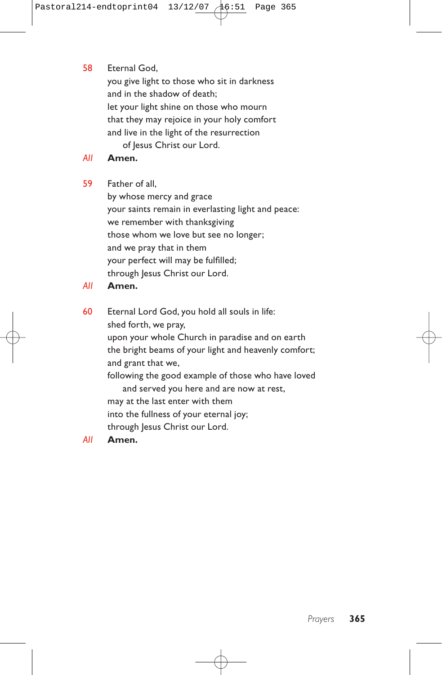#### 58 Eternal God

you give light to those who sit in darkness and in the shadow of death; let your light shine on those who mourn that they may rejoice in your holy comfort and live in the light of the resurrection of Jesus Christ our Lord.

#### *All* **Amen.**

#### 59 Father of all,

by whose mercy and grace your saints remain in everlasting light and peace: we remember with thanksgiving those whom we love but see no longer; and we pray that in them your perfect will may be fulfilled; through Jesus Christ our Lord.

*All* **Amen.**

60 Eternal Lord God, you hold all souls in life: shed forth, we pray, upon your whole Church in paradise and on earth the bright beams of your light and heavenly comfort; and grant that we, following the good example of those who have loved and served you here and are now at rest, may at the last enter with them into the fullness of your eternal joy; through Jesus Christ our Lord.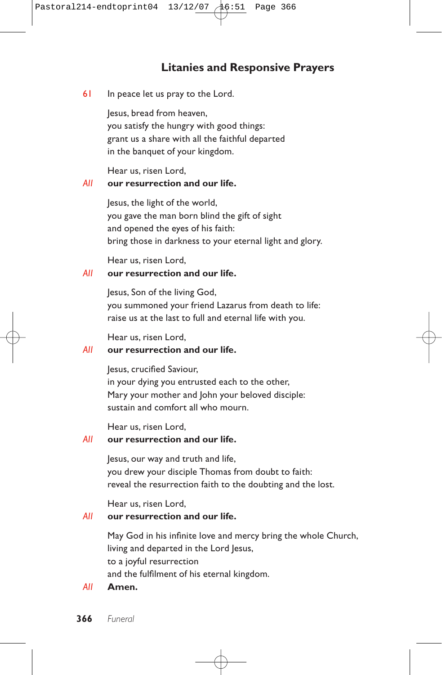# **Litanies and Responsive Prayers**

61 In peace let us pray to the Lord.

Jesus, bread from heaven, you satisfy the hungry with good things: grant us a share with all the faithful departed in the banquet of your kingdom.

Hear us, risen Lord,

#### *All* **our resurrection and our life.**

Jesus, the light of the world, you gave the man born blind the gift of sight and opened the eyes of his faith: bring those in darkness to your eternal light and glory.

Hear us, risen Lord,

#### *All* **our resurrection and our life.**

Jesus, Son of the living God, you summoned your friend Lazarus from death to life: raise us at the last to full and eternal life with you.

Hear us, risen Lord,

#### *All* **our resurrection and our life.**

Jesus, crucified Saviour,

in your dying you entrusted each to the other, Mary your mother and John your beloved disciple: sustain and comfort all who mourn.

Hear us, risen Lord,

## *All* **our resurrection and our life.**

Jesus, our way and truth and life, you drew your disciple Thomas from doubt to faith: reveal the resurrection faith to the doubting and the lost.

Hear us, risen Lord,

#### *All* **our resurrection and our life.**

May God in his infinite love and mercy bring the whole Church, living and departed in the Lord Jesus, to a joyful resurrection and the fulfilment of his eternal kingdom.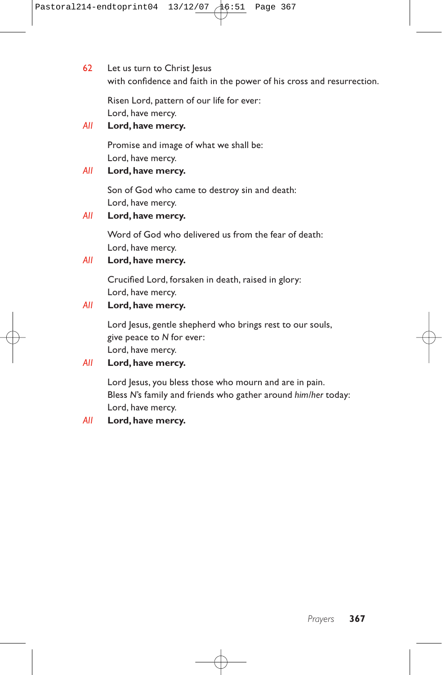62 Let us turn to Christ lesus with confidence and faith in the power of his cross and resurrection.

Risen Lord, pattern of our life for ever: Lord, have mercy.

## *All* **Lord, have mercy.**

Promise and image of what we shall be: Lord, have mercy.

## *All* **Lord, have mercy.**

Son of God who came to destroy sin and death: Lord, have mercy.

## *All* **Lord, have mercy.**

Word of God who delivered us from the fear of death: Lord, have mercy.

## *All* **Lord, have mercy.**

Crucified Lord, forsaken in death, raised in glory: Lord, have mercy.

## *All* **Lord, have mercy.**

Lord Jesus, gentle shepherd who brings rest to our souls, give peace to *N* for ever:

Lord, have mercy.

## *All* **Lord, have mercy.**

Lord Jesus, you bless those who mourn and are in pain. Bless *N*'s family and friends who gather around *him/her* today: Lord, have mercy.

## *All* **Lord, have mercy.**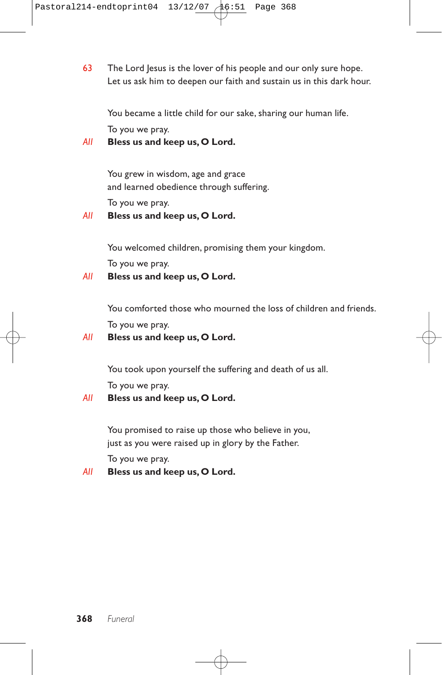63 The Lord lesus is the lover of his people and our only sure hope. Let us ask him to deepen our faith and sustain us in this dark hour.

You became a little child for our sake, sharing our human life.

To you we pray.

## *All* **Bless us and keep us, O Lord.**

You grew in wisdom, age and grace and learned obedience through suffering.

To you we pray.

## *All* **Bless us and keep us, O Lord.**

You welcomed children, promising them your kingdom.

To you we pray.

## *All* **Bless us and keep us, O Lord.**

You comforted those who mourned the loss of children and friends.

To you we pray.

## *All* **Bless us and keep us, O Lord.**

You took upon yourself the suffering and death of us all.

To you we pray.

## *All* **Bless us and keep us, O Lord.**

You promised to raise up those who believe in you, just as you were raised up in glory by the Father.

To you we pray.

## *All* **Bless us and keep us, O Lord.**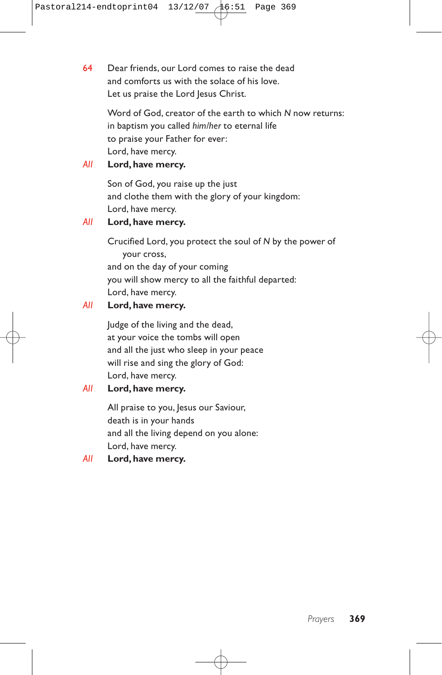64 Dear friends, our Lord comes to raise the dead and comforts us with the solace of his love. Let us praise the Lord Jesus Christ.

> Word of God, creator of the earth to which *N* now returns: in baptism you called *him/her* to eternal life to praise your Father for ever: Lord, have mercy.

## *All* **Lord, have mercy.**

Son of God, you raise up the just and clothe them with the glory of your kingdom: Lord, have mercy.

## *All* **Lord, have mercy.**

Crucified Lord, you protect the soul of *N* by the power of your cross, and on the day of your coming you will show mercy to all the faithful departed: Lord, have mercy.

## *All* **Lord, have mercy.**

Judge of the living and the dead, at your voice the tombs will open and all the just who sleep in your peace will rise and sing the glory of God: Lord, have mercy.

## *All* **Lord, have mercy.**

All praise to you, Jesus our Saviour, death is in your hands and all the living depend on you alone: Lord, have mercy.

## *All* **Lord, have mercy.**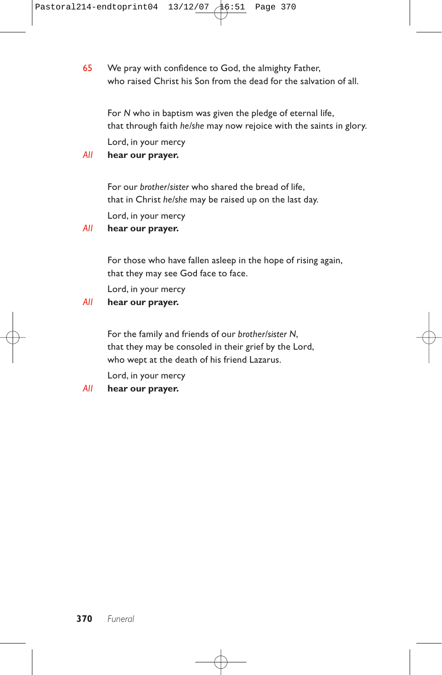65 We pray with confidence to God, the almighty Father, who raised Christ his Son from the dead for the salvation of all

For *N* who in baptism was given the pledge of eternal life, that through faith *he/she* may now rejoice with the saints in glory. Lord, in your mercy

#### *All* **hear our prayer.**

For our *brother/sister* who shared the bread of life, that in Christ *he/she* may be raised up on the last day. Lord, in your mercy

## *All* **hear our prayer.**

For those who have fallen asleep in the hope of rising again, that they may see God face to face.

Lord, in your mercy

## *All* **hear our prayer.**

For the family and friends of our *brother/sister N*, that they may be consoled in their grief by the Lord, who wept at the death of his friend Lazarus.

Lord, in your mercy

## *All* **hear our prayer.**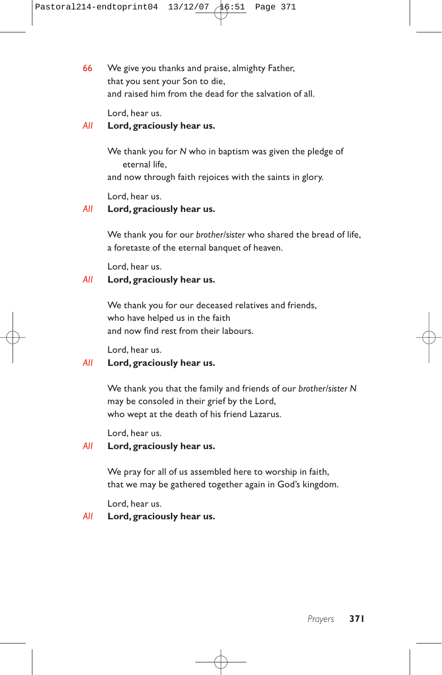66 We give you thanks and praise, almighty Father, that you sent your Son to die, and raised him from the dead for the salvation of all.

Lord, hear us.

## *All* **Lord, graciously hear us.**

We thank you for *N* who in baptism was given the pledge of eternal life, and now through faith rejoices with the saints in glory.

Lord, hear us.

## *All* **Lord, graciously hear us.**

We thank you for our *brother/sister* who shared the bread of life, a foretaste of the eternal banquet of heaven.

Lord, hear us.

## *All* **Lord, graciously hear us.**

We thank you for our deceased relatives and friends, who have helped us in the faith and now find rest from their labours.

Lord, hear us.

## *All* **Lord, graciously hear us.**

We thank you that the family and friends of our *brother/sister N* may be consoled in their grief by the Lord, who wept at the death of his friend Lazarus.

Lord, hear us.

## *All* **Lord, graciously hear us.**

We pray for all of us assembled here to worship in faith, that we may be gathered together again in God's kingdom.

Lord, hear us.

## *All* **Lord, graciously hear us.**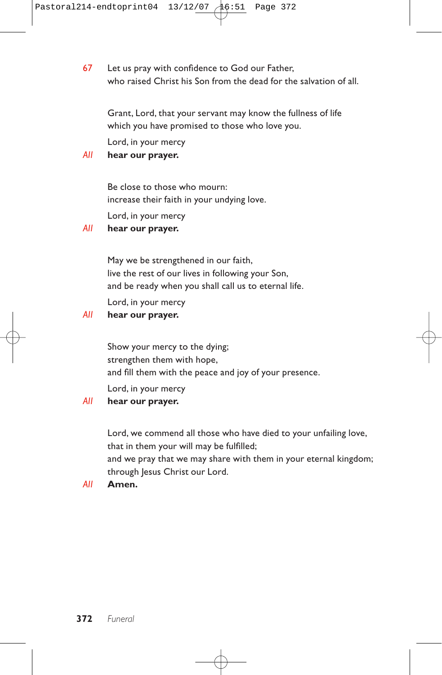67 Let us pray with confidence to God our Father, who raised Christ his Son from the dead for the salvation of all

Grant, Lord, that your servant may know the fullness of life which you have promised to those who love you.

Lord, in your mercy

## *All* **hear our prayer.**

Be close to those who mourn: increase their faith in your undying love. Lord, in your mercy

## *All* **hear our prayer.**

May we be strengthened in our faith, live the rest of our lives in following your Son, and be ready when you shall call us to eternal life.

Lord, in your mercy

## *All* **hear our prayer.**

Show your mercy to the dying; strengthen them with hope, and fill them with the peace and joy of your presence.

Lord, in your mercy

## *All* **hear our prayer.**

Lord, we commend all those who have died to your unfailing love, that in them your will may be fulfilled; and we pray that we may share with them in your eternal kingdom; through Jesus Christ our Lord.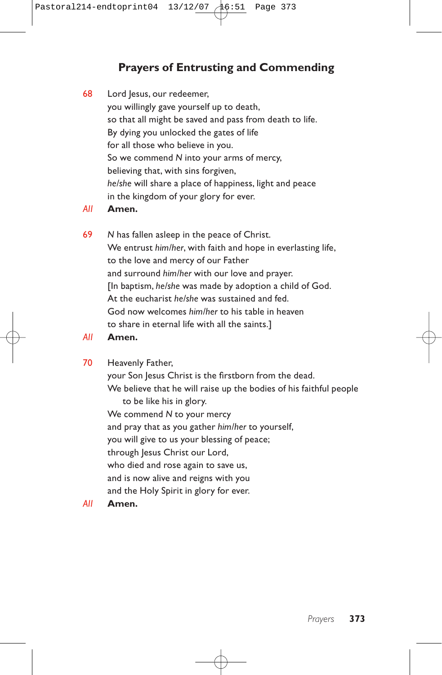# **Prayers of Entrusting and Commending**

68 Lord lesus, our redeemer, you willingly gave yourself up to death, so that all might be saved and pass from death to life. By dying you unlocked the gates of life for all those who believe in you. So we commend *N* into your arms of mercy, believing that, with sins forgiven, *he/she* will share a place of happiness, light and peace in the kingdom of your glory for ever.

*All* **Amen.**

69 *N* has fallen asleep in the peace of Christ. We entrust *him/her*, with faith and hope in everlasting life, to the love and mercy of our Father and surround *him/her* with our love and prayer. [In baptism, *he/she* was made by adoption a child of God. At the eucharist *he/she* was sustained and fed. God now welcomes *him/her* to his table in heaven to share in eternal life with all the saints.]

*All* **Amen.**

#### 70 Heavenly Father,

your Son Jesus Christ is the firstborn from the dead. We believe that he will raise up the bodies of his faithful people to be like his in glory. We commend *N* to your mercy and pray that as you gather *him/her* to yourself, you will give to us your blessing of peace; through Jesus Christ our Lord, who died and rose again to save us, and is now alive and reigns with you and the Holy Spirit in glory for ever.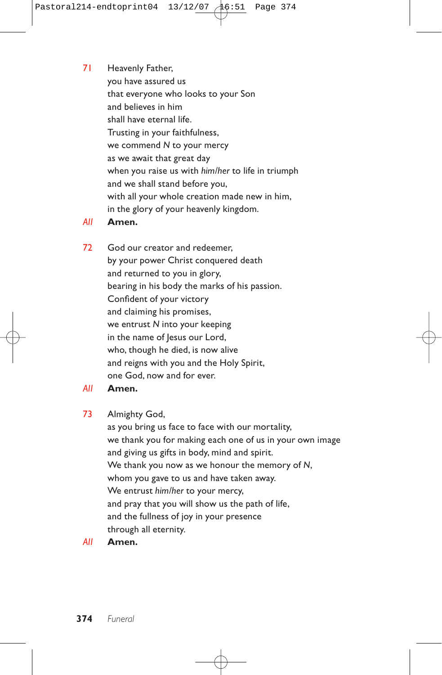71 Heavenly Father,

you have assured us that everyone who looks to your Son and believes in him shall have eternal life. Trusting in your faithfulness, we commend *N* to your mercy as we await that great day when you raise us with *him/her* to life in triumph and we shall stand before you, with all your whole creation made new in him, in the glory of your heavenly kingdom.

#### *All* **Amen.**

72 God our creator and redeemer, by your power Christ conquered death and returned to you in glory, bearing in his body the marks of his passion. Confident of your victory and claiming his promises, we entrust *N* into your keeping in the name of Jesus our Lord, who, though he died, is now alive and reigns with you and the Holy Spirit, one God, now and for ever.

*All* **Amen.**

#### 73 Almighty God,

as you bring us face to face with our mortality, we thank you for making each one of us in your own image and giving us gifts in body, mind and spirit. We thank you now as we honour the memory of *N*, whom you gave to us and have taken away. We entrust *him/her* to your mercy, and pray that you will show us the path of life, and the fullness of joy in your presence through all eternity.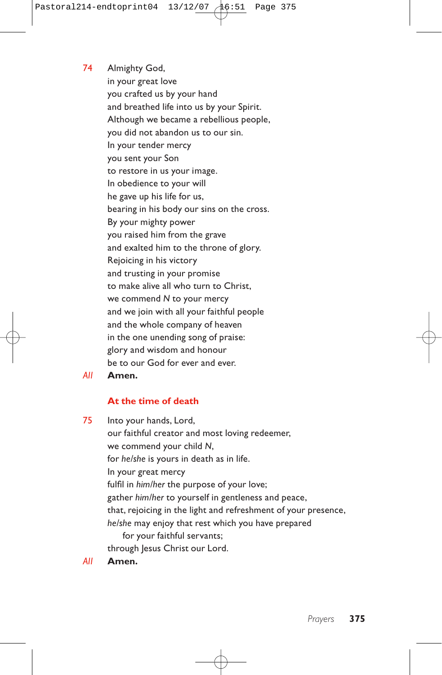74 Almighty God,

in your great love you crafted us by your hand and breathed life into us by your Spirit. Although we became a rebellious people, you did not abandon us to our sin. In your tender mercy you sent your Son to restore in us your image. In obedience to your will he gave up his life for us, bearing in his body our sins on the cross. By your mighty power you raised him from the grave and exalted him to the throne of glory. Rejoicing in his victory and trusting in your promise to make alive all who turn to Christ, we commend *N* to your mercy and we join with all your faithful people and the whole company of heaven in the one unending song of praise: glory and wisdom and honour be to our God for ever and ever.

*All* **Amen.**

#### **At the time of death**

75 Into your hands, Lord, our faithful creator and most loving redeemer, we commend your child *N*, for *he/she* is yours in death as in life. In your great mercy fulfil in *him/her* the purpose of your love; gather *him/her* to yourself in gentleness and peace, that, rejoicing in the light and refreshment of your presence, *he/she* may enjoy that rest which you have prepared for your faithful servants; through Jesus Christ our Lord.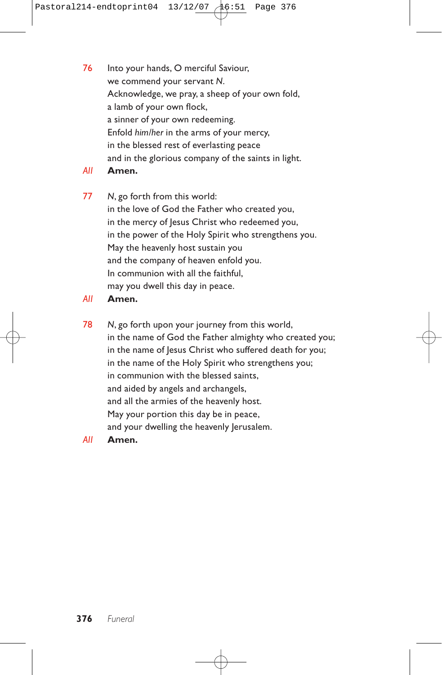76 Into your hands, O merciful Saviour, we commend your servant *N*. Acknowledge, we pray, a sheep of your own fold, a lamb of your own flock, a sinner of your own redeeming. Enfold *him/her* in the arms of your mercy, in the blessed rest of everlasting peace and in the glorious company of the saints in light.

- *All* **Amen.**
- 77 *N*, go forth from this world: in the love of God the Father who created you, in the mercy of Jesus Christ who redeemed you, in the power of the Holy Spirit who strengthens you. May the heavenly host sustain you and the company of heaven enfold you. In communion with all the faithful, may you dwell this day in peace.
- *All* **Amen.**

78 *N*, go forth upon your journey from this world, in the name of God the Father almighty who created you; in the name of Jesus Christ who suffered death for you; in the name of the Holy Spirit who strengthens you; in communion with the blessed saints, and aided by angels and archangels, and all the armies of the heavenly host. May your portion this day be in peace, and your dwelling the heavenly Jerusalem.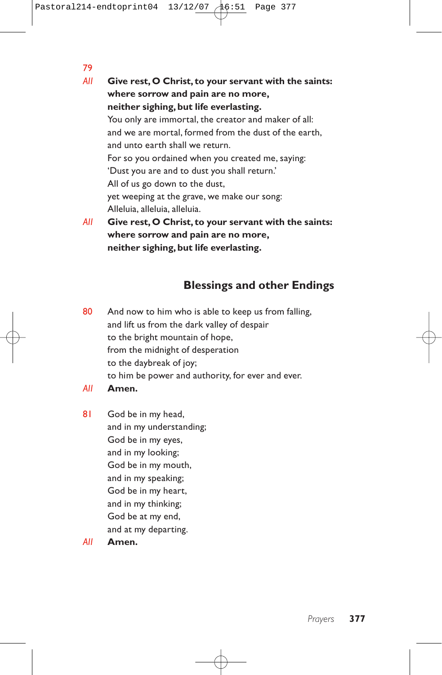## 79

*All* **Give rest, O Christ, to your servant with the saints: where sorrow and pain are no more, neither sighing, but life everlasting.** You only are immortal, the creator and maker of all: and we are mortal, formed from the dust of the earth, and unto earth shall we return. For so you ordained when you created me, saying: 'Dust you are and to dust you shall return.' All of us go down to the dust, yet weeping at the grave, we make our song: Alleluia, alleluia, alleluia.

*All* **Give rest, O Christ, to your servant with the saints: where sorrow and pain are no more, neither sighing, but life everlasting.**

# **Blessings and other Endings**

- 80 And now to him who is able to keep us from falling, and lift us from the dark valley of despair to the bright mountain of hope, from the midnight of desperation to the daybreak of joy; to him be power and authority, for ever and ever.
- *All* **Amen.**
- 81 God be in my head, and in my understanding; God be in my eyes, and in my looking; God be in my mouth, and in my speaking; God be in my heart, and in my thinking; God be at my end, and at my departing.
- *All* **Amen.**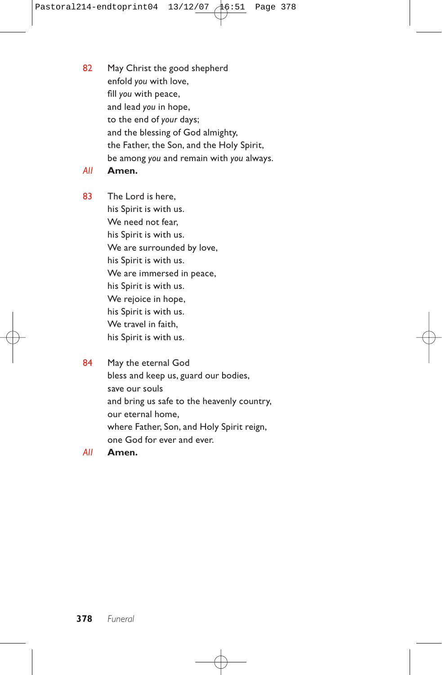82 May Christ the good shepherd enfold *you* with love, fill *you* with peace, and lead *you* in hope, to the end of *your* days; and the blessing of God almighty, the Father, the Son, and the Holy Spirit, be among *you* and remain with *you* always.

*All* **Amen.**

83 The Lord is here, his Spirit is with us. We need not fear, his Spirit is with us. We are surrounded by love, his Spirit is with us. We are immersed in peace, his Spirit is with us. We rejoice in hope, his Spirit is with us. We travel in faith, his Spirit is with us.

- 84 May the eternal God bless and keep us, guard our bodies, save our souls and bring us safe to the heavenly country, our eternal home, where Father, Son, and Holy Spirit reign, one God for ever and ever.
- *All* **Amen.**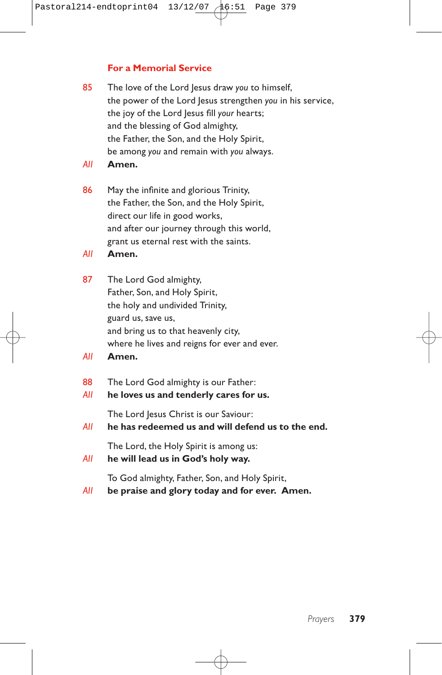## **For a Memorial Service**

- 85 The love of the Lord lesus draw *you* to himself, the power of the Lord Jesus strengthen *you* in his service, the joy of the Lord lesus fill *your* hearts; and the blessing of God almighty, the Father, the Son, and the Holy Spirit, be among *you* and remain with *you* always.
- *All* **Amen.**
- 86 May the infinite and glorious Trinity, the Father, the Son, and the Holy Spirit, direct our life in good works, and after our journey through this world, grant us eternal rest with the saints.
- *All* **Amen.**
- 87 The Lord God almighty, Father, Son, and Holy Spirit, the holy and undivided Trinity, guard us, save us, and bring us to that heavenly city, where he lives and reigns for ever and ever.
- *All* **Amen.**
- 88 The Lord God almighty is our Father:
- *All* **he loves us and tenderly cares for us.**

The Lord Jesus Christ is our Saviour:

*All* **he has redeemed us and will defend us to the end.**

The Lord, the Holy Spirit is among us:

*All* **he will lead us in God's holy way.**

To God almighty, Father, Son, and Holy Spirit,

*All* **be praise and glory today and for ever. Amen.**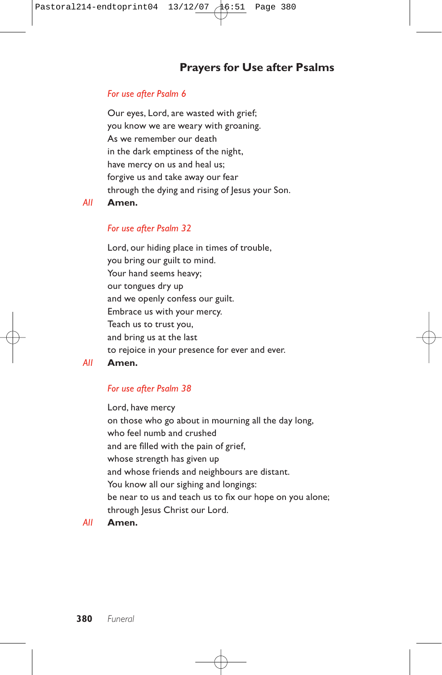# **Prayers for Use after Psalms**

#### *For use after Psalm 6*

Our eyes, Lord, are wasted with grief; you know we are weary with groaning. As we remember our death in the dark emptiness of the night, have mercy on us and heal us; forgive us and take away our fear through the dying and rising of Jesus your Son.

*All* **Amen.**

#### *For use after Psalm 32*

Lord, our hiding place in times of trouble, you bring our guilt to mind. Your hand seems heavy; our tongues dry up and we openly confess our guilt. Embrace us with your mercy. Teach us to trust you, and bring us at the last to rejoice in your presence for ever and ever.

#### *All* **Amen.**

#### *For use after Psalm 38*

Lord, have mercy on those who go about in mourning all the day long, who feel numb and crushed and are filled with the pain of grief, whose strength has given up and whose friends and neighbours are distant. You know all our sighing and longings: be near to us and teach us to fix our hope on you alone; through Jesus Christ our Lord.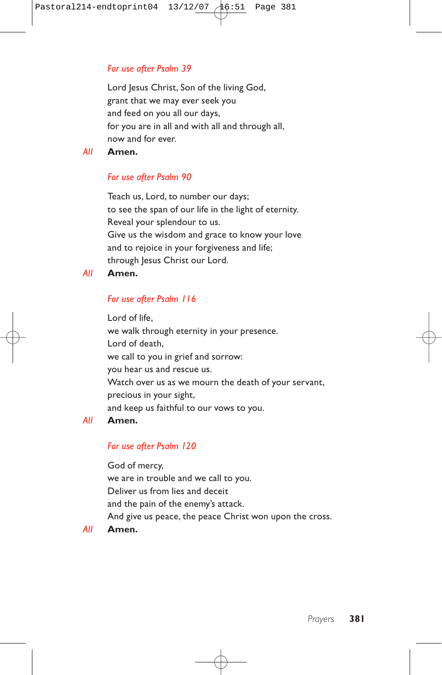## *For use after Psalm 39*

Lord Jesus Christ, Son of the living God, grant that we may ever seek you and feed on you all our days, for you are in all and with all and through all, now and for ever.

#### *All* **Amen.**

#### *For use after Psalm 90*

Teach us, Lord, to number our days; to see the span of our life in the light of eternity. Reveal your splendour to us. Give us the wisdom and grace to know your love and to rejoice in your forgiveness and life; through Jesus Christ our Lord.

*All* **Amen.**

#### *For use after Psalm 116*

Lord of life, we walk through eternity in your presence. Lord of death, we call to you in grief and sorrow: you hear us and rescue us. Watch over us as we mourn the death of your servant, precious in your sight, and keep us faithful to our vows to you.

#### *All* **Amen.**

#### *For use after Psalm 120*

God of mercy, we are in trouble and we call to you. Deliver us from lies and deceit and the pain of the enemy's attack. And give us peace, the peace Christ won upon the cross.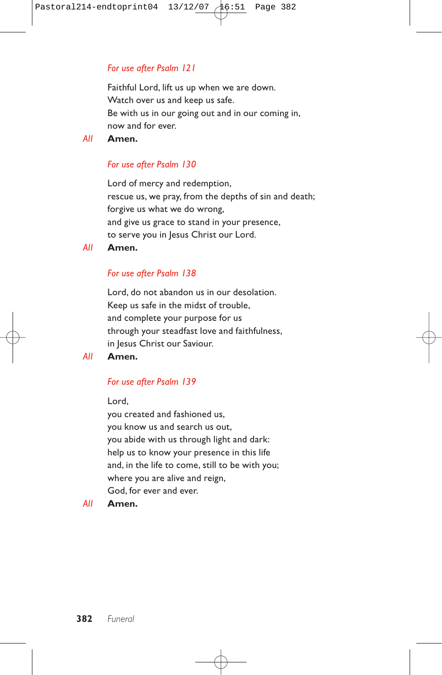#### *For use after Psalm 121*

Faithful Lord, lift us up when we are down. Watch over us and keep us safe. Be with us in our going out and in our coming in, now and for ever.

#### *All* **Amen.**

#### *For use after Psalm 130*

Lord of mercy and redemption, rescue us, we pray, from the depths of sin and death; forgive us what we do wrong, and give us grace to stand in your presence, to serve you in Jesus Christ our Lord.

*All* **Amen.**

#### *For use after Psalm 138*

Lord, do not abandon us in our desolation. Keep us safe in the midst of trouble, and complete your purpose for us through your steadfast love and faithfulness, in Jesus Christ our Saviour.

#### *All* **Amen.**

## *For use after Psalm 139*

Lord,

you created and fashioned us, you know us and search us out, you abide with us through light and dark: help us to know your presence in this life and, in the life to come, still to be with you; where you are alive and reign, God, for ever and ever.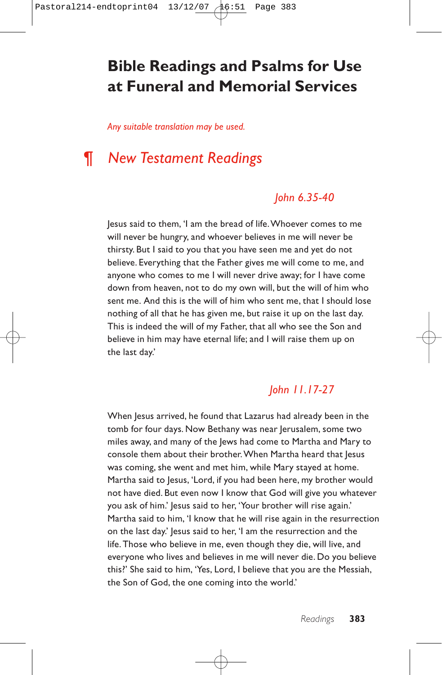# **Bible Readings and Psalms for Use at Funeral and Memorial Services**

*Any suitable translation may be used.*

# *¶ New Testament Readings*

# *John 6.35-40*

Jesus said to them, 'I am the bread of life.Whoever comes to me will never be hungry, and whoever believes in me will never be thirsty. But I said to you that you have seen me and yet do not believe. Everything that the Father gives me will come to me, and anyone who comes to me I will never drive away; for I have come down from heaven, not to do my own will, but the will of him who sent me. And this is the will of him who sent me, that I should lose nothing of all that he has given me, but raise it up on the last day. This is indeed the will of my Father, that all who see the Son and believe in him may have eternal life; and I will raise them up on the last day.'

# *John 11.17-27*

When Jesus arrived, he found that Lazarus had already been in the tomb for four days. Now Bethany was near Jerusalem, some two miles away, and many of the Jews had come to Martha and Mary to console them about their brother.When Martha heard that Jesus was coming, she went and met him, while Mary stayed at home. Martha said to Jesus, 'Lord, if you had been here, my brother would not have died. But even now I know that God will give you whatever you ask of him.' Jesus said to her, 'Your brother will rise again.' Martha said to him, 'I know that he will rise again in the resurrection on the last day.' Jesus said to her, 'I am the resurrection and the life. Those who believe in me, even though they die, will live, and everyone who lives and believes in me will never die. Do you believe this?' She said to him, 'Yes, Lord, I believe that you are the Messiah, the Son of God, the one coming into the world.'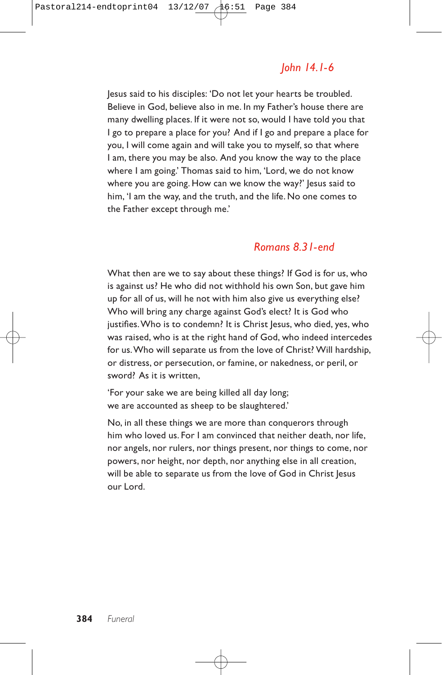## *John 14.1-6*

Jesus said to his disciples: 'Do not let your hearts be troubled. Believe in God, believe also in me. In my Father's house there are many dwelling places. If it were not so, would I have told you that I go to prepare a place for you? And if I go and prepare a place for you, I will come again and will take you to myself, so that where I am, there you may be also. And you know the way to the place where I am going.' Thomas said to him, 'Lord, we do not know where you are going. How can we know the way?' Jesus said to him, 'I am the way, and the truth, and the life. No one comes to the Father except through me.'

## *Romans 8.31-end*

What then are we to say about these things? If God is for us, who is against us? He who did not withhold his own Son, but gave him up for all of us, will he not with him also give us everything else? Who will bring any charge against God's elect? It is God who justifies. Who is to condemn? It is Christ Jesus, who died, yes, who was raised, who is at the right hand of God, who indeed intercedes for us.Who will separate us from the love of Christ? Will hardship, or distress, or persecution, or famine, or nakedness, or peril, or sword? As it is written,

'For your sake we are being killed all day long; we are accounted as sheep to be slaughtered.'

No, in all these things we are more than conquerors through him who loved us. For I am convinced that neither death, nor life, nor angels, nor rulers, nor things present, nor things to come, nor powers, nor height, nor depth, nor anything else in all creation, will be able to separate us from the love of God in Christ Jesus our Lord.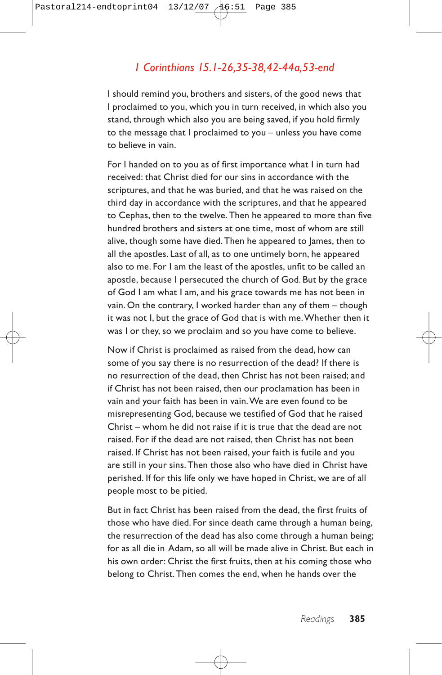# *1 Corinthians 15.1-26,35-38,42-44a,53-end*

I should remind you, brothers and sisters, of the good news that I proclaimed to you, which you in turn received, in which also you stand, through which also you are being saved, if you hold firmly to the message that I proclaimed to you – unless you have come to believe in vain.

For I handed on to you as of first importance what I in turn had received: that Christ died for our sins in accordance with the scriptures, and that he was buried, and that he was raised on the third day in accordance with the scriptures, and that he appeared to Cephas, then to the twelve. Then he appeared to more than five hundred brothers and sisters at one time, most of whom are still alive, though some have died. Then he appeared to James, then to all the apostles. Last of all, as to one untimely born, he appeared also to me. For I am the least of the apostles, unfit to be called an apostle, because I persecuted the church of God. But by the grace of God I am what I am, and his grace towards me has not been in vain. On the contrary, I worked harder than any of them – though it was not I, but the grace of God that is with me.Whether then it was I or they, so we proclaim and so you have come to believe.

Now if Christ is proclaimed as raised from the dead, how can some of you say there is no resurrection of the dead? If there is no resurrection of the dead, then Christ has not been raised; and if Christ has not been raised, then our proclamation has been in vain and your faith has been in vain.We are even found to be misrepresenting God, because we testified of God that he raised Christ – whom he did not raise if it is true that the dead are not raised. For if the dead are not raised, then Christ has not been raised. If Christ has not been raised, your faith is futile and you are still in your sins. Then those also who have died in Christ have perished. If for this life only we have hoped in Christ, we are of all people most to be pitied.

But in fact Christ has been raised from the dead, the first fruits of those who have died. For since death came through a human being, the resurrection of the dead has also come through a human being; for as all die in Adam, so all will be made alive in Christ. But each in his own order: Christ the first fruits, then at his coming those who belong to Christ. Then comes the end, when he hands over the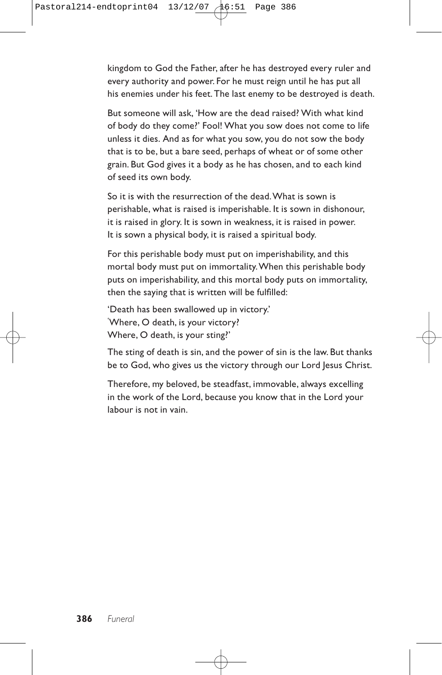kingdom to God the Father, after he has destroyed every ruler and every authority and power. For he must reign until he has put all his enemies under his feet. The last enemy to be destroyed is death.

But someone will ask, 'How are the dead raised? With what kind of body do they come?' Fool! What you sow does not come to life unless it dies. And as for what you sow, you do not sow the body that is to be, but a bare seed, perhaps of wheat or of some other grain. But God gives it a body as he has chosen, and to each kind of seed its own body.

So it is with the resurrection of the dead. What is sown is perishable, what is raised is imperishable. It is sown in dishonour, it is raised in glory. It is sown in weakness, it is raised in power. It is sown a physical body, it is raised a spiritual body.

For this perishable body must put on imperishability, and this mortal body must put on immortality.When this perishable body puts on imperishability, and this mortal body puts on immortality, then the saying that is written will be fulfilled:

'Death has been swallowed up in victory.' ' Where, O death, is your victory? Where, O death, is your sting?'

The sting of death is sin, and the power of sin is the law. But thanks be to God, who gives us the victory through our Lord Jesus Christ.

Therefore, my beloved, be steadfast, immovable, always excelling in the work of the Lord, because you know that in the Lord your labour is not in vain.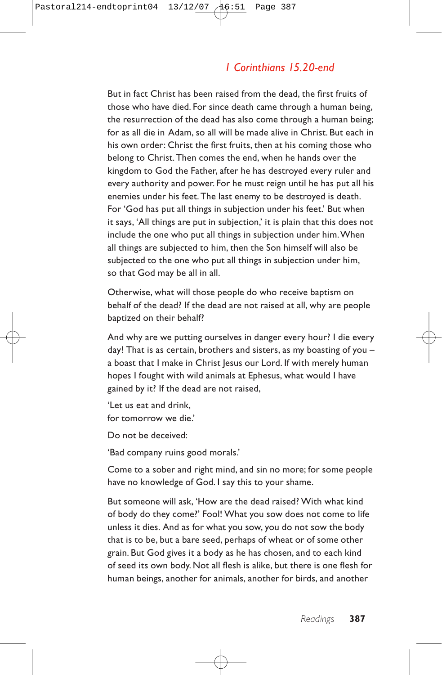## *1 Corinthians 15.20-end*

But in fact Christ has been raised from the dead, the first fruits of those who have died. For since death came through a human being, the resurrection of the dead has also come through a human being; for as all die in Adam, so all will be made alive in Christ. But each in his own order: Christ the first fruits, then at his coming those who belong to Christ. Then comes the end, when he hands over the kingdom to God the Father, after he has destroyed every ruler and every authority and power. For he must reign until he has put all his enemies under his feet. The last enemy to be destroyed is death. For 'God has put all things in subjection under his feet.' But when it says, 'All things are put in subjection,' it is plain that this does not include the one who put all things in subjection under him.When all things are subjected to him, then the Son himself will also be subjected to the one who put all things in subjection under him, so that God may be all in all.

Otherwise, what will those people do who receive baptism on behalf of the dead? If the dead are not raised at all, why are people baptized on their behalf?

And why are we putting ourselves in danger every hour? I die every day! That is as certain, brothers and sisters, as my boasting of you – a boast that I make in Christ Jesus our Lord. If with merely human hopes I fought with wild animals at Ephesus, what would I have gained by it? If the dead are not raised,

'Let us eat and drink, for tomorrow we die.'

Do not be deceived:

'Bad company ruins good morals.'

Come to a sober and right mind, and sin no more; for some people have no knowledge of God. I say this to your shame.

But someone will ask, 'How are the dead raised? With what kind of body do they come?' Fool! What you sow does not come to life unless it dies. And as for what you sow, you do not sow the body that is to be, but a bare seed, perhaps of wheat or of some other grain. But God gives it a body as he has chosen, and to each kind of seed its own body. Not all flesh is alike, but there is one flesh for human beings, another for animals, another for birds, and another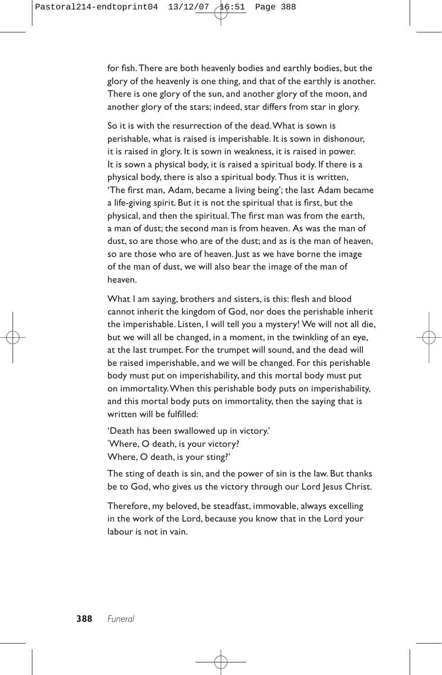for fish. There are both heavenly bodies and earthly bodies, but the glory of the heavenly is one thing, and that of the earthly is another. There is one glory of the sun, and another glory of the moon, and another glory of the stars; indeed, star differs from star in glory.

So it is with the resurrection of the dead.What is sown is perishable, what is raised is imperishable. It is sown in dishonour, it is raised in glory. It is sown in weakness, it is raised in power. It is sown a physical body, it is raised a spiritual body. If there is a physical body, there is also a spiritual body. Thus it is written, 'The first man, Adam, became a living being'; the last Adam became a life-giving spirit. But it is not the spiritual that is first, but the physical, and then the spiritual. The first man was from the earth, a man of dust; the second man is from heaven. As was the man of dust, so are those who are of the dust; and as is the man of heaven, so are those who are of heaven. Just as we have borne the image of the man of dust, we will also bear the image of the man of heaven.

What I am saying, brothers and sisters, is this: flesh and blood cannot inherit the kingdom of God, nor does the perishable inherit the imperishable. Listen, I will tell you a mystery! We will not all die, but we will all be changed, in a moment, in the twinkling of an eye, at the last trumpet. For the trumpet will sound, and the dead will be raised imperishable, and we will be changed. For this perishable body must put on imperishability, and this mortal body must put on immortality.When this perishable body puts on imperishability, and this mortal body puts on immortality, then the saying that is written will be fulfilled:

'Death has been swallowed up in victory.' ' Where, O death, is your victory? Where, O death, is your sting?'

The sting of death is sin, and the power of sin is the law. But thanks be to God, who gives us the victory through our Lord Jesus Christ.

Therefore, my beloved, be steadfast, immovable, always excelling in the work of the Lord, because you know that in the Lord your labour is not in vain.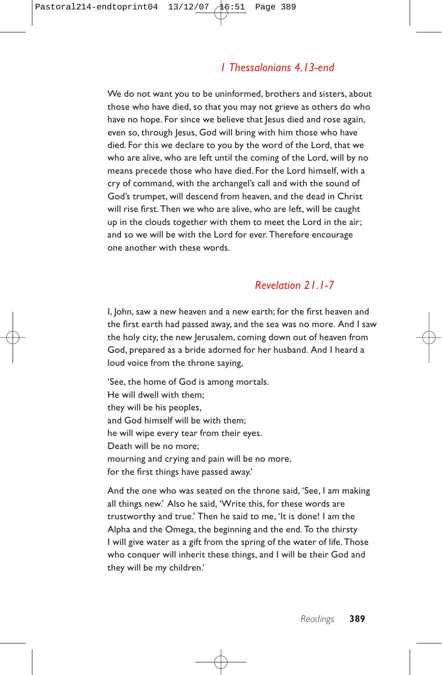## *1 Thessalonians 4.13-end*

We do not want you to be uninformed, brothers and sisters, about those who have died, so that you may not grieve as others do who have no hope. For since we believe that lesus died and rose again, even so, through Jesus, God will bring with him those who have died. For this we declare to you by the word of the Lord, that we who are alive, who are left until the coming of the Lord, will by no means precede those who have died. For the Lord himself, with a cry of command, with the archangel's call and with the sound of God's trumpet, will descend from heaven, and the dead in Christ will rise first. Then we who are alive, who are left, will be caught up in the clouds together with them to meet the Lord in the air; and so we will be with the Lord for ever. Therefore encourage one another with these words.

## *Revelation 21.1-7*

I, John, saw a new heaven and a new earth; for the first heaven and the first earth had passed away, and the sea was no more. And I saw the holy city, the new Jerusalem, coming down out of heaven from God, prepared as a bride adorned for her husband. And I heard a loud voice from the throne saying,

'See, the home of God is among mortals. He will dwell with them; they will be his peoples, and God himself will be with them; he will wipe every tear from their eyes. Death will be no more; mourning and crying and pain will be no more, for the first things have passed away.'

And the one who was seated on the throne said, 'See, I am making all things new.' Also he said, 'Write this, for these words are trustworthy and true.' Then he said to me, 'It is done! I am the Alpha and the Omega, the beginning and the end. To the thirsty I will give water as a gift from the spring of the water of life. Those who conquer will inherit these things, and I will be their God and they will be my children.'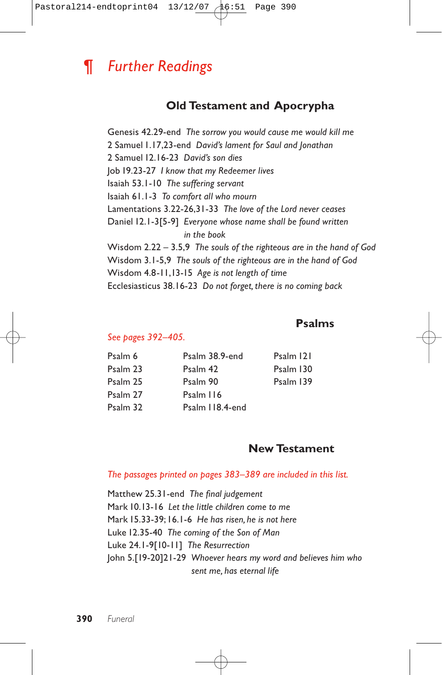# **Old Testament and Apocrypha**

Genesis 42.29-end *The sorrow you would cause me would kill me* 2 Samuel 1.17,23-end *David's lament for Saul and Jonathan* 2 Samuel 12.16-23 *David's son dies* Job 19.23-27 *I know that my Redeemer lives* Isaiah 53.1-10 *The suffering servant* Isaiah 61.1-3 *To comfort all who mourn* Lamentations 3.22-26,31-33 *The love of the Lord never ceases* Daniel 12.1-3[5-9] *Everyone whose name shall be found written in the book* Wisdom 2.22 – 3.5,9 *The souls of the righteous are in the hand of God* Wisdom 3.1-5,9 *The souls of the righteous are in the hand of God* Wisdom 4.8-11,13-15 *Age is not length of time*

Ecclesiasticus 38.16-23 *Do not forget, there is no coming back*

## **Psalms**

#### *See pages 392–405.*

| Psalm 6  | Psalm 38.9-end  | Psalm 121 |
|----------|-----------------|-----------|
| Psalm 23 | Psalm 42        | Psalm 130 |
| Psalm 25 | Psalm 90        | Psalm 139 |
| Psalm 27 | Psalm 116       |           |
| Psalm 32 | Psalm 118.4-end |           |
|          |                 |           |

## **New Testament**

#### *The passages printed on pages 383–389 are included in this list.*

Matthew 25.31-end *The final judgement* Mark 10.13-16 *Let the little children come to me* Mark 15.33-39;16.1-6 *He has risen, he is not here* Luke 12.35-40 *The coming of the Son of Man* Luke 24.1-9[10-11] *The Resurrection* John 5.[19-20]21-29 *Whoever hears my word and believes him who sent me, has eternal life*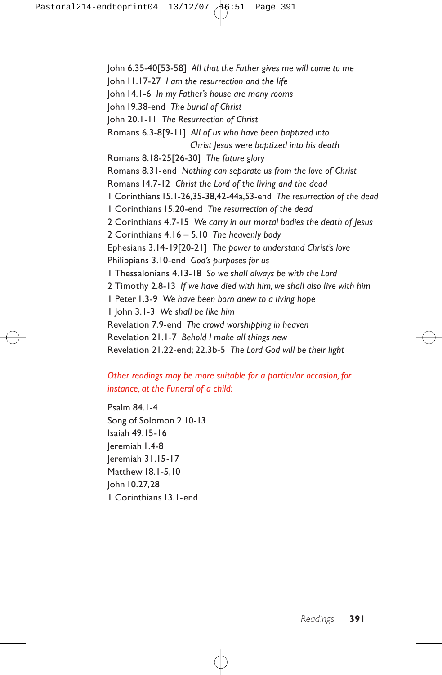John 6.35-40[53-58] *All that the Father gives me will come to me* John 11.17-27 *I am the resurrection and the life* John 14.1-6 *In my Father's house are many rooms* John 19.38-end *The burial of Christ* John 20.1-11 *The Resurrection of Christ* Romans 6.3-8[9-11] *All of us who have been baptized into Christ Jesus were baptized into his death* Romans 8.18-25[26-30] *The future glory* Romans 8.31-end *Nothing can separate us from the love of Christ* Romans 14.7-12 *Christ the Lord of the living and the dead* 1 Corinthians 15.1-26,35-38,42-44a,53-end *The resurrection of the dead* 1 Corinthians 15.20-end *The resurrection of the dead* 2 Corinthians 4.7-15 *We carry in our mortal bodies the death of Jesus* 2 Corinthians 4.16 – 5.10 *The heavenly body* Ephesians 3.14-19[20-21] *The power to understand Christ's love* Philippians 3.10-end *God's purposes for us* 1 Thessalonians 4.13-18 *So we shall always be with the Lord* 2 Timothy 2.8-13 *If we have died with him, we shall also live with him* 1 Peter 1.3-9 *We have been born anew to a living hope* 1 John 3.1-3 *We shall be like him* Revelation 7.9-end *The crowd worshipping in heaven* Revelation 21.1-7 *Behold I make all things new* Revelation 21.22-end; 22.3b-5 *The Lord God will be their light*

## *Other readings may be more suitable for a particular occasion, for instance, at the Funeral of a child:*

Psalm 84.1-4 Song of Solomon 2.10-13 Isaiah 49.15-16 Jeremiah 1.4-8 Jeremiah 31.15-17 Matthew 18.1-5,10 John 10.27,28 1 Corinthians 13.1-end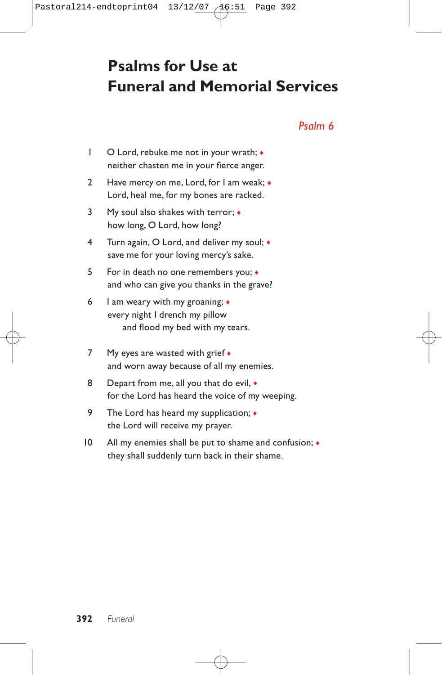# **Psalms for Use at Funeral and Memorial Services**

## *Psalm 6*

- 1 O Lord, rebuke me not in your wrath;  $\bullet$ neither chasten me in your fierce anger.
- 2 Have mercy on me, Lord, for I am weak;  $\bullet$ Lord, heal me, for my bones are racked.
- 3 My soul also shakes with terror;  $\bullet$ how long, O Lord, how long?
- 4 Turn again, O Lord, and deliver my soul; ♦ save me for your loving mercy's sake.
- 5 For in death no one remembers you; ♦ and who can give you thanks in the grave?
- 6 I am weary with my groaning;  $\triangleleft$ every night I drench my pillow and flood my bed with my tears.
- 7 My eyes are wasted with grief  $\triangleleft$ and worn away because of all my enemies.
- 8 Depart from me, all you that do evil,  $\bullet$ for the Lord has heard the voice of my weeping.
- 9 The Lord has heard my supplication;  $\triangleleft$ the Lord will receive my prayer.
- 10 All my enemies shall be put to shame and confusion; ♦ they shall suddenly turn back in their shame.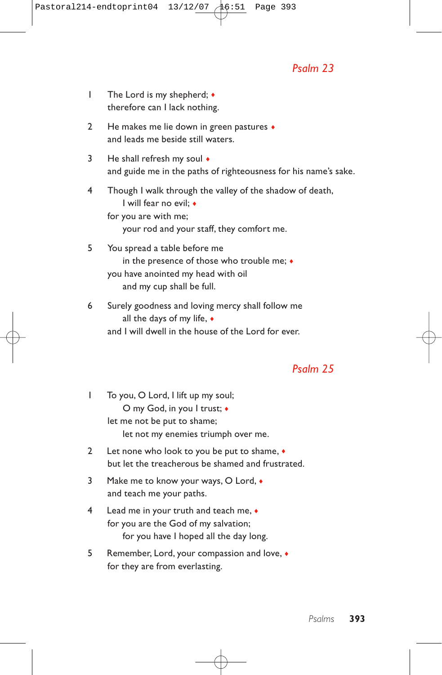# *Psalm 23*

- 1 The Lord is my shepherd; ♦ therefore can I lack nothing.
- 2 He makes me lie down in green pastures ◆ and leads me beside still waters.
- 3 He shall refresh my soul  $\bullet$ and guide me in the paths of righteousness for his name's sake.

4 Though I walk through the valley of the shadow of death, I will fear no evil; ♦ for you are with me; your rod and your staff, they comfort me.

- 5 You spread a table before me in the presence of those who trouble me; ♦ you have anointed my head with oil and my cup shall be full.
- 6 Surely goodness and loving mercy shall follow me all the days of my life, ♦ and I will dwell in the house of the Lord for ever.

# *Psalm 25*

1 To you, O Lord, I lift up my soul; O my God, in you I trust; ♦ let me not be put to shame; let not my enemies triumph over me.

- 2 Let none who look to you be put to shame, ♦ but let the treacherous be shamed and frustrated.
- 3 Make me to know your ways, O Lord,  $\bullet$ and teach me your paths.
- 4 Lead me in your truth and teach me, ♦ for you are the God of my salvation; for you have I hoped all the day long.
- 5 Remember, Lord, your compassion and love, ♦ for they are from everlasting.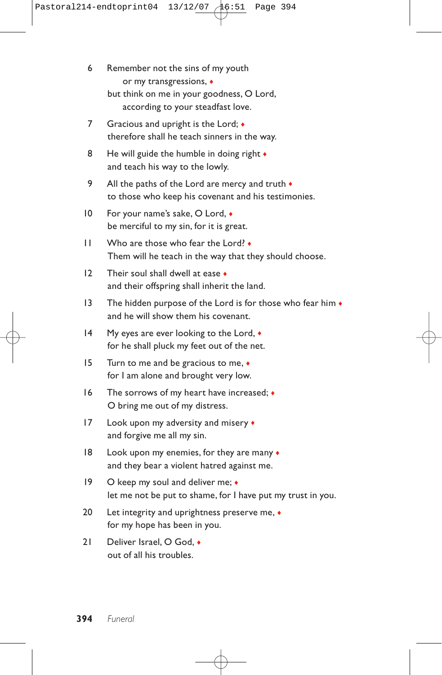- 6 Remember not the sins of my youth or my transgressions, ♦ but think on me in your goodness, O Lord, according to your steadfast love.
- 7 Gracious and upright is the Lord;  $\bullet$ therefore shall he teach sinners in the way.
- 8 He will guide the humble in doing right  $\bullet$ and teach his way to the lowly.
- 9 All the paths of the Lord are mercy and truth  $\bullet$ to those who keep his covenant and his testimonies.
- 10 For your name's sake, O Lord,  $\bullet$ be merciful to my sin, for it is great.
- 11 Who are those who fear the Lord? ♦ Them will he teach in the way that they should choose.
- 12 Their soul shall dwell at ease  $\bullet$ and their offspring shall inherit the land.
- 13 The hidden purpose of the Lord is for those who fear him  $\bullet$ and he will show them his covenant.
- 14 My eyes are ever looking to the Lord, ♦ for he shall pluck my feet out of the net.
- 15 Turn to me and be gracious to me,  $\bullet$ for I am alone and brought very low.
- 16 The sorrows of my heart have increased;  $\bullet$ O bring me out of my distress.
- 17 Look upon my adversity and misery  $\bullet$ and forgive me all my sin.
- 18 Look upon my enemies, for they are many  $\bullet$ and they bear a violent hatred against me.
- 19 O keep my soul and deliver me;  $\triangleleft$ let me not be put to shame, for I have put my trust in you.
- 20 Let integrity and uprightness preserve me,  $\bullet$ for my hope has been in you.
- 21 Deliver Israel, O God,  $\bullet$ out of all his troubles.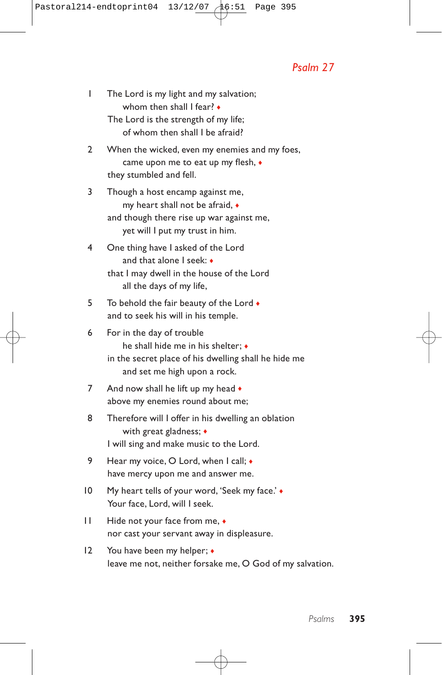1 The Lord is my light and my salvation; whom then shall I fear?  $\bullet$ The Lord is the strength of my life;

of whom then shall I be afraid?

- 2 When the wicked, even my enemies and my foes, came upon me to eat up my flesh, ♦ they stumbled and fell.
- 3 Though a host encamp against me, my heart shall not be afraid, ♦ and though there rise up war against me, yet will I put my trust in him.
- 4 One thing have I asked of the Lord and that alone I seek: ♦ that I may dwell in the house of the Lord all the days of my life,
- 5 To behold the fair beauty of the Lord ♦ and to seek his will in his temple.
- 6 For in the day of trouble he shall hide me in his shelter; ♦ in the secret place of his dwelling shall he hide me and set me high upon a rock.
- 7 And now shall he lift up my head  $\bullet$ above my enemies round about me;
- 8 Therefore will I offer in his dwelling an oblation with great gladness; ♦ I will sing and make music to the Lord.
- 9 Hear my voice, O Lord, when I call;  $\bullet$ have mercy upon me and answer me.
- 10 My heart tells of your word, 'Seek my face.'  $\bullet$ Your face, Lord, will I seek.
- 11 Hide not your face from me,  $\bullet$ nor cast your servant away in displeasure.
- 12 You have been my helper; ♦ leave me not, neither forsake me, O God of my salvation.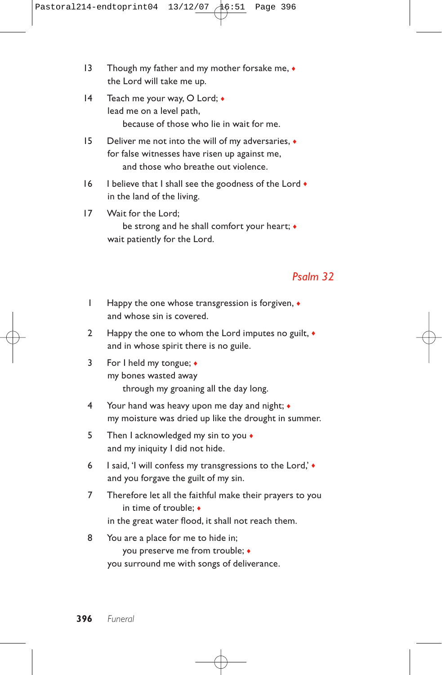- 13 Though my father and my mother forsake me, ♦ the Lord will take me up.
- 14 Teach me your way, O Lord;  $\bullet$ lead me on a level path, because of those who lie in wait for me.
- 15 Deliver me not into the will of my adversaries, ♦ for false witnesses have risen up against me, and those who breathe out violence.
- 16 I believe that I shall see the goodness of the Lord  $\bullet$ in the land of the living.
- 17 Wait for the Lord; be strong and he shall comfort your heart;  $\bullet$ wait patiently for the Lord.

- 1 Happy the one whose transgression is forgiven, ♦ and whose sin is covered.
- 2 Happy the one to whom the Lord imputes no guilt, ♦ and in whose spirit there is no guile.
- 3 For I held my tongue; ♦ my bones wasted away through my groaning all the day long.
- 4 Your hand was heavy upon me day and night; ♦ my moisture was dried up like the drought in summer.
- 5 Then I acknowledged my sin to you ♦ and my iniquity I did not hide.
- 6 I said, 'I will confess my transgressions to the Lord,' ♦ and you forgave the guilt of my sin.
- 7 Therefore let all the faithful make their prayers to you in time of trouble; ♦ in the great water flood, it shall not reach them.
- 8 You are a place for me to hide in;

you preserve me from trouble; ♦

you surround me with songs of deliverance.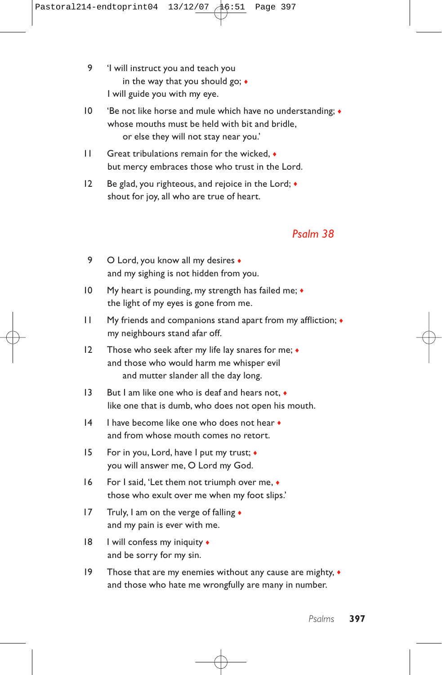- 9 'I will instruct you and teach you in the way that you should go; ♦ I will guide you with my eye.
- 10 'Be not like horse and mule which have no understanding;  $\triangleleft$ whose mouths must be held with bit and bridle, or else they will not stay near you.'
- 11 Great tribulations remain for the wicked, ♦ but mercy embraces those who trust in the Lord.
- 12 Be glad, you righteous, and rejoice in the Lord;  $\bullet$ shout for joy, all who are true of heart.

- 9 O Lord, you know all my desires  $\triangleleft$ and my sighing is not hidden from you.
- 10 My heart is pounding, my strength has failed me; ♦ the light of my eyes is gone from me.
- 11 My friends and companions stand apart from my affliction; ♦ my neighbours stand afar off.
- 12 Those who seek after my life lay snares for me;  $\bullet$ and those who would harm me whisper evil and mutter slander all the day long.
- 13 But I am like one who is deaf and hears not. ◆ like one that is dumb, who does not open his mouth.
- 14 I have become like one who does not hear ♦ and from whose mouth comes no retort.
- 15 For in you, Lord, have I put my trust; ♦ you will answer me, O Lord my God.
- 16 For I said, 'Let them not triumph over me,  $\bullet$ those who exult over me when my foot slips.'
- 17 Truly, I am on the verge of falling  $\bullet$ and my pain is ever with me.
- 18 I will confess my iniquity  $\bullet$ and be sorry for my sin.
- 19 Those that are my enemies without any cause are mighty,  $\bullet$ and those who hate me wrongfully are many in number.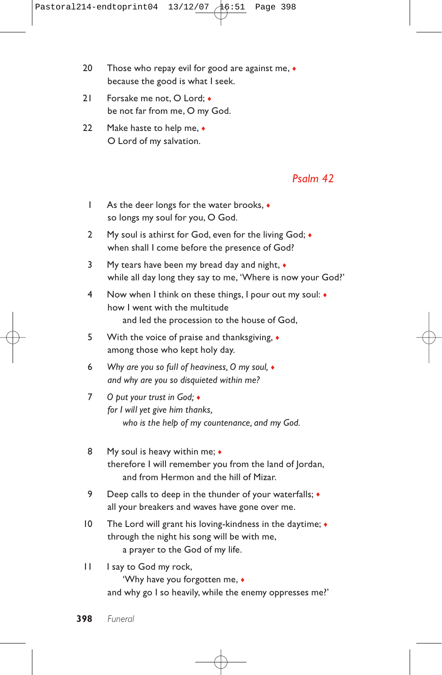- 20 Those who repay evil for good are against me.  $\bullet$ because the good is what I seek.
- 21 Forsake me not, O Lord: ◆ be not far from me, O my God.
- 22 Make haste to help me, ◆ O Lord of my salvation.

- 1 As the deer longs for the water brooks, ♦ so longs my soul for you, O God.
- 2 My soul is athirst for God, even for the living God;  $\bullet$ when shall I come before the presence of God?
- 3 My tears have been my bread day and night, ♦ while all day long they say to me, 'Where is now your God?'
- 4 Now when I think on these things, I pour out my soul: ♦ how I went with the multitude and led the procession to the house of God,
- 5 With the voice of praise and thanksgiving, ♦ among those who kept holy day.
- 6 *Why are you so full of heaviness, O my soul,* ♦ *and why are you so disquieted within me?*
- 7 *O put your trust in God;* ♦ *for I will yet give him thanks, who is the help of my countenance, and my God.*
- 8 My soul is heavy within me;  $\bullet$ therefore I will remember you from the land of Jordan, and from Hermon and the hill of Mizar.
- 9 Deep calls to deep in the thunder of your waterfalls;  $\bullet$ all your breakers and waves have gone over me.
- 10 The Lord will grant his loving-kindness in the daytime;  $\bullet$ through the night his song will be with me, a prayer to the God of my life.
- 11 I say to God my rock, 'Why have you forgotten me, ♦ and why go I so heavily, while the enemy oppresses me?'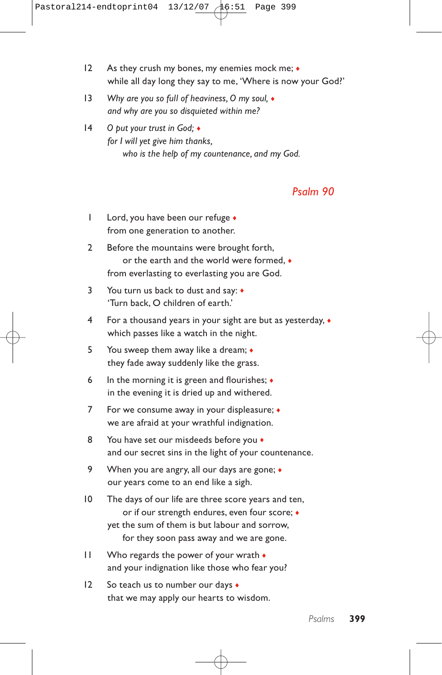- 12 As they crush my bones, my enemies mock me; ♦ while all day long they say to me, 'Where is now your God?'
- 13 *Why are you so full of heaviness, O my soul,* ♦ *and why are you so disquieted within me?*
- 14 *O put your trust in God;* ♦ *for I will yet give him thanks, who is the help of my countenance, and my God.*

- 1 Lord, you have been our refuge ♦ from one generation to another.
- 2 Before the mountains were brought forth, or the earth and the world were formed, ♦ from everlasting to everlasting you are God.
- 3 You turn us back to dust and say: ♦ 'Turn back, O children of earth.'
- 4 For a thousand years in your sight are but as yesterday, ♦ which passes like a watch in the night.
- 5 You sweep them away like a dream; ♦ they fade away suddenly like the grass.
- 6 In the morning it is green and flourishes;  $\bullet$ in the evening it is dried up and withered.
- 7 For we consume away in your displeasure; ♦ we are afraid at your wrathful indignation.
- 8 You have set our misdeeds before you  $\bullet$ and our secret sins in the light of your countenance.
- 9 When you are angry, all our days are gone;  $\bullet$ our years come to an end like a sigh.
- 10 The days of our life are three score years and ten, or if our strength endures, even four score; ♦ yet the sum of them is but labour and sorrow, for they soon pass away and we are gone.
- 11 Who regards the power of your wrath  $\bullet$ and your indignation like those who fear you?
- 12 So teach us to number our days  $\bullet$ that we may apply our hearts to wisdom.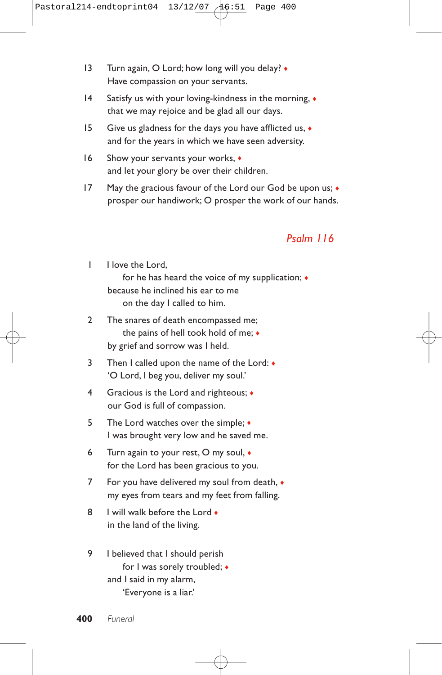- 13 Turn again, O Lord; how long will you delay?  $\bullet$ Have compassion on your servants.
- 14 Satisfy us with your loving-kindness in the morning, ♦ that we may rejoice and be glad all our days.
- 15 Give us gladness for the days you have afflicted us, ♦ and for the years in which we have seen adversity.
- 16 Show your servants your works, ♦ and let your glory be over their children.
- 17 May the gracious favour of the Lord our God be upon us;  $\triangleleft$ prosper our handiwork; O prosper the work of our hands.

- I I love the Lord, for he has heard the voice of my supplication; ♦ because he inclined his ear to me on the day I called to him.
- 2 The snares of death encompassed me; the pains of hell took hold of me; ♦ by grief and sorrow was I held.
- 3 Then I called upon the name of the Lord: ♦ 'O Lord, I beg you, deliver my soul.'
- 4 Gracious is the Lord and righteous; ♦ our God is full of compassion.
- 5 The Lord watches over the simple; ♦ I was brought very low and he saved me.
- 6 Turn again to your rest, O my soul, ♦ for the Lord has been gracious to you.
- 7 For you have delivered my soul from death, ♦ my eyes from tears and my feet from falling.
- 8 I will walk before the Lord  $\bullet$ in the land of the living.
- 9 I believed that I should perish for I was sorely troubled; ♦ and I said in my alarm, 'Everyone is a liar.'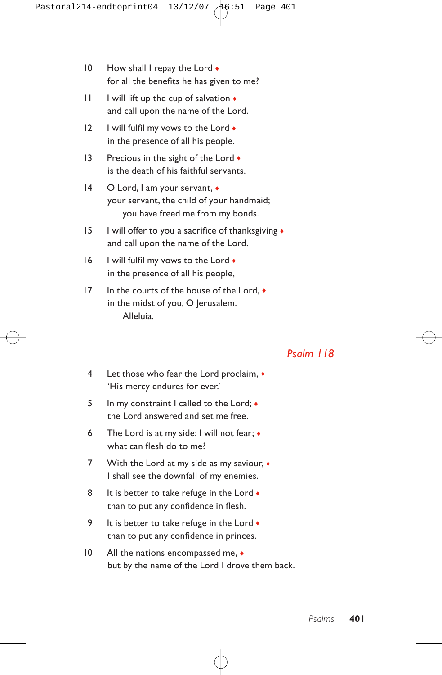- 10 How shall I repay the Lord  $\bullet$ for all the benefits he has given to me?
- $11$  I will lift up the cup of salvation  $\bullet$ and call upon the name of the Lord.
- 12 I will fulfil my vows to the Lord  $\bullet$ in the presence of all his people.
- 13 Precious in the sight of the Lord  $\bullet$ is the death of his faithful servants.
- 14 O Lord, I am your servant, ♦ your servant, the child of your handmaid; you have freed me from my bonds.
- 15 I will offer to you a sacrifice of thanksgiving ♦ and call upon the name of the Lord.
- 16 I will fulfil my vows to the Lord  $\bullet$ in the presence of all his people,
- 17 In the courts of the house of the Lord, ♦ in the midst of you, O Jerusalem. Alleluia.

- 4 Let those who fear the Lord proclaim, ♦ 'His mercy endures for ever.'
- 5 In my constraint I called to the Lord; ♦ the Lord answered and set me free.
- 6 The Lord is at my side; I will not fear; ♦ what can flesh do to me?
- 7 With the Lord at my side as my saviour,  $\bullet$ I shall see the downfall of my enemies.
- 8 It is better to take refuge in the Lord  $\bullet$ than to put any confidence in flesh.
- 9 It is better to take refuge in the Lord  $\bullet$ than to put any confidence in princes.
- 10 All the nations encompassed me, ♦ but by the name of the Lord I drove them back.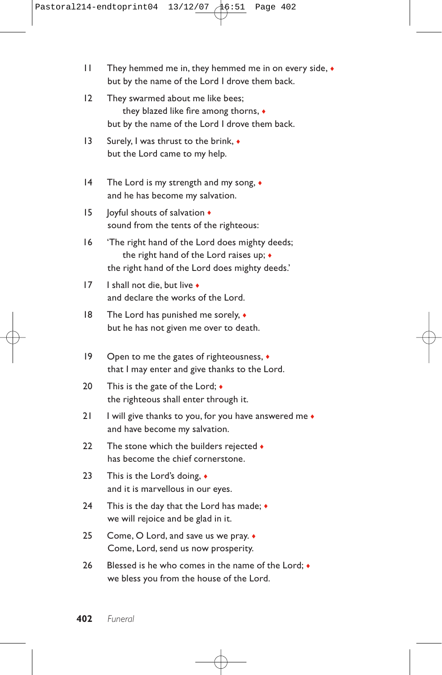- 11 They hemmed me in, they hemmed me in on every side, ♦ but by the name of the Lord I drove them back.
- 12 They swarmed about me like bees; they blazed like fire among thorns, ♦ but by the name of the Lord I drove them back.
- 13 Surely, I was thrust to the brink, ♦ but the Lord came to my help.
- 14 The Lord is my strength and my song, ♦ and he has become my salvation.
- 15 Joyful shouts of salvation  $\triangleleft$ sound from the tents of the righteous:
- 16 'The right hand of the Lord does mighty deeds; the right hand of the Lord raises up; ♦ the right hand of the Lord does mighty deeds.'
- 17 I shall not die, but live ♦ and declare the works of the Lord.
- 18 The Lord has punished me sorely,  $\bullet$ but he has not given me over to death.
- 19 Open to me the gates of righteousness,  $\bullet$ that I may enter and give thanks to the Lord.
- 20 This is the gate of the Lord;  $\bullet$ the righteous shall enter through it.
- 21 I will give thanks to you, for you have answered me  $\bullet$ and have become my salvation.
- 22 The stone which the builders rejected  $\bullet$ has become the chief cornerstone.
- 23 This is the Lord's doing, ♦ and it is marvellous in our eyes.
- 24 This is the day that the Lord has made;  $\bullet$ we will rejoice and be glad in it.
- 25 Come, O Lord, and save us we pray. ♦ Come, Lord, send us now prosperity.
- 26 Blessed is he who comes in the name of the Lord:  $\bullet$ we bless you from the house of the Lord.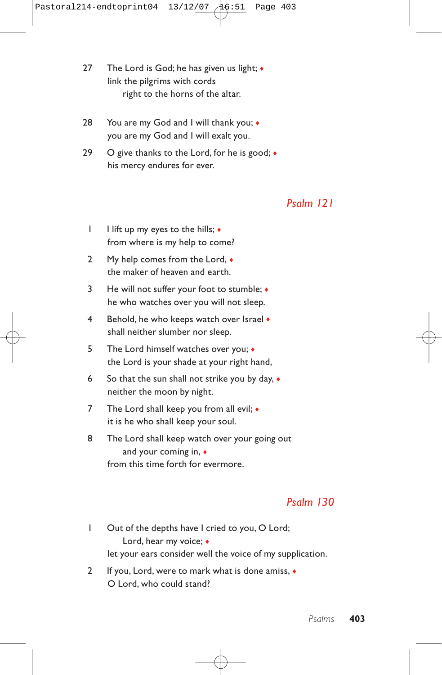- 27 The Lord is God; he has given us light; ◆ link the pilgrims with cords right to the horns of the altar.
- 28 You are my God and I will thank you: ◆ you are my God and I will exalt you.
- 29 O give thanks to the Lord, for he is good;  $\bullet$ his mercy endures for ever.

- 1 I lift up my eyes to the hills; ♦ from where is my help to come?
- 2 My help comes from the Lord,  $\bullet$ the maker of heaven and earth.
- 3 He will not suffer your foot to stumble; ♦ he who watches over you will not sleep.
- 4 Behold, he who keeps watch over Israel  $\bullet$ shall neither slumber nor sleep.
- 5 The Lord himself watches over you; ♦ the Lord is your shade at your right hand,
- 6 So that the sun shall not strike you by day,  $\bullet$ neither the moon by night.
- 7 The Lord shall keep you from all evil;  $\bullet$ it is he who shall keep your soul.
- 8 The Lord shall keep watch over your going out and your coming in, ♦ from this time forth for evermore.

- 1 Out of the depths have I cried to you, O Lord; Lord, hear my voice;  $\bullet$ let your ears consider well the voice of my supplication.
- 2 If you, Lord, were to mark what is done amiss,  $\bullet$ O Lord, who could stand?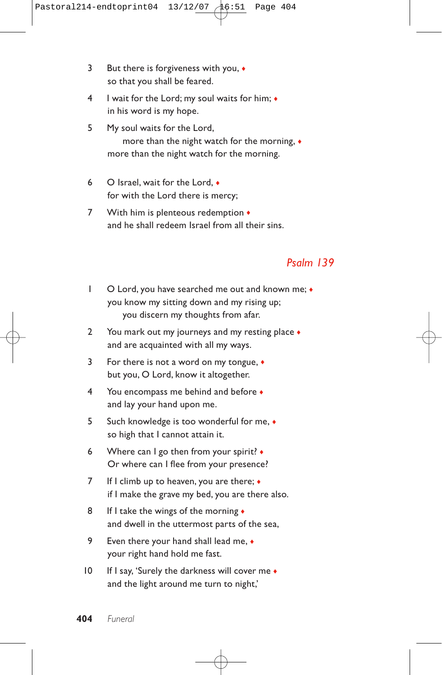- 3 But there is forgiveness with you, ♦ so that you shall be feared.
- 4 I wait for the Lord; my soul waits for him; ♦ in his word is my hope.
- 5 My soul waits for the Lord, more than the night watch for the morning, ♦ more than the night watch for the morning.
- 6 O Israel, wait for the Lord, ♦ for with the Lord there is mercy;
- 7 With him is plenteous redemption  $\bullet$ and he shall redeem Israel from all their sins.

- 1 O Lord, you have searched me out and known me;  $\bullet$ you know my sitting down and my rising up; you discern my thoughts from afar.
- 2 You mark out my journeys and my resting place  $\bullet$ and are acquainted with all my ways.
- 3 For there is not a word on my tongue, ♦ but you, O Lord, know it altogether.
- 4 You encompass me behind and before ♦ and lay your hand upon me.
- 5 Such knowledge is too wonderful for me, ♦ so high that I cannot attain it.
- 6 Where can I go then from your spirit? ♦ Or where can I flee from your presence?
- 7 If I climb up to heaven, you are there; ♦ if I make the grave my bed, you are there also.
- 8 If I take the wings of the morning  $\bullet$ and dwell in the uttermost parts of the sea,
- 9 Even there your hand shall lead me, ♦ your right hand hold me fast.
- 10 If I say, 'Surely the darkness will cover me  $\bullet$ and the light around me turn to night,'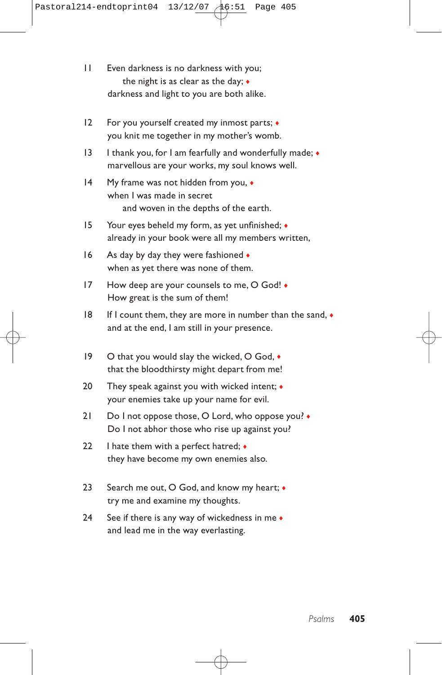- 11 Even darkness is no darkness with you; the night is as clear as the day; ♦ darkness and light to you are both alike.
- 12 For you yourself created my inmost parts; ♦ you knit me together in my mother's womb.
- 13 I thank you, for I am fearfully and wonderfully made; ♦ marvellous are your works, my soul knows well.
- 14 My frame was not hidden from you,  $\bullet$ when I was made in secret and woven in the depths of the earth.
- 15 Your eyes beheld my form, as yet unfinished; ♦ already in your book were all my members written,
- 16 As day by day they were fashioned  $\bullet$ when as yet there was none of them.
- 17 How deep are your counsels to me, O God!  $\bullet$ How great is the sum of them!
- 18 If I count them, they are more in number than the sand, ♦ and at the end, I am still in your presence.
- 19 O that you would slay the wicked, O God,  $\bullet$ that the bloodthirsty might depart from me!
- 20 They speak against you with wicked intent;  $\bullet$ your enemies take up your name for evil.
- 21 Do I not oppose those, O Lord, who oppose you?  $\bullet$ Do I not abhor those who rise up against you?
- 22 I hate them with a perfect hatred;  $\triangleleft$ they have become my own enemies also.
- 23 Search me out, O God, and know my heart;  $\bullet$ try me and examine my thoughts.
- 24 See if there is any way of wickedness in me  $\bullet$ and lead me in the way everlasting.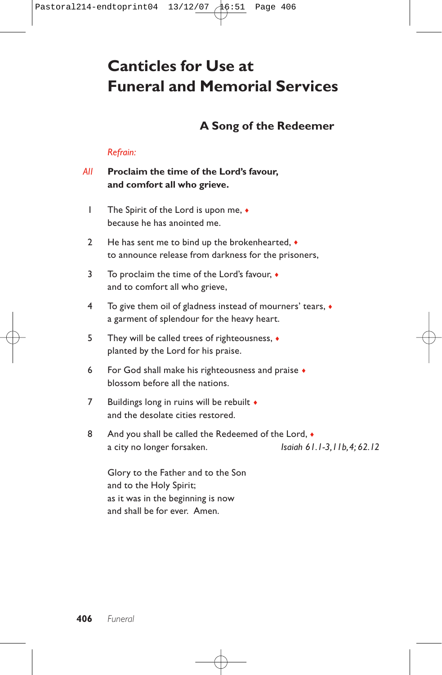# **Canticles for Use at Funeral and Memorial Services**

# **A Song of the Redeemer**

#### *Refrain:*

## *All* **Proclaim the time of the Lord's favour, and comfort all who grieve.**

- 1 The Spirit of the Lord is upon me, ♦ because he has anointed me.
- 2 He has sent me to bind up the brokenhearted,  $\bullet$ to announce release from darkness for the prisoners,
- 3 To proclaim the time of the Lord's favour, ♦ and to comfort all who grieve,
- 4 To give them oil of gladness instead of mourners' tears, ♦ a garment of splendour for the heavy heart.
- 5 They will be called trees of righteousness, ♦ planted by the Lord for his praise.
- 6 For God shall make his righteousness and praise ♦ blossom before all the nations.
- 7 Buildings long in ruins will be rebuilt  $\bullet$ and the desolate cities restored.
- 8 And you shall be called the Redeemed of the Lord,  $\bullet$ a city no longer forsaken. *Isaiah 61.1-3,11b,4; 62.12*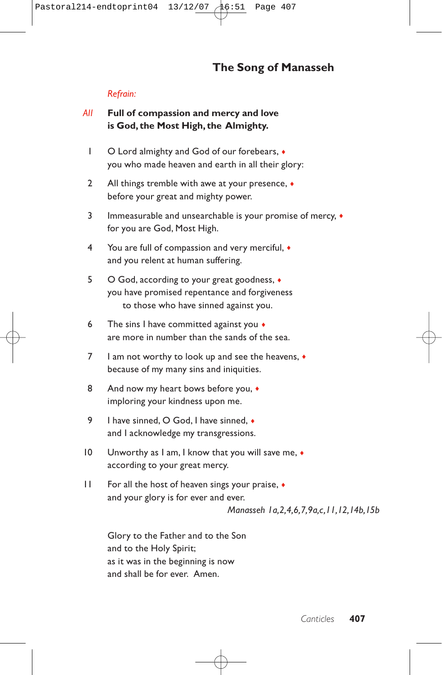## *All* **Full of compassion and mercy and love is God, the Most High, the Almighty.**

- 1 O Lord almighty and God of our forebears, ♦ you who made heaven and earth in all their glory:
- 2 All things tremble with awe at your presence, ♦ before your great and mighty power.
- 3 Immeasurable and unsearchable is your promise of mercy, ♦ for you are God, Most High.
- 4 You are full of compassion and very merciful, ♦ and you relent at human suffering.
- 5 O God, according to your great goodness, ♦ you have promised repentance and forgiveness to those who have sinned against you.
- 6 The sins I have committed against you  $\triangleleft$ are more in number than the sands of the sea.
- 7 I am not worthy to look up and see the heavens, ♦ because of my many sins and iniquities.
- 8 And now my heart bows before you,  $\bullet$ imploring your kindness upon me.
- 9 I have sinned, O God, I have sinned, ◆ and I acknowledge my transgressions.
- 10 Unworthy as I am, I know that you will save me,  $\bullet$ according to your great mercy.
- 11 For all the host of heaven sings your praise, ♦ and your glory is for ever and ever.

*Manasseh 1a,2,4,6,7,9a,c,11,12,14b,15b*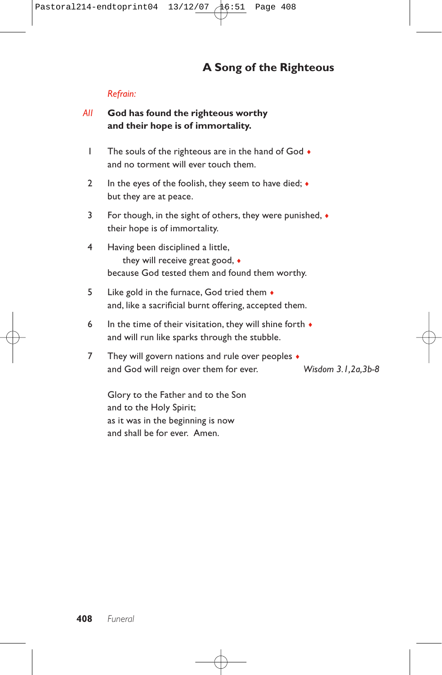## *All* **God has found the righteous worthy and their hope is of immortality.**

- 1 The souls of the righteous are in the hand of God ♦ and no torment will ever touch them.
- 2 In the eyes of the foolish, they seem to have died;  $\bullet$ but they are at peace.
- 3 For though, in the sight of others, they were punished, ♦ their hope is of immortality.
- 4 Having been disciplined a little, they will receive great good, ♦ because God tested them and found them worthy.
- 5 Like gold in the furnace, God tried them ♦ and, like a sacrificial burnt offering, accepted them.
- 6 In the time of their visitation, they will shine forth  $\bullet$ and will run like sparks through the stubble.
- 7 They will govern nations and rule over peoples  $\bullet$ and God will reign over them for ever. *Wisdom 3.1,2a,3b-8*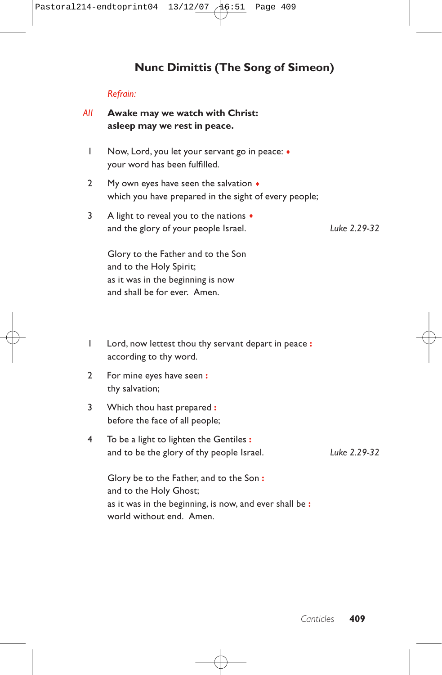# **Nunc Dimittis (The Song of Simeon)**

#### *Refrain:*

# *All* **Awake may we watch with Christ: asleep may we rest in peace.** 1 Now, Lord, you let your servant go in peace: ♦ your word has been fulfilled. 2 My own eyes have seen the salvation  $\bullet$ which you have prepared in the sight of every people; 3 A light to reveal you to the nations ♦ and the glory of your people Israel. *Luke 2.29-32* Glory to the Father and to the Son and to the Holy Spirit; as it was in the beginning is now and shall be for ever. Amen. 1 Lord, now lettest thou thy servant depart in peace **:** according to thy word. 2 For mine eyes have seen **:** thy salvation; 3 Which thou hast prepared **:** before the face of all people; 4 To be a light to lighten the Gentiles **:** and to be the glory of thy people Israel. *Luke 2.29-32* Glory be to the Father, and to the Son **:** and to the Holy Ghost; as it was in the beginning, is now, and ever shall be **:** world without end. Amen.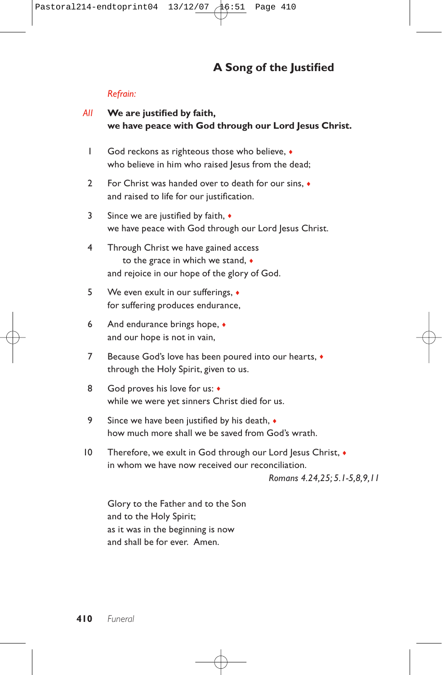### *All* **We are justified by faith, we have peace with God through our Lord Jesus Christ.**

- 1 God reckons as righteous those who believe, ♦ who believe in him who raised lesus from the dead;
- 2 For Christ was handed over to death for our sins, ♦ and raised to life for our justification.
- 3 Since we are justified by faith,  $\bullet$ we have peace with God through our Lord Jesus Christ.
- 4 Through Christ we have gained access to the grace in which we stand, ♦ and rejoice in our hope of the glory of God.
- 5 We even exult in our sufferings, ♦ for suffering produces endurance,
- 6 And endurance brings hope, ♦ and our hope is not in vain,
- 7 Because God's love has been poured into our hearts, ♦ through the Holy Spirit, given to us.
- 8 God proves his love for us:  $\bullet$ while we were yet sinners Christ died for us.
- 9 Since we have been justified by his death,  $\bullet$ how much more shall we be saved from God's wrath.
- 10 Therefore, we exult in God through our Lord Jesus Christ,  $\bullet$ in whom we have now received our reconciliation.

*Romans 4.24,25; 5.1-5,8,9,11*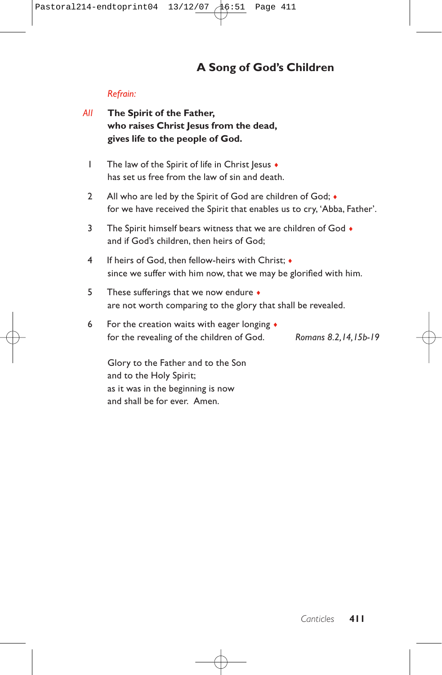- *All* **The Spirit of the Father,** who raises Christ lesus from the dead. **gives life to the people of God.**
	- 1 The law of the Spirit of life in Christ Jesus ♦ has set us free from the law of sin and death.
	- 2 All who are led by the Spirit of God are children of God:  $\bullet$ for we have received the Spirit that enables us to cry, 'Abba, Father'.
	- 3 The Spirit himself bears witness that we are children of God ♦ and if God's children, then heirs of God;
	- 4 If heirs of God, then fellow-heirs with Christ; ♦ since we suffer with him now, that we may be glorified with him.
	- 5 These sufferings that we now endure ♦ are not worth comparing to the glory that shall be revealed.
	- 6 For the creation waits with eager longing  $\bullet$ for the revealing of the children of God. *Romans 8.2,14,15b-19*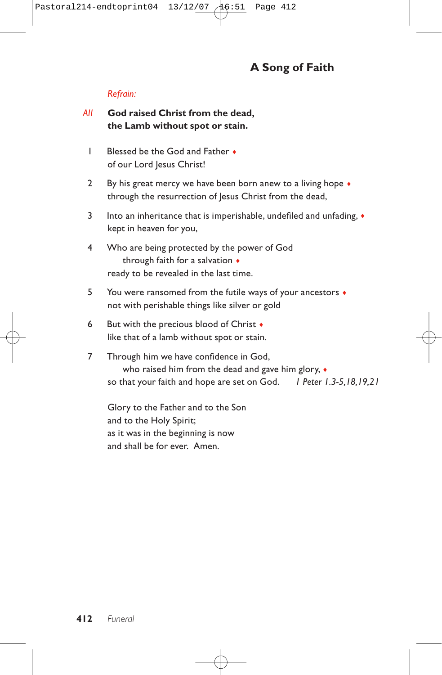## *All* **God raised Christ from the dead, the Lamb without spot or stain.**

- 1 Blessed be the God and Father ♦ of our Lord Jesus Christ!
- 2 By his great mercy we have been born anew to a living hope  $\bullet$ through the resurrection of lesus Christ from the dead,
- 3 Into an inheritance that is imperishable, undefiled and unfading, ♦ kept in heaven for you,
- 4 Who are being protected by the power of God through faith for a salvation ♦ ready to be revealed in the last time.
- 5 You were ransomed from the futile ways of your ancestors ♦ not with perishable things like silver or gold
- 6 But with the precious blood of Christ  $\bullet$ like that of a lamb without spot or stain.
- 7 Through him we have confidence in God, who raised him from the dead and gave him glory, ♦ so that your faith and hope are set on God. *1 Peter 1.3-5,18,19,21*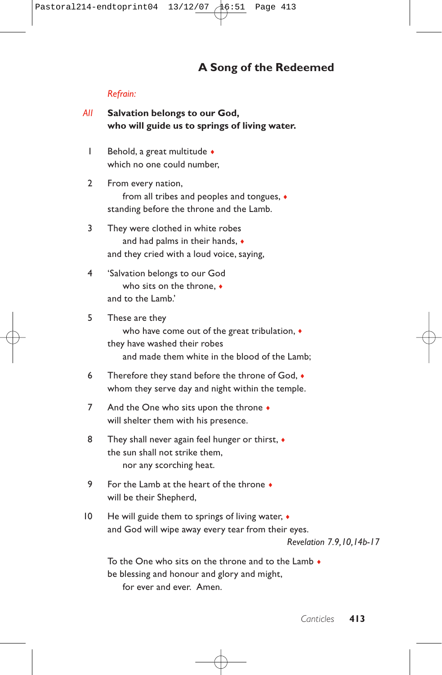## *All* **Salvation belongs to our God, who will guide us to springs of living water.**

- 1 Behold, a great multitude ♦ which no one could number,
- 2 From every nation, from all tribes and peoples and tongues, ♦ standing before the throne and the Lamb.
- 3 They were clothed in white robes and had palms in their hands, ♦ and they cried with a loud voice, saying,
- 4 'Salvation belongs to our God who sits on the throne, ♦ and to the Lamb.'
- 5 These are they who have come out of the great tribulation, ♦ they have washed their robes and made them white in the blood of the Lamb;
- 6 Therefore they stand before the throne of God,  $\bullet$ whom they serve day and night within the temple.
- 7 And the One who sits upon the throne  $\bullet$ will shelter them with his presence.
- 8 They shall never again feel hunger or thirst,  $\bullet$ the sun shall not strike them, nor any scorching heat.
- 9 For the Lamb at the heart of the throne ♦ will be their Shepherd,
- 10 He will guide them to springs of living water,  $\bullet$ and God will wipe away every tear from their eyes.

*Revelation 7.9,10,14b-17*

To the One who sits on the throne and to the Lamb ♦ be blessing and honour and glory and might, for ever and ever. Amen.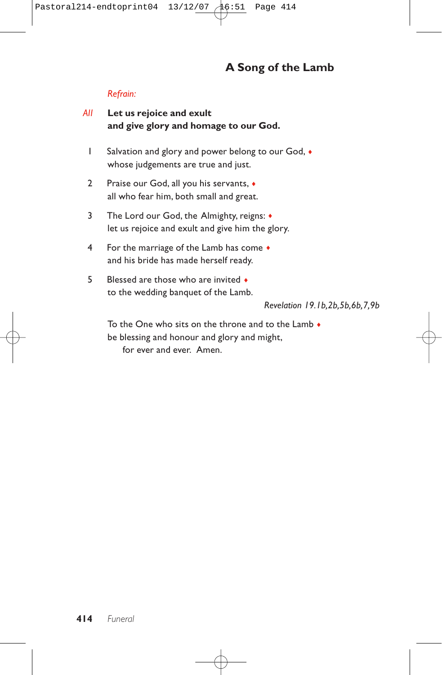## *All* **Let us rejoice and exult and give glory and homage to our God.**

- 1 Salvation and glory and power belong to our God, ♦ whose judgements are true and just.
- 2 Praise our God, all you his servants, ♦ all who fear him, both small and great.
- 3 The Lord our God, the Almighty, reigns: ♦ let us rejoice and exult and give him the glory.
- 4 For the marriage of the Lamb has come ♦ and his bride has made herself ready.
- 5 Blessed are those who are invited ♦ to the wedding banquet of the Lamb.

*Revelation 19.1b,2b,5b,6b,7,9b*

To the One who sits on the throne and to the Lamb ♦ be blessing and honour and glory and might,

for ever and ever. Amen.